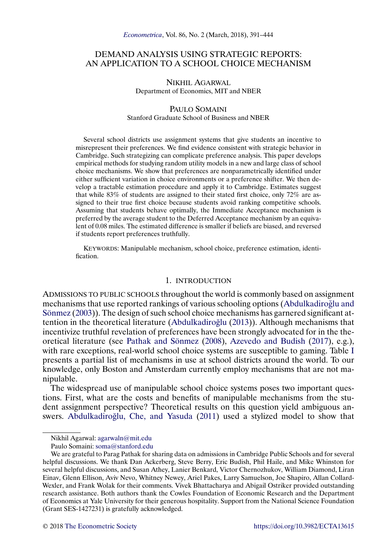# <span id="page-0-0"></span>DEMAND ANALYSIS USING STRATEGIC REPORTS: AN APPLICATION TO A SCHOOL CHOICE MECHANISM

### NIKHIL AGARWAL Department of Economics, MIT and NBER

# PAULO SOMAINI Stanford Graduate School of Business and NBER

Several school districts use assignment systems that give students an incentive to misrepresent their preferences. We find evidence consistent with strategic behavior in Cambridge. Such strategizing can complicate preference analysis. This paper develops empirical methods for studying random utility models in a new and large class of school choice mechanisms. We show that preferences are nonparametrically identified under either sufficient variation in choice environments or a preference shifter. We then develop a tractable estimation procedure and apply it to Cambridge. Estimates suggest that while 83% of students are assigned to their stated first choice, only 72% are assigned to their true first choice because students avoid ranking competitive schools. Assuming that students behave optimally, the Immediate Acceptance mechanism is preferred by the average student to the Deferred Acceptance mechanism by an equivalent of 0.08 miles. The estimated difference is smaller if beliefs are biased, and reversed if students report preferences truthfully.

KEYWORDS: Manipulable mechanism, school choice, preference estimation, identification.

# 1. INTRODUCTION

ADMISSIONS TO PUBLIC SCHOOLS throughout the world is commonly based on assignment mechanisms that use reported rankings of various schooling options (Abdulkadiroğlu and [Sönmez](#page-50-0) [\(2003\)](#page-50-0)). The design of such school choice mechanisms has garnered significant at-tention in the theoretical literature (Abdulkadiroğlu [\(2013\)](#page-50-0)). Although mechanisms that incentivize truthful revelation of preferences have been strongly advocated for in the theoretical literature (see [Pathak and Sönmez](#page-53-0) [\(2008\)](#page-53-0), [Azevedo and Budish](#page-51-0) [\(2017\)](#page-51-0), e.g.), with rare exceptions, real-world school choice systems are susceptible to gaming. Table [I](#page-1-0) presents a partial list of mechanisms in use at school districts around the world. To our knowledge, only Boston and Amsterdam currently employ mechanisms that are not manipulable.

The widespread use of manipulable school choice systems poses two important questions. First, what are the costs and benefits of manipulable mechanisms from the student assignment perspective? Theoretical results on this question yield ambiguous an-swers. Abdulkadiroğlu, Che, and Yasuda [\(2011\)](#page-50-0) used a stylized model to show that

Nikhil Agarwal: [agarwaln@mit.edu](mailto:agarwaln@mit.edu)

Paulo Somaini: [soma@stanford.edu](mailto:soma@stanford.edu)

We are grateful to Parag Pathak for sharing data on admissions in Cambridge Public Schools and for several helpful discussions. We thank Dan Ackerberg, Steve Berry, Eric Budish, Phil Haile, and Mike Whinston for several helpful discussions, and Susan Athey, Lanier Benkard, Victor Chernozhukov, William Diamond, Liran Einav, Glenn Ellison, Aviv Nevo, Whitney Newey, Ariel Pakes, Larry Samuelson, Joe Shapiro, Allan Collard-Wexler, and Frank Wolak for their comments. Vivek Bhattacharya and Abigail Ostriker provided outstanding research assistance. Both authors thank the Cowles Foundation of Economic Research and the Department of Economics at Yale University for their generous hospitality. Support from the National Science Foundation (Grant SES-1427231) is gratefully acknowledged.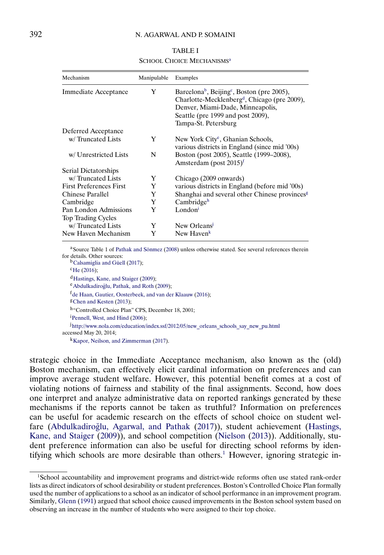# TABLE I

SCHOOL CHOICE MECHANISMS<sup>a</sup>

<span id="page-1-0"></span>

| Mechanism                                          | Manipulable | Examples                                                                                                                                                                                                                        |
|----------------------------------------------------|-------------|---------------------------------------------------------------------------------------------------------------------------------------------------------------------------------------------------------------------------------|
| Immediate Acceptance                               | Y           | Barcelona <sup>b</sup> , Beijing <sup>c</sup> , Boston (pre 2005),<br>Charlotte-Mecklenberg <sup>d</sup> , Chicago (pre 2009),<br>Denver, Miami-Dade, Minneapolis,<br>Seattle (pre 1999 and post 2009),<br>Tampa-St. Petersburg |
| Deferred Acceptance                                |             |                                                                                                                                                                                                                                 |
| w/Truncated Lists                                  | Y           | New York City <sup>e</sup> , Ghanian Schools,<br>various districts in England (since mid '00s)                                                                                                                                  |
| w/ Unrestricted Lists                              | N           | Boston (post 2005), Seattle (1999–2008),<br>Amsterdam (post $2015$ <sup>f</sup>                                                                                                                                                 |
| Serial Dictatorships                               |             |                                                                                                                                                                                                                                 |
| w/Truncated Lists                                  | Y           | Chicago (2009 onwards)                                                                                                                                                                                                          |
| <b>First Preferences First</b>                     | Y           | various districts in England (before mid '00s)                                                                                                                                                                                  |
| Chinese Parallel                                   | Y           | Shanghai and several other Chinese provinces <sup>g</sup>                                                                                                                                                                       |
| Cambridge                                          | Y           | Cambridge <sup>h</sup>                                                                                                                                                                                                          |
| Pan London Admissions<br><b>Top Trading Cycles</b> | Y           | London <sup>i</sup>                                                                                                                                                                                                             |
| w/Truncated Lists                                  | Y           | New Orleans                                                                                                                                                                                                                     |
| New Haven Mechanism                                | Y           | New Haven <sup>k</sup>                                                                                                                                                                                                          |

a Source Table 1 of [Pathak and Sönmez](#page-53-0) [\(2008\)](#page-53-0) unless otherwise stated. See several references therein for details. Other sources:

<sup>b</sup>Calsamiglia and Güell [\(2017\)](#page-51-0);  $^{\rm c}$ He [\(2016\)](#page-52-0); <sup>d</sup>Hastings, Kane, and Staiger [\(2009\)](#page-52-0); <sup>e</sup>Abdulkadiroğlu, Pathak, and Roth [\(2009\)](#page-50-0); <sup>f</sup>de Haan, Gautier, Oosterbeek, and van der Klaauw [\(2016\)](#page-51-0); [gChen and Kesten](#page-51-0) [\(2013\)](#page-51-0); h "Controlled Choice Plan" CPS, December 18, 2001; <sup>i</sup> [Pennell, West, and Hind](#page-53-0) [\(2006\)](#page-53-0); j [http://www.nola.com/education/index.ssf/2012/05/new\\_orleans\\_schools\\_say\\_new\\_pu.html](http://www.nola.com/education/index.ssf/2012/05/new_orleans_schools_say_new_pu.html) accessed May 20, 2014;

[kKapor, Neilson, and Zimmerman](#page-52-0) [\(2017\)](#page-52-0).

strategic choice in the Immediate Acceptance mechanism, also known as the (old) Boston mechanism, can effectively elicit cardinal information on preferences and can improve average student welfare. However, this potential benefit comes at a cost of violating notions of fairness and stability of the final assignments. Second, how does one interpret and analyze administrative data on reported rankings generated by these mechanisms if the reports cannot be taken as truthful? Information on preferences can be useful for academic research on the effects of school choice on student wel-fare (Abdulkadiroğlu, Agarwal, and Pathak [\(2017\)](#page-50-0)), student achievement [\(Hastings,](#page-52-0) [Kane, and Staiger](#page-52-0) [\(2009\)](#page-52-0)), and school competition [\(Nielson](#page-52-0) [\(2013\)](#page-52-0)). Additionally, student preference information can also be useful for directing school reforms by identifying which schools are more desirable than others.<sup>1</sup> However, ignoring strategic in-

<sup>1</sup>School accountability and improvement programs and district-wide reforms often use stated rank-order lists as direct indicators of school desirability or student preferences. Boston's Controlled Choice Plan formally used the number of applications to a school as an indicator of school performance in an improvement program. Similarly, [Glenn](#page-52-0) [\(1991\)](#page-52-0) argued that school choice caused improvements in the Boston school system based on observing an increase in the number of students who were assigned to their top choice.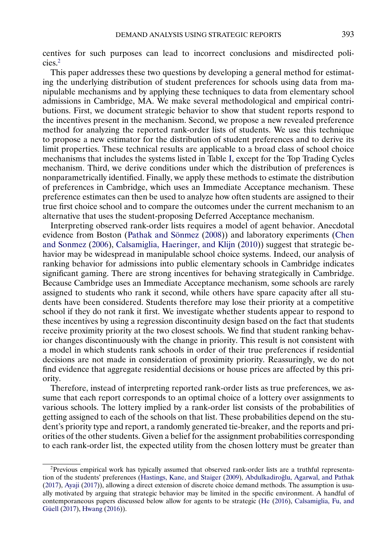<span id="page-2-0"></span>centives for such purposes can lead to incorrect conclusions and misdirected policies.2

This paper addresses these two questions by developing a general method for estimating the underlying distribution of student preferences for schools using data from manipulable mechanisms and by applying these techniques to data from elementary school admissions in Cambridge, MA. We make several methodological and empirical contributions. First, we document strategic behavior to show that student reports respond to the incentives present in the mechanism. Second, we propose a new revealed preference method for analyzing the reported rank-order lists of students. We use this technique to propose a new estimator for the distribution of student preferences and to derive its limit properties. These technical results are applicable to a broad class of school choice mechanisms that includes the systems listed in Table [I,](#page-1-0) except for the Top Trading Cycles mechanism. Third, we derive conditions under which the distribution of preferences is nonparametrically identified. Finally, we apply these methods to estimate the distribution of preferences in Cambridge, which uses an Immediate Acceptance mechanism. These preference estimates can then be used to analyze how often students are assigned to their true first choice school and to compare the outcomes under the current mechanism to an alternative that uses the student-proposing Deferred Acceptance mechanism.

Interpreting observed rank-order lists requires a model of agent behavior. Anecdotal evidence from Boston [\(Pathak and Sönmez](#page-53-0) [\(2008\)](#page-53-0)) and laboratory experiments [\(Chen](#page-51-0) [and Sonmez](#page-51-0) [\(2006\)](#page-51-0), [Calsamiglia, Haeringer, and Klijn](#page-51-0) [\(2010\)](#page-51-0)) suggest that strategic behavior may be widespread in manipulable school choice systems. Indeed, our analysis of ranking behavior for admissions into public elementary schools in Cambridge indicates significant gaming. There are strong incentives for behaving strategically in Cambridge. Because Cambridge uses an Immediate Acceptance mechanism, some schools are rarely assigned to students who rank it second, while others have spare capacity after all students have been considered. Students therefore may lose their priority at a competitive school if they do not rank it first. We investigate whether students appear to respond to these incentives by using a regression discontinuity design based on the fact that students receive proximity priority at the two closest schools. We find that student ranking behavior changes discontinuously with the change in priority. This result is not consistent with a model in which students rank schools in order of their true preferences if residential decisions are not made in consideration of proximity priority. Reassuringly, we do not find evidence that aggregate residential decisions or house prices are affected by this priority.

Therefore, instead of interpreting reported rank-order lists as true preferences, we assume that each report corresponds to an optimal choice of a lottery over assignments to various schools. The lottery implied by a rank-order list consists of the probabilities of getting assigned to each of the schools on that list. These probabilities depend on the student's priority type and report, a randomly generated tie-breaker, and the reports and priorities of the other students. Given a belief for the assignment probabilities corresponding to each rank-order list, the expected utility from the chosen lottery must be greater than

<sup>2</sup>Previous empirical work has typically assumed that observed rank-order lists are a truthful representa-tion of the students' preferences [\(Hastings, Kane, and Staiger](#page-52-0) [\(2009\)](#page-52-0), Abdulkadiroğlu, Agarwal, and Pathak [\(2017\)](#page-50-0), [Ayaji](#page-51-0) [\(2017\)](#page-51-0)), allowing a direct extension of discrete choice demand methods. The assumption is usually motivated by arguing that strategic behavior may be limited in the specific environment. A handful of contemporaneous papers discussed below allow for agents to be strategic [\(He](#page-52-0) [\(2016\)](#page-52-0), [Calsamiglia, Fu, and](#page-51-0) [Güell](#page-51-0) [\(2017\)](#page-51-0), [Hwang](#page-52-0) [\(2016\)](#page-52-0)).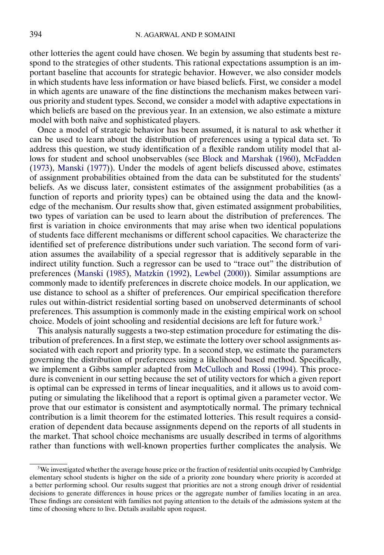<span id="page-3-0"></span>other lotteries the agent could have chosen. We begin by assuming that students best respond to the strategies of other students. This rational expectations assumption is an important baseline that accounts for strategic behavior. However, we also consider models in which students have less information or have biased beliefs. First, we consider a model in which agents are unaware of the fine distinctions the mechanism makes between various priority and student types. Second, we consider a model with adaptive expectations in which beliefs are based on the previous year. In an extension, we also estimate a mixture model with both naïve and sophisticated players.

Once a model of strategic behavior has been assumed, it is natural to ask whether it can be used to learn about the distribution of preferences using a typical data set. To address this question, we study identification of a flexible random utility model that allows for student and school unobservables (see [Block and Marshak](#page-51-0) [\(1960\)](#page-51-0), [McFadden](#page-52-0) [\(1973\)](#page-52-0), [Manski](#page-52-0) [\(1977\)](#page-52-0)). Under the models of agent beliefs discussed above, estimates of assignment probabilities obtained from the data can be substituted for the students' beliefs. As we discuss later, consistent estimates of the assignment probabilities (as a function of reports and priority types) can be obtained using the data and the knowledge of the mechanism. Our results show that, given estimated assignment probabilities, two types of variation can be used to learn about the distribution of preferences. The first is variation in choice environments that may arise when two identical populations of students face different mechanisms or different school capacities. We characterize the identified set of preference distributions under such variation. The second form of variation assumes the availability of a special regressor that is additively separable in the indirect utility function. Such a regressor can be used to "trace out" the distribution of preferences [\(Manski](#page-52-0) [\(1985\)](#page-52-0), [Matzkin](#page-52-0) [\(1992\)](#page-52-0), [Lewbel](#page-52-0) [\(2000\)](#page-52-0)). Similar assumptions are commonly made to identify preferences in discrete choice models. In our application, we use distance to school as a shifter of preferences. Our empirical specification therefore rules out within-district residential sorting based on unobserved determinants of school preferences. This assumption is commonly made in the existing empirical work on school choice. Models of joint schooling and residential decisions are left for future work.3

This analysis naturally suggests a two-step estimation procedure for estimating the distribution of preferences. In a first step, we estimate the lottery over school assignments associated with each report and priority type. In a second step, we estimate the parameters governing the distribution of preferences using a likelihood based method. Specifically, we implement a Gibbs sampler adapted from [McCulloch and Rossi](#page-52-0) [\(1994\)](#page-52-0). This procedure is convenient in our setting because the set of utility vectors for which a given report is optimal can be expressed in terms of linear inequalities, and it allows us to avoid computing or simulating the likelihood that a report is optimal given a parameter vector. We prove that our estimator is consistent and asymptotically normal. The primary technical contribution is a limit theorem for the estimated lotteries. This result requires a consideration of dependent data because assignments depend on the reports of all students in the market. That school choice mechanisms are usually described in terms of algorithms rather than functions with well-known properties further complicates the analysis. We

<sup>&</sup>lt;sup>3</sup>We investigated whether the average house price or the fraction of residential units occupied by Cambridge elementary school students is higher on the side of a priority zone boundary where priority is accorded at a better performing school. Our results suggest that priorities are not a strong enough driver of residential decisions to generate differences in house prices or the aggregate number of families locating in an area. These findings are consistent with families not paying attention to the details of the admissions system at the time of choosing where to live. Details available upon request.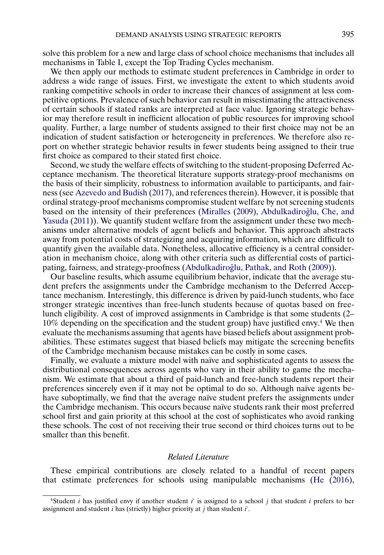<span id="page-4-0"></span>solve this problem for a new and large class of school choice mechanisms that includes all mechanisms in Table [I,](#page-1-0) except the Top Trading Cycles mechanism.

We then apply our methods to estimate student preferences in Cambridge in order to address a wide range of issues. First, we investigate the extent to which students avoid ranking competitive schools in order to increase their chances of assignment at less competitive options. Prevalence of such behavior can result in misestimating the attractiveness of certain schools if stated ranks are interpreted at face value. Ignoring strategic behavior may therefore result in inefficient allocation of public resources for improving school quality. Further, a large number of students assigned to their first choice may not be an indication of student satisfaction or heterogeneity in preferences. We therefore also report on whether strategic behavior results in fewer students being assigned to their true first choice as compared to their stated first choice.

Second, we study the welfare effects of switching to the student-proposing Deferred Acceptance mechanism. The theoretical literature supports strategy-proof mechanisms on the basis of their simplicity, robustness to information available to participants, and fairness (see [Azevedo and Budish](#page-51-0) [\(2017\)](#page-51-0), and references therein). However, it is possible that ordinal strategy-proof mechanisms compromise student welfare by not screening students based on the intensity of their preferences [\(Miralles](#page-52-0) [\(2009\)](#page-52-0), Abdulkadiroğlu, Che, and [Yasuda](#page-50-0) [\(2011\)](#page-50-0)). We quantify student welfare from the assignment under these two mechanisms under alternative models of agent beliefs and behavior. This approach abstracts away from potential costs of strategizing and acquiring information, which are difficult to quantify given the available data. Nonetheless, allocative efficiency is a central consideration in mechanism choice, along with other criteria such as differential costs of partici-pating, fairness, and strategy-proofness (Abdulkadiroğlu, Pathak, and Roth [\(2009\)](#page-50-0)).

Our baseline results, which assume equilibrium behavior, indicate that the average student prefers the assignments under the Cambridge mechanism to the Deferred Acceptance mechanism. Interestingly, this difference is driven by paid-lunch students, who face stronger strategic incentives than free-lunch students because of quotas based on freelunch eligibility. A cost of improved assignments in Cambridge is that some students (2– 10% depending on the specification and the student group) have justified envy.4 We then evaluate the mechanisms assuming that agents have biased beliefs about assignment probabilities. These estimates suggest that biased beliefs may mitigate the screening benefits of the Cambridge mechanism because mistakes can be costly in some cases.

Finally, we evaluate a mixture model with naïve and sophisticated agents to assess the distributional consequences across agents who vary in their ability to game the mechanism. We estimate that about a third of paid-lunch and free-lunch students report their preferences sincerely even if it may not be optimal to do so. Although naïve agents behave suboptimally, we find that the average naïve student prefers the assignments under the Cambridge mechanism. This occurs because naïve students rank their most preferred school first and gain priority at this school at the cost of sophisticates who avoid ranking these schools. The cost of not receiving their true second or third choices turns out to be smaller than this benefit.

# *Related Literature*

These empirical contributions are closely related to a handful of recent papers that estimate preferences for schools using manipulable mechanisms [\(He](#page-52-0) [\(2016\)](#page-52-0),

<sup>&</sup>lt;sup>4</sup>Student *i* has justified envy if another student  $i'$  is assigned to a school  $j$  that student  $i$  prefers to her assignment and student  $i$  has (strictly) higher priority at  $j$  than student  $i'$ .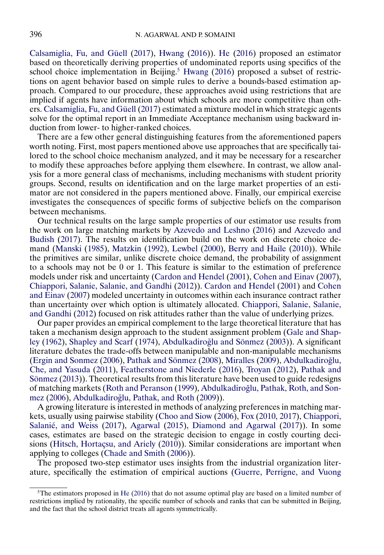<span id="page-5-0"></span>[Calsamiglia, Fu, and Güell](#page-51-0) [\(2017\)](#page-51-0), [Hwang](#page-52-0) [\(2016\)](#page-52-0)). [He](#page-52-0) [\(2016\)](#page-52-0) proposed an estimator based on theoretically deriving properties of undominated reports using specifics of the school choice implementation in Beijing.<sup>5</sup> [Hwang](#page-52-0) [\(2016\)](#page-52-0) proposed a subset of restrictions on agent behavior based on simple rules to derive a bounds-based estimation approach. Compared to our procedure, these approaches avoid using restrictions that are implied if agents have information about which schools are more competitive than others. [Calsamiglia, Fu, and Güell](#page-51-0) [\(2017\)](#page-51-0) estimated a mixture model in which strategic agents solve for the optimal report in an Immediate Acceptance mechanism using backward induction from lower- to higher-ranked choices.

There are a few other general distinguishing features from the aforementioned papers worth noting. First, most papers mentioned above use approaches that are specifically tailored to the school choice mechanism analyzed, and it may be necessary for a researcher to modify these approaches before applying them elsewhere. In contrast, we allow analysis for a more general class of mechanisms, including mechanisms with student priority groups. Second, results on identification and on the large market properties of an estimator are not considered in the papers mentioned above. Finally, our empirical exercise investigates the consequences of specific forms of subjective beliefs on the comparison between mechanisms.

Our technical results on the large sample properties of our estimator use results from the work on large matching markets by [Azevedo and Leshno](#page-51-0) [\(2016\)](#page-51-0) and [Azevedo and](#page-51-0) [Budish](#page-51-0) [\(2017\)](#page-51-0). The results on identification build on the work on discrete choice demand [\(Manski](#page-52-0) [\(1985\)](#page-52-0), [Matzkin](#page-52-0) [\(1992\)](#page-52-0), [Lewbel](#page-52-0) [\(2000\)](#page-52-0), [Berry and Haile](#page-51-0) [\(2010\)](#page-51-0)). While the primitives are similar, unlike discrete choice demand, the probability of assignment to a schools may not be 0 or 1. This feature is similar to the estimation of preference models under risk and uncertainty [\(Cardon and Hendel](#page-51-0) [\(2001\)](#page-51-0), [Cohen and Einav](#page-51-0) [\(2007\)](#page-51-0), [Chiappori, Salanie, Salanie, and Gandhi](#page-51-0) [\(2012\)](#page-51-0)). [Cardon and Hendel](#page-51-0) [\(2001\)](#page-51-0) and [Cohen](#page-51-0) [and Einav](#page-51-0) [\(2007\)](#page-51-0) modeled uncertainty in outcomes within each insurance contract rather than uncertainty over which option is ultimately allocated. [Chiappori, Salanie, Salanie,](#page-51-0) [and Gandhi](#page-51-0) [\(2012\)](#page-51-0) focused on risk attitudes rather than the value of underlying prizes.

Our paper provides an empirical complement to the large theoretical literature that has taken a mechanism design approach to the student assignment problem [\(Gale and Shap](#page-52-0)[ley](#page-52-0) [\(1962\)](#page-52-0), [Shapley and Scarf](#page-53-0) [\(1974\)](#page-53-0), Abdulkadiroğlu and Sönmez [\(2003\)](#page-50-0)). A significant literature debates the trade-offs between manipulable and non-manipulable mechanisms [\(Ergin and Sonmez](#page-52-0) [\(2006\)](#page-52-0), [Pathak and Sönmez](#page-53-0) [\(2008\)](#page-53-0), [Miralles](#page-52-0) [\(2009\)](#page-52-0), Abdulkadiroğlu, Che, [and Yasuda](#page-50-0) [\(2011\)](#page-50-0), [Featherstone and Niederle](#page-52-0) [\(2016\)](#page-52-0), [Troyan](#page-53-0) [\(2012\)](#page-53-0), [Pathak and](#page-53-0) [Sönmez](#page-53-0) [\(2013\)](#page-53-0)). Theoretical results from this literature have been used to guide redesigns of matching markets [\(Roth and Peranson](#page-53-0) [\(1999\)](#page-53-0), Abdulkadiroğlu, Pathak, Roth, and Son[mez](#page-50-0) [\(2006\)](#page-50-0), Abdulkadiroğlu, Pathak, and Roth [\(2009\)](#page-50-0)).

A growing literature is interested in methods of analyzing preferences in matching markets, usually using pairwise stability [\(Choo and Siow](#page-51-0) [\(2006\)](#page-51-0), [Fox](#page-52-0) [\(2010,](#page-52-0) [2017\)](#page-52-0), [Chiappori,](#page-51-0) [Salanié, and Weiss](#page-51-0) [\(2017\)](#page-51-0), [Agarwal](#page-50-0) [\(2015\)](#page-50-0), [Diamond and Agarwal](#page-52-0) [\(2017\)](#page-52-0)). In some cases, estimates are based on the strategic decision to engage in costly courting decisions [\(Hitsch, Hortaçsu, and Ariely](#page-52-0) [\(2010\)](#page-52-0)). Similar considerations are important when applying to colleges [\(Chade and Smith](#page-51-0) [\(2006\)](#page-51-0)).

The proposed two-step estimator uses insights from the industrial organization literature, specifically the estimation of empirical auctions [\(Guerre, Perrigne, and Vuong](#page-52-0)

 $5$ The estimators proposed in [He](#page-52-0) [\(2016\)](#page-52-0) that do not assume optimal play are based on a limited number of restrictions implied by rationality, the specific number of schools and ranks that can be submitted in Beijing, and the fact that the school district treats all agents symmetrically.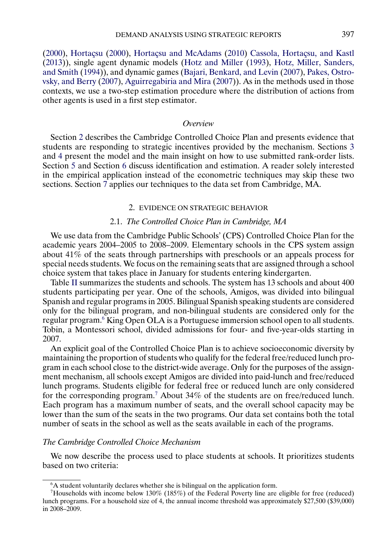<span id="page-6-0"></span>[\(2000\)](#page-52-0), [Hortaçsu](#page-52-0) [\(2000\)](#page-52-0), [Hortaçsu and McAdams](#page-52-0) [\(2010\)](#page-52-0) [Cassola, Hortaçsu, and Kastl](#page-51-0) [\(2013\)](#page-51-0)), single agent dynamic models [\(Hotz and Miller](#page-52-0) [\(1993\)](#page-52-0), [Hotz, Miller, Sanders,](#page-52-0) [and Smith](#page-52-0) [\(1994\)](#page-52-0)), and dynamic games [\(Bajari, Benkard, and Levin](#page-51-0) [\(2007\)](#page-51-0), [Pakes, Ostro](#page-52-0)[vsky, and Berry](#page-52-0) [\(2007\)](#page-52-0), [Aguirregabiria and Mira](#page-51-0) [\(2007\)](#page-51-0)). As in the methods used in those contexts, we use a two-step estimation procedure where the distribution of actions from other agents is used in a first step estimator.

# *Overview*

Section 2 describes the Cambridge Controlled Choice Plan and presents evidence that students are responding to strategic incentives provided by the mechanism. Sections [3](#page-14-0) and [4](#page-20-0) present the model and the main insight on how to use submitted rank-order lists. Section [5](#page-22-0) and Section [6](#page-26-0) discuss identification and estimation. A reader solely interested in the empirical application instead of the econometric techniques may skip these two sections. Section [7](#page-30-0) applies our techniques to the data set from Cambridge, MA.

# 2. EVIDENCE ON STRATEGIC BEHAVIOR

# 2.1. *The Controlled Choice Plan in Cambridge, MA*

We use data from the Cambridge Public Schools' (CPS) Controlled Choice Plan for the academic years 2004–2005 to 2008–2009. Elementary schools in the CPS system assign about 41% of the seats through partnerships with preschools or an appeals process for special needs students. We focus on the remaining seats that are assigned through a school choice system that takes place in January for students entering kindergarten.

Table [II](#page-7-0) summarizes the students and schools. The system has 13 schools and about 400 students participating per year. One of the schools, Amigos, was divided into bilingual Spanish and regular programs in 2005. Bilingual Spanish speaking students are considered only for the bilingual program, and non-bilingual students are considered only for the regular program.6 King Open OLA is a Portuguese immersion school open to all students. Tobin, a Montessori school, divided admissions for four- and five-year-olds starting in 2007.

An explicit goal of the Controlled Choice Plan is to achieve socioeconomic diversity by maintaining the proportion of students who qualify for the federal free/reduced lunch program in each school close to the district-wide average. Only for the purposes of the assignment mechanism, all schools except Amigos are divided into paid-lunch and free/reduced lunch programs. Students eligible for federal free or reduced lunch are only considered for the corresponding program.7 About 34% of the students are on free/reduced lunch. Each program has a maximum number of seats, and the overall school capacity may be lower than the sum of the seats in the two programs. Our data set contains both the total number of seats in the school as well as the seats available in each of the programs.

## *The Cambridge Controlled Choice Mechanism*

We now describe the process used to place students at schools. It prioritizes students based on two criteria:

<sup>&</sup>lt;sup>6</sup>A student voluntarily declares whether she is bilingual on the application form.

<sup>7</sup>Households with income below 130% (185%) of the Federal Poverty line are eligible for free (reduced) lunch programs. For a household size of 4, the annual income threshold was approximately \$27,500 (\$39,000) in 2008–2009.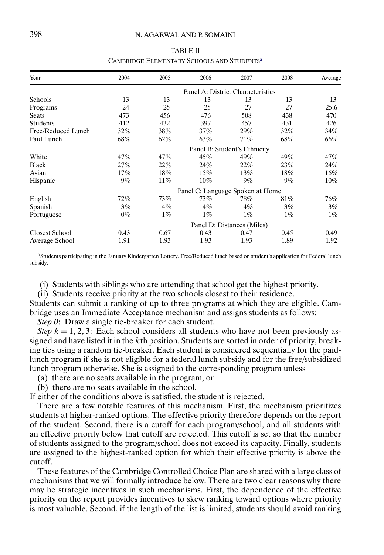# <span id="page-7-0"></span>398 N. AGARWAL AND P. SOMAINI

## TABLE II

#### CAMBRIDGE ELEMENTARY SCHOOLS AND STUDENTS<sup>a</sup>

| Year                  | 2004  | 2005   | 2006                              | 2007                         | 2008  | Average |
|-----------------------|-------|--------|-----------------------------------|------------------------------|-------|---------|
|                       |       |        | Panel A: District Characteristics |                              |       |         |
| Schools               | 13    | 13     | 13                                | 13                           | 13    | 13      |
| Programs              | 24    | 25     | 25                                | 27                           | 27    | 25.6    |
| Seats                 | 473   | 456    | 476                               | 508                          | 438   | 470     |
| <b>Students</b>       | 412   | 432    | 397                               | 457                          | 431   | 426     |
| Free/Reduced Lunch    | 32%   | 38%    | 37%                               | $29\%$                       | 32%   | 34%     |
| Paid Lunch            | 68%   | 62%    | 63%                               | 71%                          | 68%   | 66%     |
|                       |       |        |                                   | Panel B: Student's Ethnicity |       |         |
| White                 | 47%   | 47%    | 45%                               | 49%                          | 49%   | 47%     |
| <b>Black</b>          | 27%   | 22%    | 24%                               | 22%                          | 23%   | 24%     |
| Asian                 | 17%   | 18%    | 15%                               | $13\%$                       | 18%   | 16%     |
| Hispanic              | $9\%$ | $11\%$ | $10\%$                            | $9\%$                        | $9\%$ | $10\%$  |
|                       |       |        | Panel C: Language Spoken at Home  |                              |       |         |
| English               | 72%   | 73%    | 73%                               | 78%                          | 81%   | 76%     |
| Spanish               | 3%    | $4\%$  | $4\%$                             | $4\%$                        | 3%    | 3%      |
| Portuguese            | $0\%$ | $1\%$  | $1\%$                             | $1\%$                        | $1\%$ | $1\%$   |
|                       |       |        |                                   | Panel D: Distances (Miles)   |       |         |
| <b>Closest School</b> | 0.43  | 0.67   | 0.43                              | 0.47                         | 0.45  | 0.49    |
| Average School        | 1.91  | 1.93   | 1.93                              | 1.93                         | 1.89  | 1.92    |

aStudents participating in the January Kindergarten Lottery. Free/Reduced lunch based on student's application for Federal lunch subsidy.

(i) Students with siblings who are attending that school get the highest priority.

(ii) Students receive priority at the two schools closest to their residence.

Students can submit a ranking of up to three programs at which they are eligible. Cambridge uses an Immediate Acceptance mechanism and assigns students as follows:

*Step 0*: Draw a single tie-breaker for each student.

*Step*  $k = 1, 2, 3$ : Each school considers all students who have not been previously assigned and have listed it in the kth position. Students are sorted in order of priority, breaking ties using a random tie-breaker. Each student is considered sequentially for the paidlunch program if she is not eligible for a federal lunch subsidy and for the free/subsidized lunch program otherwise. She is assigned to the corresponding program unless

- (a) there are no seats available in the program, or
- (b) there are no seats available in the school.

If either of the conditions above is satisfied, the student is rejected.

There are a few notable features of this mechanism. First, the mechanism prioritizes students at higher-ranked options. The effective priority therefore depends on the report of the student. Second, there is a cutoff for each program/school, and all students with an effective priority below that cutoff are rejected. This cutoff is set so that the number of students assigned to the program/school does not exceed its capacity. Finally, students are assigned to the highest-ranked option for which their effective priority is above the cutoff.

These features of the Cambridge Controlled Choice Plan are shared with a large class of mechanisms that we will formally introduce below. There are two clear reasons why there may be strategic incentives in such mechanisms. First, the dependence of the effective priority on the report provides incentives to skew ranking toward options where priority is most valuable. Second, if the length of the list is limited, students should avoid ranking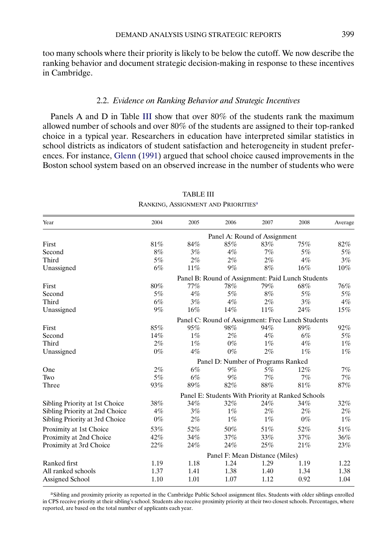<span id="page-8-0"></span>too many schools where their priority is likely to be below the cutoff. We now describe the ranking behavior and document strategic decision-making in response to these incentives in Cambridge.

# 2.2. *Evidence on Ranking Behavior and Strategic Incentives*

Panels A and D in Table III show that over 80% of the students rank the maximum allowed number of schools and over 80% of the students are assigned to their top-ranked choice in a typical year. Researchers in education have interpreted similar statistics in school districts as indicators of student satisfaction and heterogeneity in student preferences. For instance, [Glenn](#page-52-0) [\(1991\)](#page-52-0) argued that school choice caused improvements in the Boston school system based on an observed increase in the number of students who were

| Year                           | 2004                         | 2005  | 2006  | 2007                               | 2008                                              | Average |  |  |  |
|--------------------------------|------------------------------|-------|-------|------------------------------------|---------------------------------------------------|---------|--|--|--|
|                                | Panel A: Round of Assignment |       |       |                                    |                                                   |         |  |  |  |
| First                          | 81%                          | 84%   | 85%   | 83%                                | 75%                                               | 82%     |  |  |  |
| Second                         | 8%                           | 3%    | $4\%$ | 7%                                 | 5%                                                | $5\%$   |  |  |  |
| Third                          | 5%                           | 2%    | 2%    | 2%                                 | 4%                                                | 3%      |  |  |  |
| Unassigned                     | 6%                           | 11%   | 9%    | 8%                                 | $16\%$                                            | $10\%$  |  |  |  |
|                                |                              |       |       |                                    | Panel B: Round of Assignment: Paid Lunch Students |         |  |  |  |
| First                          | 80%                          | 77%   | 78%   | 79%                                | 68%                                               | 76%     |  |  |  |
| Second                         | 5%                           | 4%    | 5%    | 8%                                 | 5%                                                | $5\%$   |  |  |  |
| Third                          | 6%                           | 3%    | 4%    | 2%                                 | 3%                                                | $4\%$   |  |  |  |
| Unassigned                     | 9%                           | 16%   | 14%   | 11%                                | 24%                                               | 15%     |  |  |  |
|                                |                              |       |       |                                    | Panel C: Round of Assignment: Free Lunch Students |         |  |  |  |
| First                          | 85%                          | 95%   | 98%   | 94%                                | 89%                                               | 92%     |  |  |  |
| Second                         | 14%                          | $1\%$ | $2\%$ | 4%                                 | $6\%$                                             | 5%      |  |  |  |
| Third                          | 2%                           | $1\%$ | $0\%$ | $1\%$                              | $4\%$                                             | $1\%$   |  |  |  |
| Unassigned                     | $0\%$                        | $4\%$ | $0\%$ | 2%                                 | $1\%$                                             | $1\%$   |  |  |  |
|                                |                              |       |       | Panel D: Number of Programs Ranked |                                                   |         |  |  |  |
| One                            | 2%                           | 6%    | $9\%$ | 5%                                 | $12\%$                                            | 7%      |  |  |  |
| Two                            | 5%                           | 6%    | 9%    | 7%                                 | 7%                                                | 7%      |  |  |  |
| Three                          | 93%                          | 89%   | 82%   | 88%                                | $81\%$                                            | 87%     |  |  |  |
|                                |                              |       |       |                                    | Panel E: Students With Priority at Ranked Schools |         |  |  |  |
| Sibling Priority at 1st Choice | 38%                          | 34%   | 32%   | 24%                                | 34%                                               | $32\%$  |  |  |  |
| Sibling Priority at 2nd Choice | $4\%$                        | 3%    | $1\%$ | $2\%$                              | $2\%$                                             | 2%      |  |  |  |
| Sibling Priority at 3rd Choice | $0\%$                        | 2%    | $1\%$ | $1\%$                              | $0\%$                                             | $1\%$   |  |  |  |
| Proximity at 1st Choice        | 53%                          | 52%   | 50%   | 51%                                | 52%                                               | 51%     |  |  |  |
| Proximity at 2nd Choice        | 42%                          | 34%   | 37%   | 33%                                | 37%                                               | 36%     |  |  |  |
| Proximity at 3rd Choice        | 22%                          | 24%   | 24%   | 25%                                | 21%                                               | 23%     |  |  |  |
|                                |                              |       |       | Panel F: Mean Distance (Miles)     |                                                   |         |  |  |  |
| Ranked first                   | 1.19                         | 1.18  | 1.24  | 1.29                               | 1.19                                              | 1.22    |  |  |  |
| All ranked schools             | 1.37                         | 1.41  | 1.38  | 1.40                               | 1.34                                              | 1.38    |  |  |  |
| Assigned School                | 1.10                         | 1.01  | 1.07  | 1.12                               | 0.92                                              | 1.04    |  |  |  |

# TABLE III RANKING, ASSIGNMENT AND PRIORITIES<sup>a</sup>

aSibling and proximity priority as reported in the Cambridge Public School assignment files. Students with older siblings enrolled in CPS receive priority at their sibling's school. Students also receive proximity priority at their two closest schools. Percentages, where reported, are based on the total number of applicants each year.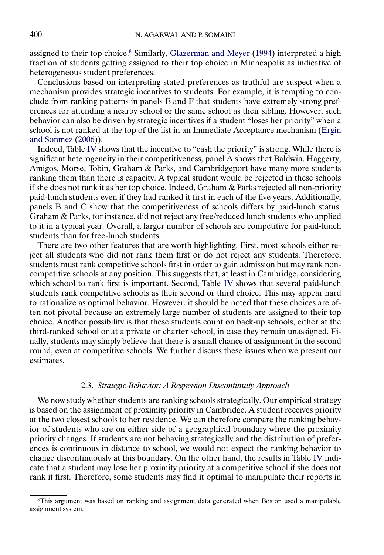<span id="page-9-0"></span>assigned to their top choice.<sup>8</sup> Similarly, [Glazerman and Meyer](#page-52-0) [\(1994\)](#page-52-0) interpreted a high fraction of students getting assigned to their top choice in Minneapolis as indicative of heterogeneous student preferences.

Conclusions based on interpreting stated preferences as truthful are suspect when a mechanism provides strategic incentives to students. For example, it is tempting to conclude from ranking patterns in panels E and F that students have extremely strong preferences for attending a nearby school or the same school as their sibling. However, such behavior can also be driven by strategic incentives if a student "loses her priority" when a school is not ranked at the top of the list in an Immediate Acceptance mechanism [\(Ergin](#page-52-0) [and Sonmez](#page-52-0) [\(2006\)](#page-52-0)).

Indeed, Table [IV](#page-10-0) shows that the incentive to "cash the priority" is strong. While there is significant heterogeneity in their competitiveness, panel A shows that Baldwin, Haggerty, Amigos, Morse, Tobin, Graham & Parks, and Cambridgeport have many more students ranking them than there is capacity. A typical student would be rejected in these schools if she does not rank it as her top choice. Indeed, Graham & Parks rejected all non-priority paid-lunch students even if they had ranked it first in each of the five years. Additionally, panels B and C show that the competitiveness of schools differs by paid-lunch status. Graham & Parks, for instance, did not reject any free/reduced lunch students who applied to it in a typical year. Overall, a larger number of schools are competitive for paid-lunch students than for free-lunch students.

There are two other features that are worth highlighting. First, most schools either reject all students who did not rank them first or do not reject any students. Therefore, students must rank competitive schools first in order to gain admission but may rank noncompetitive schools at any position. This suggests that, at least in Cambridge, considering which school to rank first is important. Second, Table [IV](#page-10-0) shows that several paid-lunch students rank competitive schools as their second or third choice. This may appear hard to rationalize as optimal behavior. However, it should be noted that these choices are often not pivotal because an extremely large number of students are assigned to their top choice. Another possibility is that these students count on back-up schools, either at the third-ranked school or at a private or charter school, in case they remain unassigned. Finally, students may simply believe that there is a small chance of assignment in the second round, even at competitive schools. We further discuss these issues when we present our estimates.

## 2.3. *Strategic Behavior: A Regression Discontinuity Approach*

We now study whether students are ranking schools strategically. Our empirical strategy is based on the assignment of proximity priority in Cambridge. A student receives priority at the two closest schools to her residence. We can therefore compare the ranking behavior of students who are on either side of a geographical boundary where the proximity priority changes. If students are not behaving strategically and the distribution of preferences is continuous in distance to school, we would not expect the ranking behavior to change discontinuously at this boundary. On the other hand, the results in Table [IV](#page-10-0) indicate that a student may lose her proximity priority at a competitive school if she does not rank it first. Therefore, some students may find it optimal to manipulate their reports in

<sup>8</sup>This argument was based on ranking and assignment data generated when Boston used a manipulable assignment system.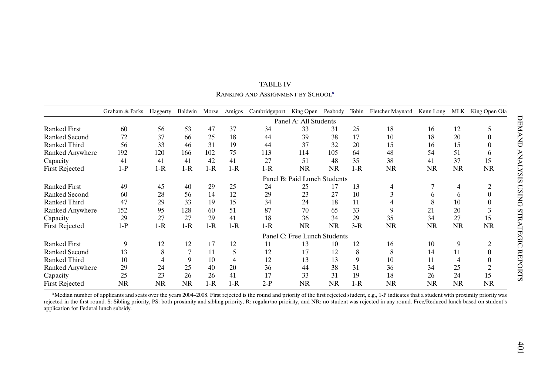<span id="page-10-0"></span>

|                        | Graham & Parks | Haggerty  | Baldwin   | Morse | Amigos | Cambridgeport | King Open                    | Peabody   | Tobin | Fletcher Maynard | Kenn Long    | MLK       | King Open Ola  |
|------------------------|----------------|-----------|-----------|-------|--------|---------------|------------------------------|-----------|-------|------------------|--------------|-----------|----------------|
|                        |                |           |           |       |        |               | Panel A: All Students        |           |       |                  |              |           |                |
| <b>Ranked First</b>    | 60             | 56        | 53        | 47    | 37     | 34            | 33                           | 31        | 25    | 18               | 16           | 12        | 5              |
| <b>Ranked Second</b>   | 72             | 37        | 66        | 25    | 18     | 44            | 39                           | 38        | 17    | 10               | 18           | 20        |                |
| <b>Ranked Third</b>    | 56             | 33        | 46        | 31    | 19     | 44            | 37                           | 32        | 20    | 15               | 16           | 15        |                |
| <b>Ranked Anywhere</b> | 192            | 120       | 166       | 102   | 75     | 113           | 114                          | 105       | 64    | 48               | 54           | 51        | <sub>0</sub>   |
| Capacity               | 41             | 41        | 41        | 42    | 41     | 27            | 51                           | 48        | 35    | 38               | 41           | 37        | 15             |
| <b>First Rejected</b>  | $1-P$          | $1-R$     | $1-R$     | $1-R$ | $1-R$  | $1-R$         | <b>NR</b>                    | <b>NR</b> | $1-R$ | <b>NR</b>        | <b>NR</b>    | <b>NR</b> | <b>NR</b>      |
|                        |                |           |           |       |        |               | Panel B: Paid Lunch Students |           |       |                  |              |           |                |
| <b>Ranked First</b>    | 49             | 45        | 40        | 29    | 25     | 24            | 25                           | 17        | 13    | 4                | 7            | 4         |                |
| <b>Ranked Second</b>   | 60             | 28        | 56        | 14    | 12     | 29            | 23                           | 27        | 10    | 3                | <sub>0</sub> | 6         |                |
| Ranked Third           | 47             | 29        | 33        | 19    | 15     | 34            | 24                           | 18        | 11    |                  | 8            | 10        |                |
| <b>Ranked Anywhere</b> | 152            | 95        | 128       | 60    | 51     | 87            | 70                           | 65        | 33    | 9                | 21           | 20        | 3              |
| Capacity               | 29             | 27        | 27        | 29    | 41     | 18            | 36                           | 34        | 29    | 35               | 34           | 27        | 15             |
| First Rejected         | $1-P$          | $1-R$     | $1-R$     | $1-R$ | $1-R$  | $1-R$         | <b>NR</b>                    | <b>NR</b> | $3-R$ | <b>NR</b>        | <b>NR</b>    | <b>NR</b> | <b>NR</b>      |
|                        |                |           |           |       |        |               | Panel C: Free Lunch Students |           |       |                  |              |           |                |
| <b>Ranked First</b>    | 9              | 12        | 12        | 17    | 12     | 11            | 13                           | 10        | 12    | 16               | 10           | 9         | C              |
| Ranked Second          | 13             | 8         | 7         | 11    | 5      | 12            | 17                           | 12        | 8     | 8                | 14           | 11        | 0              |
| Ranked Third           | 10             | 4         | 9         | 10    | 4      | 12            | 13                           | 13        | 9     | 10               | 11           | 4         |                |
| Ranked Anywhere        | 29             | 24        | 25        | 40    | 20     | 36            | 44                           | 38        | 31    | 36               | 34           | 25        | $\overline{2}$ |
| Capacity               | 25             | 23        | 26        | 26    | 41     | 17            | 33                           | 31        | 19    | 18               | 26           | 24        | 15             |
| <b>First Rejected</b>  | <b>NR</b>      | <b>NR</b> | <b>NR</b> | $1-R$ | $1-R$  | $2-P$         | <b>NR</b>                    | <b>NR</b> | $1-R$ | <b>NR</b>        | <b>NR</b>    | NR.       | <b>NR</b>      |

TABLE IVRANKING AND ASSIGNMENT BY SCHOOL<sup>a</sup>

<sup>a</sup>Median number of applicants and seats over the years 2004–2008. First rejected is the round and priority of the first rejected student, e.g., 1-P indicates that a student with proximity priority was rejected in the first round. S: Sibling priority, PS: both proximity and sibling priority, R: regular/no priority, and NR: no student was rejected in any round. Free/Reduced lunch based on student's application for Federal lunch subsidy.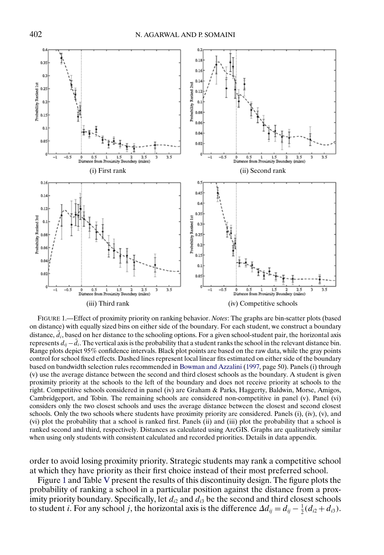<span id="page-11-0"></span>

FIGURE 1.—Effect of proximity priority on ranking behavior. *Notes*: The graphs are bin-scatter plots (based on distance) with equally sized bins on either side of the boundary. For each student, we construct a boundary distance,  $\bar{d}_i$ , based on her distance to the schooling options. For a given school-student pair, the horizontal axis represents  $d_{ij} - \bar{d}_i$ . The vertical axis is the probability that a student ranks the school in the relevant distance bin. Range plots depict 95% confidence intervals. Black plot points are based on the raw data, while the gray points control for school fixed effects. Dashed lines represent local linear fits estimated on either side of the boundary based on bandwidth selection rules recommended in [Bowman and Azzalini](#page-51-0) [\(1997,](#page-51-0) page 50). Panels (i) through (v) use the average distance between the second and third closest schools as the boundary. A student is given proximity priority at the schools to the left of the boundary and does not receive priority at schools to the right. Competitive schools considered in panel (iv) are Graham & Parks, Haggerty, Baldwin, Morse, Amigos, Cambridgeport, and Tobin. The remaining schools are considered non-competitive in panel (v). Panel (vi) considers only the two closest schools and uses the average distance between the closest and second closest schools. Only the two schools where students have proximity priority are considered. Panels (i), (iv), (v), and (vi) plot the probability that a school is ranked first. Panels (ii) and (iii) plot the probability that a school is ranked second and third, respectively. Distances as calculated using ArcGIS. Graphs are qualitatively similar when using only students with consistent calculated and recorded priorities. Details in data appendix.

order to avoid losing proximity priority. Strategic students may rank a competitive school at which they have priority as their first choice instead of their most preferred school.

Figure 1 and Table [V](#page-13-0) present the results of this discontinuity design. The figure plots the probability of ranking a school in a particular position against the distance from a proximity priority boundary. Specifically, let  $d_{i2}$  and  $d_{i3}$  be the second and third closest schools to student *i*. For any school *j*, the horizontal axis is the difference  $\Delta d_{ij} = d_{ij} - \frac{1}{2}(d_{i2} + d_{i3})$ .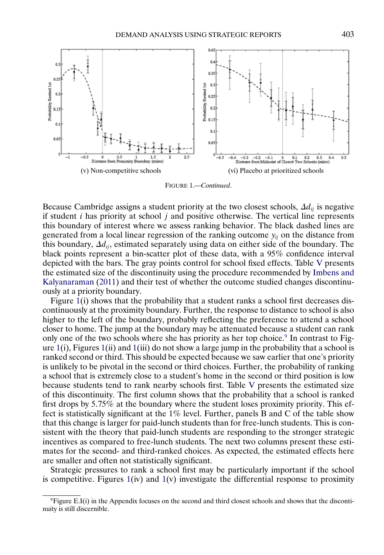<span id="page-12-0"></span>

FIGURE 1.—*Continued*.

Because Cambridge assigns a student priority at the two closest schools,  $\Delta d_{ij}$  is negative if student  $i$  has priority at school  $j$  and positive otherwise. The vertical line represents this boundary of interest where we assess ranking behavior. The black dashed lines are generated from a local linear regression of the ranking outcome  $y_{ij}$  on the distance from this boundary,  $\Delta d_{ii}$ , estimated separately using data on either side of the boundary. The black points represent a bin-scatter plot of these data, with a 95% confidence interval depicted with the bars. The gray points control for school fixed effects. Table [V](#page-13-0) presents the estimated size of the discontinuity using the procedure recommended by [Imbens and](#page-52-0) [Kalyanaraman](#page-52-0) [\(2011\)](#page-52-0) and their test of whether the outcome studied changes discontinuously at a priority boundary.

Figure [1\(](#page-11-0)i) shows that the probability that a student ranks a school first decreases discontinuously at the proximity boundary. Further, the response to distance to school is also higher to the left of the boundary, probably reflecting the preference to attend a school closer to home. The jump at the boundary may be attenuated because a student can rank only one of the two schools where she has priority as her top choice.<sup>9</sup> In contrast to Figure  $1(i)$  $1(i)$ , Figures  $1(ii)$  and  $1(iii)$  do not show a large jump in the probability that a school is ranked second or third. This should be expected because we saw earlier that one's priority is unlikely to be pivotal in the second or third choices. Further, the probability of ranking a school that is extremely close to a student's home in the second or third position is low because students tend to rank nearby schools first. Table [V](#page-13-0) presents the estimated size of this discontinuity. The first column shows that the probability that a school is ranked first drops by 575% at the boundary where the student loses proximity priority. This effect is statistically significant at the 1% level. Further, panels B and C of the table show that this change is larger for paid-lunch students than for free-lunch students. This is consistent with the theory that paid-lunch students are responding to the stronger strategic incentives as compared to free-lunch students. The next two columns present these estimates for the second- and third-ranked choices. As expected, the estimated effects here are smaller and often not statistically significant.

Strategic pressures to rank a school first may be particularly important if the school is competitive. Figures  $1(iv)$  $1(iv)$  and  $1(v)$  investigate the differential response to proximity

 $9$ Figure E.I(i) in the Appendix focuses on the second and third closest schools and shows that the discontinuity is still discernible.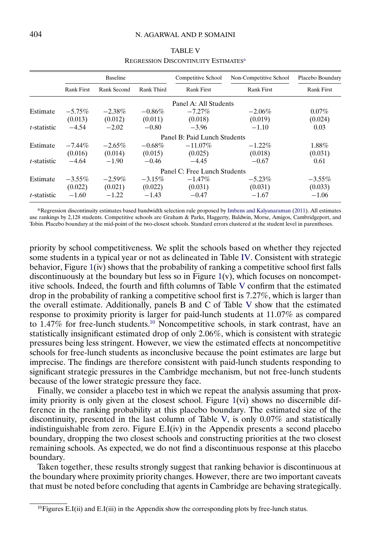<span id="page-13-0"></span>

|                     |                                  | Baseline  |            | Competitive School           | Non-Competitive School | Placebo Boundary  |
|---------------------|----------------------------------|-----------|------------|------------------------------|------------------------|-------------------|
|                     | Rank Second<br><b>Rank First</b> |           | Rank Third | <b>Rank First</b>            | <b>Rank First</b>      | <b>Rank First</b> |
|                     |                                  |           |            | Panel A: All Students        |                        |                   |
| Estimate            | $-5.75\%$                        | $-2.38%$  | $-0.86\%$  | $-7.27\%$                    | $-2.06\%$              | $0.07\%$          |
|                     | (0.013)                          | (0.012)   | (0.011)    | (0.018)                      | (0.019)                | (0.024)           |
| <i>t</i> -statistic | $-4.54$                          | $-2.02$   | $-0.80$    | $-3.96$                      | $-1.10$                | 0.03              |
|                     |                                  |           |            | Panel B: Paid Lunch Students |                        |                   |
| Estimate            | $-7.44\%$                        | $-2.65\%$ | $-0.68\%$  | $-11.07\%$                   | $-1.22\%$              | $1.88\%$          |
|                     | (0.016)                          | (0.014)   | (0.015)    | (0.025)                      | (0.018)                | (0.031)           |
| <i>t</i> -statistic | $-4.64$                          | $-1.90$   | $-0.46$    | $-4.45$                      | $-0.67$                | 0.61              |
|                     |                                  |           |            | Panel C: Free Lunch Students |                        |                   |
| Estimate            | $-3.55\%$                        | $-2.59\%$ | $-3.15\%$  | $-1.47\%$                    | $-5.23\%$              | $-3.55\%$         |
|                     | (0.022)                          | (0.021)   | (0.022)    | (0.031)                      | (0.031)                | (0.033)           |
| $t$ -statistic      | $-1.60$                          | $-1.22$   | $-1.43$    | $-0.47$                      | $-1.67$                | $-1.06$           |

# TABLE V REGRESSION DISCONTINUITY ESTIMATES<sup>a</sup>

aRegression discontinuity estimates based bandwidth selection rule proposed by [Imbens and Kalyanaraman](#page-52-0) [\(2011\)](#page-52-0). All estimates use rankings by 2,128 students. Competitive schools are Graham & Parks, Haggerty, Baldwin, Morse, Amigos, Cambridgeport, and Tobin. Placebo boundary at the mid-point of the two-closest schools. Standard errors clustered at the student level in parentheses.

priority by school competitiveness. We split the schools based on whether they rejected some students in a typical year or not as delineated in Table [IV.](#page-10-0) Consistent with strategic behavior, Figure [1\(](#page-11-0)iv) shows that the probability of ranking a competitive school first falls discontinuously at the boundary but less so in Figure  $1(v)$  $1(v)$ , which focuses on noncompetitive schools. Indeed, the fourth and fifth columns of Table V confirm that the estimated drop in the probability of ranking a competitive school first is 727%, which is larger than the overall estimate. Additionally, panels B and C of Table V show that the estimated response to proximity priority is larger for paid-lunch students at 1107% as compared to 1.47% for free-lunch students.<sup>10</sup> Noncompetitive schools, in stark contrast, have an statistically insignificant estimated drop of only 206%, which is consistent with strategic pressures being less stringent. However, we view the estimated effects at noncompetitive schools for free-lunch students as inconclusive because the point estimates are large but imprecise. The findings are therefore consistent with paid-lunch students responding to significant strategic pressures in the Cambridge mechanism, but not free-lunch students because of the lower strategic pressure they face.

Finally, we consider a placebo test in which we repeat the analysis assuming that proximity priority is only given at the closest school. Figure [1\(](#page-11-0)vi) shows no discernible difference in the ranking probability at this placebo boundary. The estimated size of the discontinuity, presented in the last column of Table V, is only 007% and statistically indistinguishable from zero. Figure E.I(iv) in the Appendix presents a second placebo boundary, dropping the two closest schools and constructing priorities at the two closest remaining schools. As expected, we do not find a discontinuous response at this placebo boundary.

Taken together, these results strongly suggest that ranking behavior is discontinuous at the boundary where proximity priority changes. However, there are two important caveats that must be noted before concluding that agents in Cambridge are behaving strategically.

 $^{10}$ Figures E.I(ii) and E.I(iii) in the Appendix show the corresponding plots by free-lunch status.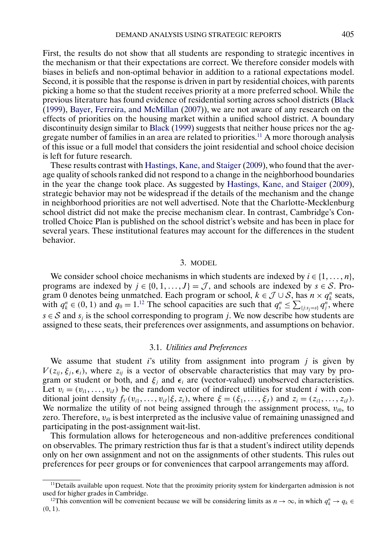<span id="page-14-0"></span>First, the results do not show that all students are responding to strategic incentives in the mechanism or that their expectations are correct. We therefore consider models with biases in beliefs and non-optimal behavior in addition to a rational expectations model. Second, it is possible that the response is driven in part by residential choices, with parents picking a home so that the student receives priority at a more preferred school. While the previous literature has found evidence of residential sorting across school districts [\(Black](#page-51-0) [\(1999\)](#page-51-0), [Bayer, Ferreira, and McMillan](#page-51-0) [\(2007\)](#page-51-0)), we are not aware of any research on the effects of priorities on the housing market within a unified school district. A boundary discontinuity design similar to [Black](#page-51-0) [\(1999\)](#page-51-0) suggests that neither house prices nor the aggregate number of families in an area are related to priorities.<sup>11</sup> A more thorough analysis of this issue or a full model that considers the joint residential and school choice decision is left for future research.

These results contrast with [Hastings, Kane, and Staiger](#page-52-0) [\(2009\)](#page-52-0), who found that the average quality of schools ranked did not respond to a change in the neighborhood boundaries in the year the change took place. As suggested by [Hastings, Kane, and Staiger](#page-52-0) [\(2009\)](#page-52-0), strategic behavior may not be widespread if the details of the mechanism and the change in neighborhood priorities are not well advertised. Note that the Charlotte-Mecklenburg school district did not make the precise mechanism clear. In contrast, Cambridge's Controlled Choice Plan is published on the school district's website and has been in place for several years. These institutional features may account for the differences in the student behavior.

# 3. MODEL

We consider school choice mechanisms in which students are indexed by  $i \in \{1, \ldots, n\}$ , programs are indexed by  $j \in \{0, 1, ..., J\} = \mathcal{J}$ , and schools are indexed by  $s \in \mathcal{S}$ . Program 0 denotes being unmatched. Each program or school,  $k \in \mathcal{J} \cup \mathcal{S}$ , has  $n \times q_k^n$  seats, with  $q_k^n \in (0, 1)$  and  $q_0 = 1.12$  The school capacities are such that  $q_s^n \leq \sum_{\{j:s_j=s\}} q_j^n$ , where  $s \in S$  and  $s_i$  is the school corresponding to program j. We now describe how students are assigned to these seats, their preferences over assignments, and assumptions on behavior.

## 3.1. *Utilities and Preferences*

We assume that student is utility from assignment into program  $j$  is given by  $V(z_{ij}, \xi_j, \epsilon_i)$ , where  $z_{ij}$  is a vector of observable characteristics that may vary by program or student or both, and  $\xi_i$  and  $\epsilon_i$  are (vector-valued) unobserved characteristics. Let  $v_i = (v_{i1}, \dots, v_{iJ})$  be the random vector of indirect utilities for student *i* with conditional joint density  $f_V(v_{i1},...,v_{iJ}|\xi,z_i)$ , where  $\xi = (\xi_1,...,\xi_J)$  and  $z_i = (z_{i1},...,z_{iJ})$ . We normalize the utility of not being assigned through the assignment process,  $v_{i0}$ , to zero. Therefore,  $v_{i0}$  is best interpreted as the inclusive value of remaining unassigned and participating in the post-assignment wait-list.

This formulation allows for heterogeneous and non-additive preferences conditional on observables. The primary restriction thus far is that a student's indirect utility depends only on her own assignment and not on the assignments of other students. This rules out preferences for peer groups or for conveniences that carpool arrangements may afford.

 $11$  Details available upon request. Note that the proximity priority system for kindergarten admission is not used for higher grades in Cambridge.

<sup>&</sup>lt;sup>12</sup>This convention will be convenient because we will be considering limits as  $n \to \infty$ , in which  $q_k^n \to q_k \in$  $(0, 1)$ .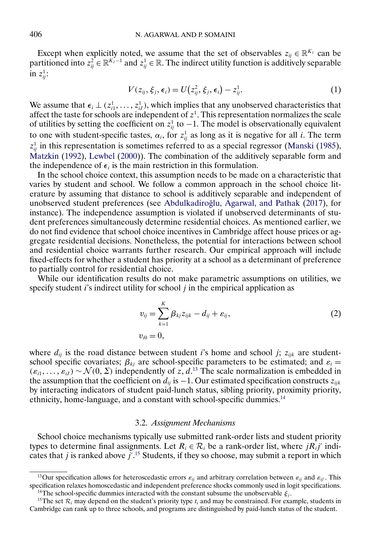<span id="page-15-0"></span>Except when explicitly noted, we assume that the set of observables  $z_{ij} \in \mathbb{R}^{K_z}$  can be partitioned into  $z_{ij}^2 \in \mathbb{R}^{K_z-1}$  and  $z_{ij}^1 \in \mathbb{R}$ . The indirect utility function is additively separable in  $z_{ij}^1$ :

$$
V(z_{ij}, \xi_j, \epsilon_i) = U\big(z_{ij}^2, \xi_j, \epsilon_i\big) - z_{ij}^1.
$$
\n(1)

We assume that  $\epsilon_i \perp (z_{i1}^1, \ldots, z_{iJ}^1)$ , which implies that any unobserved characteristics that affect the taste for schools are independent of  $z<sup>1</sup>$ . This representation normalizes the scale of utilities by setting the coefficient on  $z_{ij}^1$  to  $-1$ . The model is observationally equivalent to one with student-specific tastes,  $\alpha_i$ , for  $z_{ij}^1$  as long as it is negative for all *i*. The term  $z_{ij}^1$  in this representation is sometimes referred to as a special regressor [\(Manski](#page-52-0) [\(1985\)](#page-52-0), [Matzkin](#page-52-0) [\(1992\)](#page-52-0), [Lewbel](#page-52-0) [\(2000\)](#page-52-0)). The combination of the additively separable form and the independence of  $\epsilon_i$  is the main restriction in this formulation.

In the school choice context, this assumption needs to be made on a characteristic that varies by student and school. We follow a common approach in the school choice literature by assuming that distance to school is additively separable and independent of unobserved student preferences (see Abdulkadiroğlu, Agarwal, and Pathak [\(2017\)](#page-50-0), for instance). The independence assumption is violated if unobserved determinants of student preferences simultaneously determine residential choices. As mentioned earlier, we do not find evidence that school choice incentives in Cambridge affect house prices or aggregate residential decisions. Nonetheless, the potential for interactions between school and residential choice warrants further research. Our empirical approach will include fixed-effects for whether a student has priority at a school as a determinant of preference to partially control for residential choice.

While our identification results do not make parametric assumptions on utilities, we specify student  $i$ 's indirect utility for school  $j$  in the empirical application as

$$
v_{ij} = \sum_{k=1}^{K} \beta_{kj} z_{ijk} - d_{ij} + \varepsilon_{ij},
$$
  
\n
$$
v_{i0} = 0,
$$
\n(2)

where  $d_{ij}$  is the road distance between student i's home and school j;  $z_{ijk}$  are studentschool specific covariates;  $\beta_{kj}$  are school-specific parameters to be estimated; and  $\varepsilon_i =$  $(\varepsilon_{i1},\ldots,\varepsilon_{iJ}) \sim \mathcal{N}(0,\Sigma)$  independently of z, d.<sup>13</sup> The scale normalization is embedded in the assumption that the coefficient on  $d_{ij}$  is −1. Our estimated specification constructs  $z_{ijk}$ by interacting indicators of student paid-lunch status, sibling priority, proximity priority, ethnicity, home-language, and a constant with school-specific dummies.<sup>14</sup>

## 3.2. *Assignment Mechanisms*

School choice mechanisms typically use submitted rank-order lists and student priority types to determine final assignments. Let  $R_i \in \mathcal{R}_i$  be a rank-order list, where  $jR_i j'$  indicates that  $j$  is ranked above  $j'$ .<sup>15</sup> Students, if they so choose, may submit a report in which

<sup>&</sup>lt;sup>13</sup>Our specification allows for heteroscedastic errors  $\varepsilon_{ij}$  and arbitrary correlation between  $\varepsilon_{ij}$  and  $\varepsilon_{ij'}$ . This specification relaxes homoscedastic and independent preference shocks commonly used in logit specifications. <sup>14</sup>The school-specific dummies interacted with the constant subsume the unobservable  $\xi_i$ .

<sup>&</sup>lt;sup>15</sup>The set  $\mathcal{R}_i$  may depend on the student's priority type  $t_i$  and may be constrained. For example, students in Cambridge can rank up to three schools, and programs are distinguished by paid-lunch status of the student.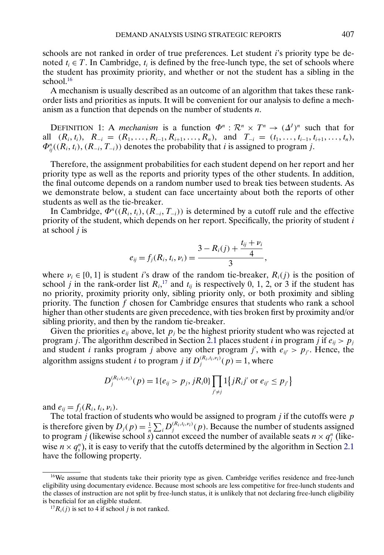<span id="page-16-0"></span>schools are not ranked in order of true preferences. Let student i's priority type be denoted  $t_i \in T$ . In Cambridge,  $t_i$  is defined by the free-lunch type, the set of schools where the student has proximity priority, and whether or not the student has a sibling in the school. $16$ 

A mechanism is usually described as an outcome of an algorithm that takes these rankorder lists and priorities as inputs. It will be convenient for our analysis to define a mechanism as a function that depends on the number of students  $n$ .

DEFINITION 1: A *mechanism* is a function  $\Phi^n : \mathbb{R}^n \times T^n \to (\Delta^I)^n$  such that for all  $(R_i, t_i)$ ,  $R_{-i} = (R_1, \ldots, R_{i-1}, R_{i+1}, \ldots, R_n)$ , and  $T_{-i} = (t_1, \ldots, t_{i-1}, t_{i+1}, \ldots, t_n)$ ,  $\Phi_{ij}^n((R_i, t_i), (R_{-i}, T_{-i}))$  denotes the probability that *i* is assigned to program *j*.

Therefore, the assignment probabilities for each student depend on her report and her priority type as well as the reports and priority types of the other students. In addition, the final outcome depends on a random number used to break ties between students. As we demonstrate below, a student can face uncertainty about both the reports of other students as well as the tie-breaker.

In Cambridge,  $\Phi^n((R_i, t_i), (R_{-i}, T_{-i}))$  is determined by a cutoff rule and the effective priority of the student, which depends on her report. Specifically, the priority of student  $i$ at school  $j$  is

$$
e_{ij} = f_j(R_i, t_i, \nu_i) = \frac{3 - R_i(j) + \frac{t_{ij} + \nu_i}{4}}{3},
$$

where  $v_i \in [0, 1]$  is student i's draw of the random tie-breaker,  $R_i(j)$  is the position of school *j* in the rank-order list  $R_i$ ,<sup>17</sup> and  $t_{ij}$  is respectively 0, 1, 2, or 3 if the student has no priority, proximity priority only, sibling priority only, or both proximity and sibling priority. The function f chosen for Cambridge ensures that students who rank a school higher than other students are given precedence, with ties broken first by proximity and/or sibling priority, and then by the random tie-breaker.

Given the priorities  $e_{ij}$  above, let  $p_j$  be the highest priority student who was rejected at program j. The algorithm described in Section [2.1](#page-6-0) places student i in program j if  $e_{ii} > p_i$ and student *i* ranks program *j* above any other program *j'*, with  $e_{ij} > p_{j'}$ . Hence, the algorithm assigns student *i* to program *j* if  $D_j^{(R_i, t_i, v_i)}(p) = 1$ , where

$$
D_j^{(R_i,t_i,\nu_i)}(p) = 1\{e_{ij} > p_j, jR_i0\} \prod_{j' \neq j} 1\{jR_i j' \text{ or } e_{ij'} \leq p_{j'}\}
$$

and  $e_{ij} = f_j(R_i, t_i, \nu_i)$ .

The total fraction of students who would be assigned to program  $j$  if the cutoffs were  $p$ is therefore given by  $D_j(p) = \frac{1}{n} \sum_i D_j^{(R_i, t_i, v_i)}(p)$ . Because the number of students assigned to program *j* (likewise school *s*) cannot exceed the number of available seats  $n \times q_j^n$  (likewise  $n \times q_s^n$ ), it is easy to verify that the cutoffs determined by the algorithm in Section [2.1](#page-6-0) have the following property.

 $16$ We assume that students take their priority type as given. Cambridge verifies residence and free-lunch eligibility using documentary evidence. Because most schools are less competitive for free-lunch students and the classes of instruction are not split by free-lunch status, it is unlikely that not declaring free-lunch eligibility is beneficial for an eligible student.

<sup>&</sup>lt;sup>17</sup> $R_i(j)$  is set to 4 if school *j* is not ranked.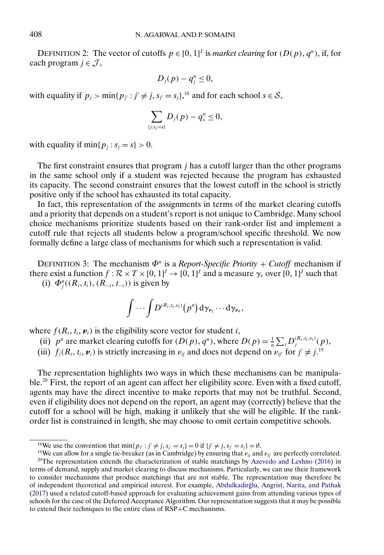DEFINITION 2: The vector of cutoffs  $p \in [0, 1]^J$  is *market clearing* for  $(D(p), q^n)$ , if, for each program  $j \in \mathcal{J}$ ,

$$
D_j(p)-q_j^n\leq 0,
$$

with equality if  $p_j > \min\{p_{j'} : j' \neq j, s_{j'} = s_j\}$ ,<sup>18</sup> and for each school  $s \in S$ ,

$$
\sum_{\{j:s_j=s\}} D_j(p)-q_s^n\leq 0,
$$

with equality if  $\min\{p_i : s_i = s\} > 0$ .

The first constraint ensures that program  $j$  has a cutoff larger than the other programs in the same school only if a student was rejected because the program has exhausted its capacity. The second constraint ensures that the lowest cutoff in the school is strictly positive only if the school has exhausted its total capacity.

In fact, this representation of the assignments in terms of the market clearing cutoffs and a priority that depends on a student's report is not unique to Cambridge. Many school choice mechanisms prioritize students based on their rank-order list and implement a cutoff rule that rejects all students below a program/school specific threshold. We now formally define a large class of mechanisms for which such a representation is valid.

DEFINITION 3: The mechanism  $\Phi^n$  is a *Report-Specific Priority* + *Cutoff* mechanism if there exist a function  $f : \mathcal{R} \times T \times [0, 1]^J \to [0, 1]^J$  and a measure  $\gamma_{\nu}$  over  $[0, 1]^J$  such that

(i)  $\Phi_j^n((R_i, t_i), (R_{-i}, t_{-i}))$  is given by

$$
\int \cdots \int D^{(R_i,t_l,\nu_l)}(p^n) d\gamma_{\nu_1}\cdots d\gamma_{\nu_n},
$$

where  $f(R_i, t_i, \nu_i)$  is the eligibility score vector for student *i*,

- (ii)  $p^n$  are market clearing cutoffs for  $(D(p), q^n)$ , where  $D(p) = \frac{1}{n} \sum_i D_j^{(R_i, t_i, v_i)}(p)$ ,
- (iii)  $f_j(R_i, t_i, \nu_i)$  is strictly increasing in  $\nu_{ij}$  and does not depend on  $\nu_{ij'}$  for  $j' \neq j$ .<sup>19</sup>

The representation highlights two ways in which these mechanisms can be manipulable.<sup>20</sup> First, the report of an agent can affect her eligibility score. Even with a fixed cutoff, agents may have the direct incentive to make reports that may not be truthful. Second, even if eligibility does not depend on the report, an agent may (correctly) believe that the cutoff for a school will be high, making it unlikely that she will be eligible. If the rankorder list is constrained in length, she may choose to omit certain competitive schools.

<span id="page-17-0"></span>

<sup>&</sup>lt;sup>18</sup>We use the convention that  $\min\{p_{j'} : j' \neq j, s_{j'} = s_j\} = 0$  if  $\{j' \neq j, s_{j'} = s_j\} = \emptyset$ .

<sup>&</sup>lt;sup>19</sup>We can allow for a single tie-breaker (as in Cambridge) by ensuring that  $\nu_{ij}$  and  $\nu_{ij'}$  are perfectly correlated.  $20$ The representation extends the characterization of stable matchings by [Azevedo and Leshno](#page-51-0) [\(2016\)](#page-51-0) in terms of demand, supply and market clearing to discuss mechanisms. Particularly, we can use their framework to consider mechanisms that produce matchings that are not stable. The representation may therefore be of independent theoretical and empirical interest. For example, [Abdulkadir˘glu, Angrist, Narita, and Pathak](#page-50-0) [\(2017\)](#page-50-0) used a related cutoff-based approach for evaluating achievement gains from attending various types of schools for the case of the Deferred Acceptance Algorithm. Our representation suggests that it may be possible to extend their techniques to the entire class of RSP+C mechanisms.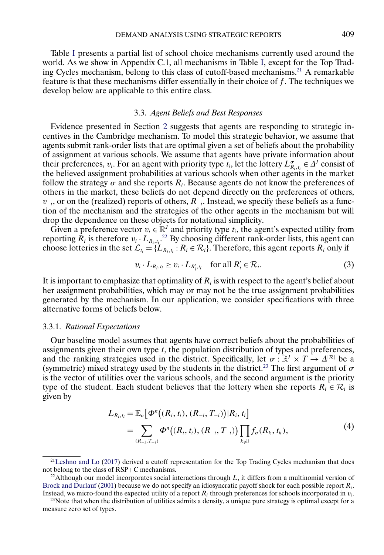<span id="page-18-0"></span>Table [I](#page-1-0) presents a partial list of school choice mechanisms currently used around the world. As we show in Appendix C.1, all mechanisms in Table [I,](#page-1-0) except for the Top Trading Cycles mechanism, belong to this class of cutoff-based mechanisms.21 A remarkable feature is that these mechanisms differ essentially in their choice of  $f$ . The techniques we develop below are applicable to this entire class.

## 3.3. *Agent Beliefs and Best Responses*

Evidence presented in Section [2](#page-6-0) suggests that agents are responding to strategic incentives in the Cambridge mechanism. To model this strategic behavior, we assume that agents submit rank-order lists that are optimal given a set of beliefs about the probability of assignment at various schools. We assume that agents have private information about their preferences,  $v_i$ . For an agent with priority type  $t_i$ , let the lottery  $L_{R_i,t_i}^{\sigma} \in \Delta^J$  consist of the believed assignment probabilities at various schools when other agents in the market follow the strategy  $\sigma$  and she reports  $R_i$ . Because agents do not know the preferences of others in the market, these beliefs do not depend directly on the preferences of others,  $v_{-i}$ , or on the (realized) reports of others,  $R_{-i}$ . Instead, we specify these beliefs as a function of the mechanism and the strategies of the other agents in the mechanism but will drop the dependence on these objects for notational simplicity.

Given a preference vector  $v_i \in \mathbb{R}^J$  and priority type  $t_i$ , the agent's expected utility from reporting  $R_i$  is therefore  $v_i \cdot L_{R_i,t_i}$ .<sup>22</sup> By choosing different rank-order lists, this agent can choose lotteries in the set  $\mathcal{L}_{t_i} = \{L_{R_i,t_i} : R_i \in \mathcal{R}_i\}$ . Therefore, this agent reports  $R_i$  only if

$$
v_i \cdot L_{R_i, t_i} \ge v_i \cdot L_{R'_i, t_i} \quad \text{for all } R'_i \in \mathcal{R}_i.
$$
 (3)

It is important to emphasize that optimality of  $R_i$  is with respect to the agent's belief about her assignment probabilities, which may or may not be the true assignment probabilities generated by the mechanism. In our application, we consider specifications with three alternative forms of beliefs below.

# 3.3.1. *Rational Expectations*

Our baseline model assumes that agents have correct beliefs about the probabilities of assignments given their own type t, the population distribution of types and preferences, and the ranking strategies used in the district. Specifically, let  $\sigma : \mathbb{R}^1 \times T \to \Delta^{|\mathcal{R}|}$  be a (symmetric) mixed strategy used by the students in the district.<sup>23</sup> The first argument of  $\sigma$ is the vector of utilities over the various schools, and the second argument is the priority type of the student. Each student believes that the lottery when she reports  $R_i \in \mathcal{R}_i$  is given by

$$
L_{R_i,t_i} = \mathbb{E}_{\sigma} \big[ \Phi^n \big( (R_i, t_i), (R_{-i}, T_{-i}) \big) | R_i, t_i \big]
$$
  
= 
$$
\sum_{(R_{-i}, T_{-i})} \Phi^n \big( (R_i, t_i), (R_{-i}, T_{-i}) \big) \prod_{k \neq i} f_{\sigma}(R_k, t_k),
$$
 (4)

 $21$ Leshno and Lo [\(2017\)](#page-52-0) derived a cutoff representation for the Top Trading Cycles mechanism that does not belong to the class of RSP+C mechanisms.

<sup>&</sup>lt;sup>22</sup>Although our model incorporates social interactions through  $L$ , it differs from a multinomial version of [Brock and Durlauf](#page-51-0) [\(2001\)](#page-51-0) because we do not specify an idiosyncratic payoff shock for each possible report  $R_i$ . Instead, we micro-found the expected utility of a report  $R_i$  through preferences for schools incorporated in  $v_i$ .

 $^{23}$ Note that when the distribution of utilities admits a density, a unique pure strategy is optimal except for a measure zero set of types.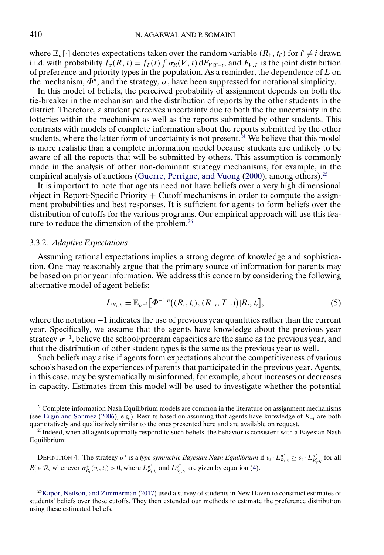<span id="page-19-0"></span>where  $\mathbb{E}_{\sigma}[\cdot]$  denotes expectations taken over the random variable  $(R_{i'}, t_{i'})$  for  $i' \neq i$  drawn i.i.d. with probability  $f_{\sigma}(R, t) = f_T(t) \int \sigma_R(V, t) dF_{V|T=t}$ , and  $F_{V,T}$  is the joint distribution of preference and priority types in the population. As a reminder, the dependence of  $L$  on the mechanism,  $\Phi^n$ , and the strategy,  $\sigma$ , have been suppressed for notational simplicity.

In this model of beliefs, the perceived probability of assignment depends on both the tie-breaker in the mechanism and the distribution of reports by the other students in the district. Therefore, a student perceives uncertainty due to both the the uncertainty in the lotteries within the mechanism as well as the reports submitted by other students. This contrasts with models of complete information about the reports submitted by the other students, where the latter form of uncertainty is not present.<sup>24</sup> We believe that this model is more realistic than a complete information model because students are unlikely to be aware of all the reports that will be submitted by others. This assumption is commonly made in the analysis of other non-dominant strategy mechanisms, for example, in the empirical analysis of auctions [\(Guerre, Perrigne, and Vuong](#page-52-0) [\(2000\)](#page-52-0), among others).<sup>25</sup>

It is important to note that agents need not have beliefs over a very high dimensional object in Report-Specific Priority  $+$  Cutoff mechanisms in order to compute the assignment probabilities and best responses. It is sufficient for agents to form beliefs over the distribution of cutoffs for the various programs. Our empirical approach will use this feature to reduce the dimension of the problem.<sup>26</sup>

## 3.3.2. *Adaptive Expectations*

Assuming rational expectations implies a strong degree of knowledge and sophistication. One may reasonably argue that the primary source of information for parents may be based on prior year information. We address this concern by considering the following alternative model of agent beliefs:

$$
L_{R_i,t_i} = \mathbb{E}_{\sigma^{-1}}\big[\Phi^{-1,n}\big((R_i,t_i),(R_{-i},T_{-i})\big)|R_i,t_i\big],\tag{5}
$$

where the notation −1 indicates the use of previous year quantities rather than the current year. Specifically, we assume that the agents have knowledge about the previous year strategy  $\sigma^{-1}$ , believe the school/program capacities are the same as the previous year, and that the distribution of other student types is the same as the previous year as well.

Such beliefs may arise if agents form expectations about the competitiveness of various schools based on the experiences of parents that participated in the previous year. Agents, in this case, may be systematically misinformed, for example, about increases or decreases in capacity. Estimates from this model will be used to investigate whether the potential

DEFINITION 4: The strategy  $\sigma^*$  is a *type-symmetric Bayesian Nash Equilibrium* if  $v_i \cdot L_{R_i,t_i}^{\sigma^*} \ge v_i \cdot L_{R_i',t_i}^{\sigma^*}$  for all  $R'_i \in \mathcal{R}_i$  whenever  $\sigma_{R_i}^*(v_i, t_i) > 0$ , where  $L_{R_i, t_i}^{\sigma^*}$  and  $L_{R'_i, t_i}^{\sigma^*}$  are given by equation [\(4\)](#page-18-0).

 $24$ Complete information Nash Equilibrium models are common in the literature on assignment mechanisms (see [Ergin and Sonmez](#page-52-0) [\(2006\)](#page-52-0), e.g.). Results based on assuming that agents have knowledge of  $R_{-i}$  are both quantitatively and qualitatively similar to the ones presented here and are available on request.

 $25$ Indeed, when all agents optimally respond to such beliefs, the behavior is consistent with a Bayesian Nash Equilibrium:

 $^{26}$ Kapor, Neilson, and Zimmerman [\(2017\)](#page-52-0) used a survey of students in New Haven to construct estimates of students' beliefs over these cutoffs. They then extended our methods to estimate the preference distribution using these estimated beliefs.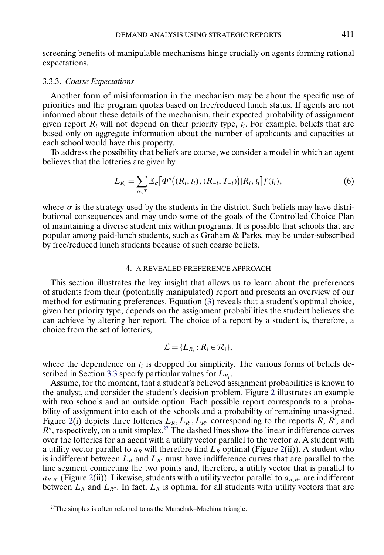<span id="page-20-0"></span>screening benefits of manipulable mechanisms hinge crucially on agents forming rational expectations.

# 3.3.3. *Coarse Expectations*

Another form of misinformation in the mechanism may be about the specific use of priorities and the program quotas based on free/reduced lunch status. If agents are not informed about these details of the mechanism, their expected probability of assignment given report  $R_i$  will not depend on their priority type,  $t_i$ . For example, beliefs that are based only on aggregate information about the number of applicants and capacities at each school would have this property.

To address the possibility that beliefs are coarse, we consider a model in which an agent believes that the lotteries are given by

$$
L_{R_i} = \sum_{t_i \in T} \mathbb{E}_{\sigma} \big[ \Phi^n \big( (R_i, t_i), (R_{-i}, T_{-i}) \big) | R_i, t_i \big] f(t_i), \tag{6}
$$

where  $\sigma$  is the strategy used by the students in the district. Such beliefs may have distributional consequences and may undo some of the goals of the Controlled Choice Plan of maintaining a diverse student mix within programs. It is possible that schools that are popular among paid-lunch students, such as Graham & Parks, may be under-subscribed by free/reduced lunch students because of such coarse beliefs.

# 4. A REVEALED PREFERENCE APPROACH

This section illustrates the key insight that allows us to learn about the preferences of students from their (potentially manipulated) report and presents an overview of our method for estimating preferences. Equation [\(3\)](#page-18-0) reveals that a student's optimal choice, given her priority type, depends on the assignment probabilities the student believes she can achieve by altering her report. The choice of a report by a student is, therefore, a choice from the set of lotteries,

$$
\mathcal{L} = \{L_{R_i} : R_i \in \mathcal{R}_i\},\
$$

where the dependence on  $t_i$  is dropped for simplicity. The various forms of beliefs de-scribed in Section [3.3](#page-18-0) specify particular values for  $L_{R_i}$ .

Assume, for the moment, that a student's believed assignment probabilities is known to the analyst, and consider the student's decision problem. Figure [2](#page-21-0) illustrates an example with two schools and an outside option. Each possible report corresponds to a probability of assignment into each of the schools and a probability of remaining unassigned. Figure [2\(](#page-21-0)i) depicts three lotteries  $L_R, L_{R'}, L_{R''}$  corresponding to the reports R, R', and  $R''$ , respectively, on a unit simplex.<sup>27</sup> The dashed lines show the linear indifference curves over the lotteries for an agent with a utility vector parallel to the vector  $a$ . A student with a utility vector parallel to  $a_R$  will therefore find  $L_R$  optimal (Figure [2\(](#page-21-0)ii)). A student who is indifferent between  $L_R$  and  $L_{R'}$  must have indifference curves that are parallel to the line segment connecting the two points and, therefore, a utility vector that is parallel to  $a_{R,R'}$  (Figure [2\(](#page-21-0)ii)). Likewise, students with a utility vector parallel to  $a_{R,R''}$  are indifferent between  $L_R$  and  $L_{R''}$ . In fact,  $L_R$  is optimal for all students with utility vectors that are

 $27$ The simplex is often referred to as the Marschak–Machina triangle.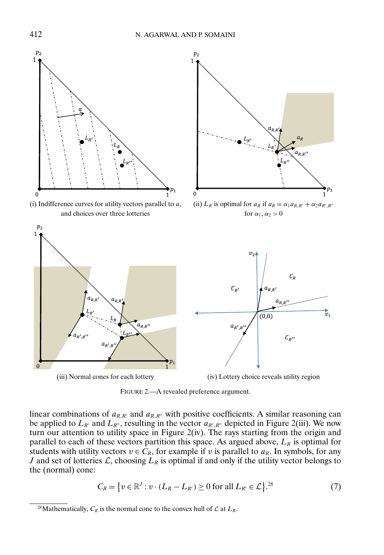<span id="page-21-0"></span>

(i) Indifference curves for utility vectors parallel to  $a$ , and choices over three lotteries



 $R' + \alpha_2 a_{R',R''}$ for  $\alpha_1, \alpha_2 > 0$ 



FIGURE 2.—A revealed preference argument.

linear combinations of  $a_{R,R'}$  and  $a_{R,R''}$  with positive coefficients. A similar reasoning can be applied to  $L_{R'}$  and  $L_{R''}$ , resulting in the vector  $a_{R',R''}$  depicted in Figure 2(iii). We now turn our attention to utility space in Figure 2(iv). The rays starting from the origin and parallel to each of these vectors partition this space. As argued above,  $L_R$  is optimal for students with utility vectors  $v \in C_R$ , for example if v is parallel to  $a_R$ . In symbols, for any J and set of lotteries  $\mathcal{L}$ , choosing  $L_R$  is optimal if and only if the utility vector belongs to the (normal) cone:

$$
C_R = \{ v \in \mathbb{R}^J : v \cdot (L_R - L_{R'}) \ge 0 \text{ for all } L_{R'} \in \mathcal{L} \}^{28} \tag{7}
$$

<sup>&</sup>lt;sup>28</sup>Mathematically,  $C_R$  is the normal cone to the convex hull of  $\mathcal L$  at  $L_R$ .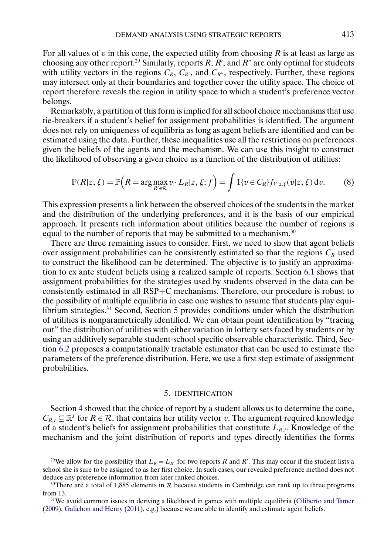<span id="page-22-0"></span>For all values of v in this cone, the expected utility from choosing  $R$  is at least as large as choosing any other report.<sup>29</sup> Similarly, reports R, R', and R'' are only optimal for students with utility vectors in the regions  $C_R$ ,  $C_{R'}$ , and  $C_{R''}$ , respectively. Further, these regions may intersect only at their boundaries and together cover the utility space. The choice of report therefore reveals the region in utility space to which a student's preference vector belongs.

Remarkably, a partition of this form is implied for all school choice mechanisms that use tie-breakers if a student's belief for assignment probabilities is identified. The argument does not rely on uniqueness of equilibria as long as agent beliefs are identified and can be estimated using the data. Further, these inequalities use all the restrictions on preferences given the beliefs of the agents and the mechanism. We can use this insight to construct the likelihood of observing a given choice as a function of the distribution of utilities:

$$
\mathbb{P}(R|z,\xi) = \mathbb{P}\Big(R = \arg\max_{R' \in \mathcal{R}} v \cdot L_R|z,\xi;f\Big) = \int 1\{v \in C_R\} f_{V|z,\xi}(v|z,\xi) dv. \tag{8}
$$

This expression presents a link between the observed choices of the students in the market and the distribution of the underlying preferences, and it is the basis of our empirical approach. It presents rich information about utilities because the number of regions is equal to the number of reports that may be submitted to a mechanism.<sup>30</sup>

There are three remaining issues to consider. First, we need to show that agent beliefs over assignment probabilities can be consistently estimated so that the regions  $C_R$  used to construct the likelihood can be determined. The objective is to justify an approximation to ex ante student beliefs using a realized sample of reports. Section [6.1](#page-27-0) shows that assignment probabilities for the strategies used by students observed in the data can be consistently estimated in all RSP+C mechanisms. Therefore, our procedure is robust to the possibility of multiple equilibria in case one wishes to assume that students play equilibrium strategies.<sup>31</sup> Second, Section 5 provides conditions under which the distribution of utilities is nonparametrically identified. We can obtain point identification by "tracing out" the distribution of utilities with either variation in lottery sets faced by students or by using an additively separable student-school specific observable characteristic. Third, Section [6.2](#page-29-0) proposes a computationally tractable estimator that can be used to estimate the parameters of the preference distribution. Here, we use a first step estimate of assignment probabilities.

#### 5. IDENTIFICATION

Section [4](#page-20-0) showed that the choice of report by a student allows us to determine the cone,  $C_{R,t} \subseteq \mathbb{R}^J$  for  $R \in \mathcal{R}$ , that contains her utility vector v. The argument required knowledge of a student's beliefs for assignment probabilities that constitute  $L_{R,t}$ . Knowledge of the mechanism and the joint distribution of reports and types directly identifies the forms

<sup>&</sup>lt;sup>29</sup>We allow for the possibility that  $L_R = L_R$  for two reports R and R'. This may occur if the student lists a school she is sure to be assigned to as her first choice. In such cases, our revealed preference method does not deduce any preference information from later ranked choices.

<sup>&</sup>lt;sup>30</sup>There are a total of 1,885 elements in  $\mathcal R$  because students in Cambridge can rank up to three programs from 13.

<sup>&</sup>lt;sup>31</sup>We avoid common issues in deriving a likelihood in games with multiple equilibria [\(Ciliberto and Tamer](#page-51-0) [\(2009\)](#page-51-0), [Galichon and Henry](#page-52-0) [\(2011\)](#page-52-0), e.g.) because we are able to identify and estimate agent beliefs.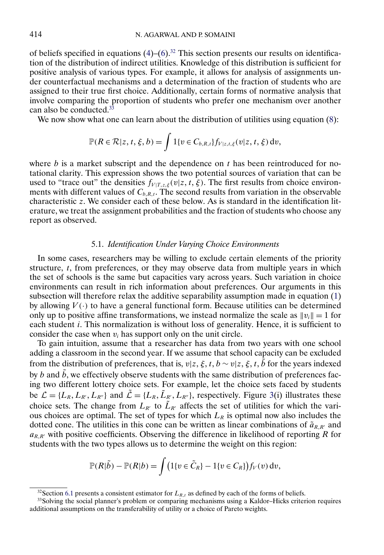of beliefs specified in equations  $(4)-(6)$  $(4)-(6)$  $(4)-(6)$ .<sup>32</sup> This section presents our results on identification of the distribution of indirect utilities. Knowledge of this distribution is sufficient for positive analysis of various types. For example, it allows for analysis of assignments under counterfactual mechanisms and a determination of the fraction of students who are assigned to their true first choice. Additionally, certain forms of normative analysis that involve comparing the proportion of students who prefer one mechanism over another can also be conducted.<sup>33</sup>

We now show what one can learn about the distribution of utilities using equation [\(8\)](#page-22-0):

$$
\mathbb{P}(R\in\mathcal{R}|z,t,\xi,b)=\int 1\{v\in C_{b,R,t}\}f_{V|z,t,\xi}(v|z,t,\xi)\,\mathrm{d}v,
$$

where  $b$  is a market subscript and the dependence on  $t$  has been reintroduced for notational clarity. This expression shows the two potential sources of variation that can be used to "trace out" the densities  $f_{V|T,z,\xi}(v|z,t,\xi)$ . The first results from choice environments with different values of  $C_{b,R,t}$ . The second results from variation in the observable characteristic z. We consider each of these below. As is standard in the identification literature, we treat the assignment probabilities and the fraction of students who choose any report as observed.

## 5.1. *Identification Under Varying Choice Environments*

In some cases, researchers may be willing to exclude certain elements of the priority structure, t, from preferences, or they may observe data from multiple years in which the set of schools is the same but capacities vary across years. Such variation in choice environments can result in rich information about preferences. Our arguments in this subsection will therefore relax the additive separability assumption made in equation [\(1\)](#page-15-0) by allowing  $V(\cdot)$  to have a general functional form. Because utilities can be determined only up to positive affine transformations, we instead normalize the scale as  $||v_i|| = 1$  for each student *i*. This normalization is without loss of generality. Hence, it is sufficient to consider the case when  $v_i$  has support only on the unit circle.

To gain intuition, assume that a researcher has data from two years with one school adding a classroom in the second year. If we assume that school capacity can be excluded from the distribution of preferences, that is,  $v|z, \xi, t, b \sim v|z, \xi, t, \tilde{b}$  for the years indexed by b and  $\tilde{b}$ , we effectively observe students with the same distribution of preferences facing two different lottery choice sets. For example, let the choice sets faced by students be  $\mathcal{L} = \{L_R, L_{R'}, L_{R''}\}\$  and  $\tilde{\mathcal{L}} = \{L_R, \tilde{L}_{R'}^{}, L_{R''}\}\$ , respectively. Figure [3\(](#page-24-0)i) illustrates these choice sets. The change from  $L_{R'}$  to  $\tilde{L}_{R'}$  affects the set of utilities for which the various choices are optimal. The set of types for which  $L_R$  is optimal now also includes the dotted cone. The utilities in this cone can be written as linear combinations of  $\tilde{a}_{R,R'}$  and  $a_{R,R'}$  with positive coefficients. Observing the difference in likelihood of reporting R for students with the two types allows us to determine the weight on this region:

$$
\mathbb{P}(R|\tilde{b}) - \mathbb{P}(R|b) = \int \big(1\{v \in \tilde{C}_R\} - 1\{v \in C_R\}\big) f_V(v) dv,
$$

<sup>&</sup>lt;sup>32</sup>Section [6.1](#page-27-0) presents a consistent estimator for  $L_{R,t}$  as defined by each of the forms of beliefs.

<sup>&</sup>lt;sup>33</sup>Solving the social planner's problem or comparing mechanisms using a Kaldor–Hicks criterion requires additional assumptions on the transferability of utility or a choice of Pareto weights.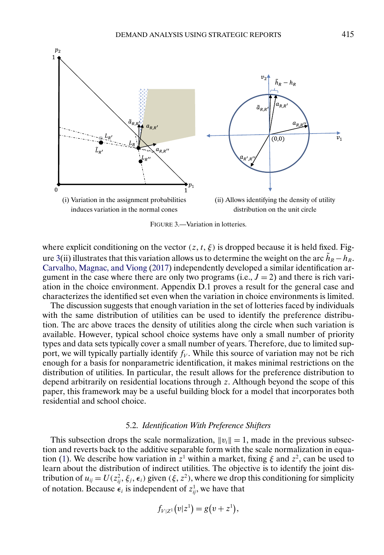<span id="page-24-0"></span>

FIGURE 3.—Variation in lotteries.

where explicit conditioning on the vector  $(z, t, \xi)$  is dropped because it is held fixed. Figure 3(ii) illustrates that this variation allows us to determine the weight on the arc  $\tilde{h}_R - h_R$ . [Carvalho, Magnac, and Viong](#page-51-0) [\(2017\)](#page-51-0) independently developed a similar identification argument in the case where there are only two programs (i.e.,  $J = 2$ ) and there is rich variation in the choice environment. Appendix D.1 proves a result for the general case and characterizes the identified set even when the variation in choice environments is limited.

The discussion suggests that enough variation in the set of lotteries faced by individuals with the same distribution of utilities can be used to identify the preference distribution. The arc above traces the density of utilities along the circle when such variation is available. However, typical school choice systems have only a small number of priority types and data sets typically cover a small number of years. Therefore, due to limited support, we will typically partially identify  $f_V$ . While this source of variation may not be rich enough for a basis for nonparametric identification, it makes minimal restrictions on the distribution of utilities. In particular, the result allows for the preference distribution to depend arbitrarily on residential locations through z. Although beyond the scope of this paper, this framework may be a useful building block for a model that incorporates both residential and school choice.

## 5.2. *Identification With Preference Shifters*

This subsection drops the scale normalization,  $||v_i|| = 1$ , made in the previous subsection and reverts back to the additive separable form with the scale normalization in equa-tion [\(1\)](#page-15-0). We describe how variation in  $z<sup>1</sup>$  within a market, fixing  $\xi$  and  $z<sup>2</sup>$ , can be used to learn about the distribution of indirect utilities. The objective is to identify the joint distribution of  $u_{ij} = U(z_{ij}^2, \xi_j, \epsilon_i)$  given  $(\xi, z^2)$ , where we drop this conditioning for simplicity of notation. Because  $\epsilon_i$  is independent of  $z_{ij}^1$ , we have that

$$
f_{V|Z^{1}}(v|z^{1})=g(v+z^{1}),
$$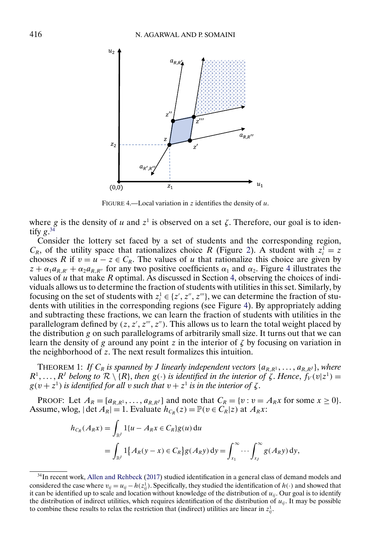<span id="page-25-0"></span>

FIGURE 4.—Local variation in  $z$  identifies the density of  $u$ .

where g is the density of u and  $z^1$  is observed on a set  $\zeta$ . Therefore, our goal is to identify  $g^{34}$ 

Consider the lottery set faced by a set of students and the corresponding region,  $C_R$ , of the utility space that rationalizes choice R (Figure [2\)](#page-21-0). A student with  $z_i^1 = z$ chooses R if  $v = u - z \in C_R$ . The values of u that rationalize this choice are given by  $z + \alpha_1 a_{R,R'} + \alpha_2 a_{R,R''}$  for any two positive coefficients  $\alpha_1$  and  $\alpha_2$ . Figure 4 illustrates the values of u that make  $R$  optimal. As discussed in Section [4,](#page-20-0) observing the choices of individuals allows us to determine the fraction of students with utilities in this set. Similarly, by focusing on the set of students with  $z_i^1 \in \{z', z'', z'''\}$ , we can determine the fraction of students with utilities in the corresponding regions (see Figure 4). By appropriately adding and subtracting these fractions, we can learn the fraction of students with utilities in the parallelogram defined by  $(z, z', z'', z'')$ . This allows us to learn the total weight placed by the distribution  $g$  on such parallelograms of arbitrarily small size. It turns out that we can learn the density of g around any point z in the interior of  $\zeta$  by focusing on variation in the neighborhood of z. The next result formalizes this intuition.

THEOREM 1: If  $C_R$  is spanned by *J* linearly independent vectors  $\{a_{R,R^1}, \ldots, a_{R,R^I}\}$ , where  $R^1, \ldots, R^J$  belong to  $\mathcal{R} \setminus \{R\}$ , then  $g(\cdot)$  is identified in the interior of  $\zeta$ . Hence,  $f_V(v|z^1) =$  $g(v+z^1)$  is identified for all v such that  $v+z^1$  is in the interior of  $\zeta$ .

PROOF: Let  $A_R = [a_{R,R^1}, \ldots, a_{R,R^J}]$  and note that  $C_R = \{v : v = A_R x$  for some  $x \ge 0\}$ . Assume, wlog,  $|\det A_R| = 1$ . Evaluate  $h_{C_R}(z) = \mathbb{P}(v \in C_R|z)$  at  $A_R x$ :

$$
h_{C_R}(A_R x) = \int_{\mathbb{R}^J} 1\{u - A_R x \in C_R\} g(u) \, \mathrm{d}u
$$
  
= 
$$
\int_{\mathbb{R}^J} 1\{A_R(y - x) \in C_R\} g(A_R y) \, \mathrm{d}y = \int_{x_1}^{\infty} \cdots \int_{x_J}^{\infty} g(A_R y) \, \mathrm{d}y,
$$

<sup>34</sup>In recent work, [Allen and Rehbeck](#page-51-0) [\(2017\)](#page-51-0) studied identification in a general class of demand models and considered the case where  $v_{ij} = u_{ij} - h(z_{ij}^1)$ . Specifically, they studied the identification of  $h(\cdot)$  and showed that it can be identified up to scale and location without knowledge of the distribution of  $u_{ii}$ . Our goal is to identify the distribution of indirect utilities, which requires identification of the distribution of  $u_{ii}$ . It may be possible to combine these results to relax the restriction that (indirect) utilities are linear in  $z_{ij}^1$ .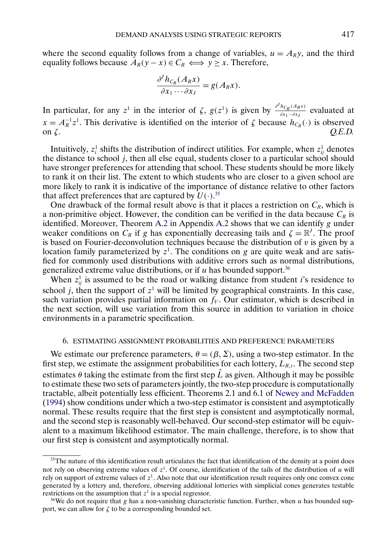<span id="page-26-0"></span>where the second equality follows from a change of variables,  $u = A<sub>R</sub>y$ , and the third equality follows because  $A_R(y - x) \in C_R \iff y \ge x$ . Therefore,

$$
\frac{\partial^J h_{C_R}(A_R x)}{\partial x_1 \cdots \partial x_J} = g(A_R x).
$$

In particular, for any z<sup>1</sup> in the interior of  $\zeta$ ,  $g(z^1)$  is given by  $\frac{\partial^j h_{C_R}(A_Rx)}{\partial x_1\cdots \partial x_J}$  evaluated at  $x = A_R^{-1}z^1$ . This derivative is identified on the interior of  $\zeta$  because  $h_{C_R}(\cdot)$  is observed on  $\zeta$ .  $Q.E.D.$ 

Intuitively,  $z_i^1$  shifts the distribution of indirect utilities. For example, when  $z_{ij}^1$  denotes the distance to school  $j$ , then all else equal, students closer to a particular school should have stronger preferences for attending that school. These students should be more likely to rank it on their list. The extent to which students who are closer to a given school are more likely to rank it is indicative of the importance of distance relative to other factors that affect preferences that are captured by  $U(.)$ .<sup>35</sup>

One drawback of the formal result above is that it places a restriction on  $C_R$ , which is a non-primitive object. However, the condition can be verified in the data because  $C_R$  is identified. Moreover, Theorem [A.2](#page-45-0) in Appendix [A.2](#page-45-0) shows that we can identify g under weaker conditions on  $C_R$  if g has exponentially decreasing tails and  $\zeta = \mathbb{R}^J$ . The proof is based on Fourier-deconvolution techniques because the distribution of v is given by a location family parameterized by  $z<sup>1</sup>$ . The conditions on g are quite weak and are satisfied for commonly used distributions with additive errors such as normal distributions, generalized extreme value distributions, or if  $u$  has bounded support.<sup>36</sup>

When  $z_{ij}^1$  is assumed to be the road or walking distance from student *i*'s residence to school *j*, then the support of  $z<sup>1</sup>$  will be limited by geographical constraints. In this case, such variation provides partial information on  $f_V$ . Our estimator, which is described in the next section, will use variation from this source in addition to variation in choice environments in a parametric specification.

# 6. ESTIMATING ASSIGNMENT PROBABILITIES AND PREFERENCE PARAMETERS

We estimate our preference parameters,  $\theta = (\beta, \Sigma)$ , using a two-step estimator. In the first step, we estimate the assignment probabilities for each lottery,  $L_{R,t}$ . The second step estimates  $\theta$  taking the estimate from the first step  $\hat{L}$  as given. Although it may be possible to estimate these two sets of parameters jointly, the two-step procedure is computationally tractable, albeit potentially less efficient. Theorems 2.1 and 6.1 of [Newey and McFadden](#page-52-0) [\(1994\)](#page-52-0) show conditions under which a two-step estimator is consistent and asymptotically normal. These results require that the first step is consistent and asymptotically normal, and the second step is reasonably well-behaved. Our second-step estimator will be equivalent to a maximum likelihood estimator. The main challenge, therefore, is to show that our first step is consistent and asymptotically normal.

<sup>&</sup>lt;sup>35</sup>The nature of this identification result articulates the fact that identification of the density at a point does not rely on observing extreme values of  $z^1$ . Of course, identification of the tails of the distribution of u will rely on support of extreme values of  $z<sup>1</sup>$ . Also note that our identification result requires only one convex cone generated by a lottery and, therefore, observing additional lotteries with simplicial cones generates testable restrictions on the assumption that  $z<sup>1</sup>$  is a special regressor.

<sup>&</sup>lt;sup>36</sup>We do not require that g has a non-vanishing characteristic function. Further, when u has bounded support, we can allow for  $\zeta$  to be a corresponding bounded set.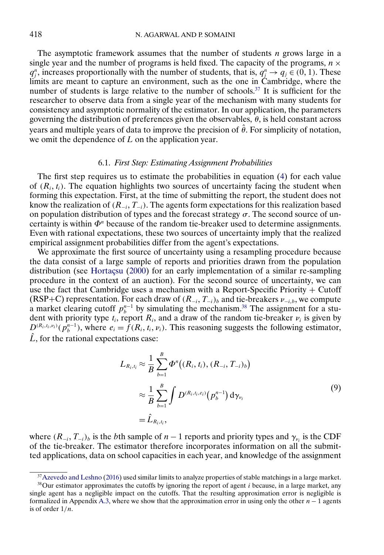<span id="page-27-0"></span>The asymptotic framework assumes that the number of students *n* grows large in a single year and the number of programs is held fixed. The capacity of the programs,  $n \times$  $q_j^n$ , increases proportionally with the number of students, that is,  $q_j^n \rightarrow q_j \in (0, 1)$ . These limits are meant to capture an environment, such as the one in Cambridge, where the number of students is large relative to the number of schools.<sup>37</sup> It is sufficient for the researcher to observe data from a single year of the mechanism with many students for consistency and asymptotic normality of the estimator. In our application, the parameters governing the distribution of preferences given the observables,  $\theta$ , is held constant across years and multiple years of data to improve the precision of  $\hat{\theta}$ . For simplicity of notation, we omit the dependence of L on the application year.

# 6.1. *First Step: Estimating Assignment Probabilities*

The first step requires us to estimate the probabilities in equation [\(4\)](#page-18-0) for each value of  $(R_i, t_i)$ . The equation highlights two sources of uncertainty facing the student when forming this expectation. First, at the time of submitting the report, the student does not know the realization of  $(R_{-i}, T_{-i})$ . The agents form expectations for this realization based on population distribution of types and the forecast strategy  $\sigma$ . The second source of uncertainty is within  $\Phi^n$  because of the random tie-breaker used to determine assignments. Even with rational expectations, these two sources of uncertainty imply that the realized empirical assignment probabilities differ from the agent's expectations.

We approximate the first source of uncertainty using a resampling procedure because the data consist of a large sample of reports and priorities drawn from the population distribution (see [Hortaçsu](#page-52-0) [\(2000\)](#page-52-0) for an early implementation of a similar re-sampling procedure in the context of an auction). For the second source of uncertainty, we can use the fact that Cambridge uses a mechanism with a Report-Specific Priority  $+$  Cutoff (RSP+C) representation. For each draw of  $(R_{-i}, T_{-i})_b$  and tie-breakers  $\nu_{-i,b}$ , we compute a market clearing cutoff  $p_b^{n-1}$  by simulating the mechanism.<sup>38</sup> The assignment for a student with priority type  $t_i$ , report  $R_i$ , and a draw of the random tie-breaker  $\nu_i$  is given by  $D^{(R_i,t_i,\nu_i)}(\hat{p}_b^{n-1})$ , where  $e_i = \hat{f}(R_i,t_i,\nu_i)$ . This reasoning suggests the following estimator,  $\hat{L}$ , for the rational expectations case:

$$
L_{R_i,t_i} \approx \frac{1}{B} \sum_{b=1}^{B} \Phi^n((R_i, t_i), (R_{-i}, T_{-i})_b)
$$
  

$$
\approx \frac{1}{B} \sum_{b=1}^{B} \int D^{(R_i, t_i, e_i)}(p_b^{n-1}) d\gamma_{\nu_i}
$$
  

$$
= \hat{L}_{R_i, t_i},
$$
 (9)

where  $(R_{-i}, T_{-i})_b$  is the bth sample of  $n-1$  reports and priority types and  $\gamma_{\nu_i}$  is the CDF of the tie-breaker. The estimator therefore incorporates information on all the submitted applications, data on school capacities in each year, and knowledge of the assignment

<sup>&</sup>lt;sup>37</sup>Azevedo and Leshno [\(2016\)](#page-51-0) used similar limits to analyze properties of stable matchings in a large market.

 $38$ Our estimator approximates the cutoffs by ignoring the report of agent i because, in a large market, any single agent has a negligible impact on the cutoffs. That the resulting approximation error is negligible is formalized in Appendix [A.3,](#page-46-0) where we show that the approximation error in using only the other  $n - 1$  agents is of order  $1/n$ .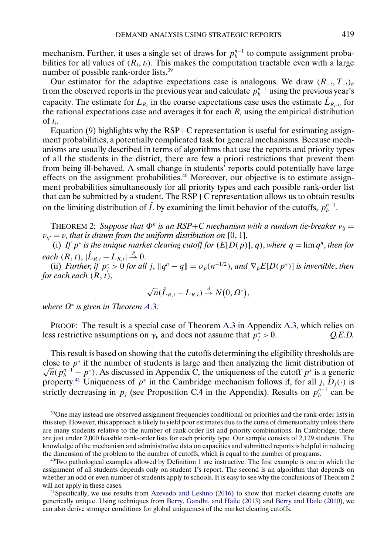<span id="page-28-0"></span>mechanism. Further, it uses a single set of draws for  $p_b^{n-1}$  to compute assignment probabilities for all values of  $(R_i, t_i)$ . This makes the computation tractable even with a large number of possible rank-order lists.<sup>39</sup>

Our estimator for the adaptive expectations case is analogous. We draw  $(R_{-i}, T_{-i})_b$ from the observed reports in the previous year and calculate  $p_b^{n-1}$  using the previous year's capacity. The estimate for  $L_{R_i}$  in the coarse expectations case uses the estimate  $\hat{L}_{R_i,t_i}$  for the rational expectations case and averages it for each  $R_i$  using the empirical distribution of  $t_i$ .

Equation  $(9)$  highlights why the RSP+C representation is useful for estimating assignment probabilities, a potentially complicated task for general mechanisms. Because mechanisms are usually described in terms of algorithms that use the reports and priority types of all the students in the district, there are few a priori restrictions that prevent them from being ill-behaved. A small change in students' reports could potentially have large effects on the assignment probabilities.<sup>40</sup> Moreover, our objective is to estimate assignment probabilities simultaneously for all priority types and each possible rank-order list that can be submitted by a student. The RSP+C representation allows us to obtain results on the limiting distribution of  $\hat{L}$  by examining the limit behavior of the cutoffs,  $p_b^{n-1}$ .

THEOREM 2: *Suppose that*  $\Phi^n$  *is an RSP+C mechanism with a random tie-breaker*  $v_{ij} =$  $\nu_{ij'} = \nu_i$  that is drawn from the uniform distribution on [0, 1].

(i) If  $p^*$  *is the unique market clearing cutoff for*  $(E[D(p)], q)$ *, where*  $q = \lim q^n$ *, then for*  $each (R, t), |\hat{L}_{R,t} - L_{R,t}| \overset{p}{\rightarrow} 0.$ 

(ii) *Further, if*  $p_j^* > 0$  *for all* j,  $||q^n - q|| = o_p(n^{-1/2})$ , and  $\nabla_p E[D(p^*)]$  *is invertible, then for each each (R, t),* 

$$
\sqrt{n}(\hat{L}_{R,t} - L_{R,t}) \stackrel{d}{\rightarrow} N(0, \Omega^*),
$$

*where* Ω<sup>∗</sup> *is given in Theorem A*[.3.](#page-48-0)

PROOF: The result is a special case of Theorem [A.3](#page-48-0) in Appendix [A.3,](#page-46-0) which relies on less restrictive assumptions on  $\gamma_{\nu}$  and does not assume that  $p_j^* > 0$ . Q.E.D.

This result is based on showing that the cutoffs determining the eligibility thresholds are close to  $p^*$  if the number of students is large and then analyzing the limit distribution of  $\overline{n}(p_i^{n-1} - p^*)$ . As discussed in Appendix C, the uniqueness of the cutoff  $p^*$  is a generic property.<sup>41</sup> Uniqueness of  $p^*$  in the Cambridge mechanism follows if, for all j,  $D_j(\cdot)$  is strictly decreasing in  $p_j$  (see Proposition C.4 in the Appendix). Results on  $p_b^{n-1}$  can be

<sup>&</sup>lt;sup>39</sup>One may instead use observed assignment frequencies conditional on priorities and the rank-order lists in this step. However, this approach is likely to yield poor estimates due to the curse of dimensionality unless there are many students relative to the number of rank-order list and priority combinations. In Cambridge, there are just under 2,000 feasible rank-order lists for each priority type. Our sample consists of 2,129 students. The knowledge of the mechanism and administrative data on capacities and submitted reports is helpful in reducing the dimension of the problem to the number of cutoffs, which is equal to the number of programs.

<sup>&</sup>lt;sup>40</sup>Two pathological examples allowed by Definition [1](#page-16-0) are instructive. The first example is one in which the assignment of all students depends only on student 1's report. The second is an algorithm that depends on whether an odd or even number of students apply to schools. It is easy to see why the conclusions of Theorem 2 will not apply in these cases.

<sup>&</sup>lt;sup>41</sup>Specifically, we use results from [Azevedo and Leshno](#page-51-0) [\(2016\)](#page-51-0) to show that market clearing cutoffs are generically unique. Using techniques from [Berry, Gandhi, and Haile](#page-51-0) [\(2013\)](#page-51-0) and [Berry and Haile](#page-51-0) [\(2010\)](#page-51-0), we can also derive stronger conditions for global uniqueness of the market clearing cutoffs.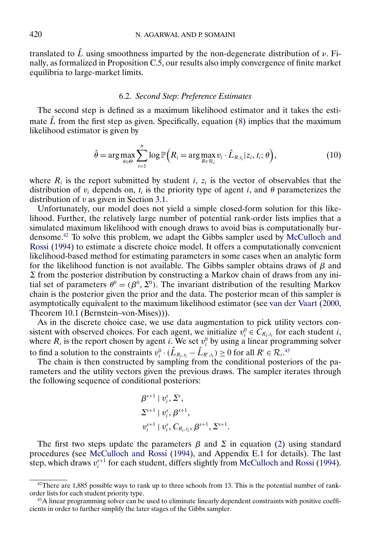<span id="page-29-0"></span>translated to  $\hat{L}$  using smoothness imparted by the non-degenerate distribution of  $\nu$ . Finally, as formalized in Proposition C.5, our results also imply convergence of finite market equilibria to large-market limits.

# 6.2. *Second Step: Preference Estimates*

The second step is defined as a maximum likelihood estimator and it takes the estimate  $\hat{L}$  from the first step as given. Specifically, equation [\(8\)](#page-22-0) implies that the maximum likelihood estimator is given by

$$
\hat{\theta} = \arg \max_{\theta \in \Theta} \sum_{i=1}^{n} \log \mathbb{P}\Big(R_i = \arg \max_{R \in \mathcal{R}_i} v_i \cdot \hat{L}_{R,t_i} | z_i, t_i; \theta\Big),\tag{10}
$$

where  $R_i$  is the report submitted by student i,  $z_i$  is the vector of observables that the distribution of  $v_i$  depends on,  $t_i$  is the priority type of agent i, and  $\theta$  parameterizes the distribution of  $v$  as given in Section [3.1.](#page-14-0)

Unfortunately, our model does not yield a simple closed-form solution for this likelihood. Further, the relatively large number of potential rank-order lists implies that a simulated maximum likelihood with enough draws to avoid bias is computationally burdensome.42 To solve this problem, we adapt the Gibbs sampler used by [McCulloch and](#page-52-0) [Rossi](#page-52-0) [\(1994\)](#page-52-0) to estimate a discrete choice model. It offers a computationally convenient likelihood-based method for estimating parameters in some cases when an analytic form for the likelihood function is not available. The Gibbs sampler obtains draws of  $\beta$  and  $\Sigma$  from the posterior distribution by constructing a Markov chain of draws from any initial set of parameters  $\theta^0 = (\beta^0, \Sigma^0)$ . The invariant distribution of the resulting Markov chain is the posterior given the prior and the data. The posterior mean of this sampler is asymptotically equivalent to the maximum likelihood estimator (see [van der Vaart](#page-53-0) [\(2000,](#page-53-0) Theorem 10.1 (Bernstein–von-Mises))).

As in the discrete choice case, we use data augmentation to pick utility vectors consistent with observed choices. For each agent, we initialize  $v_i^0 \in C_{R_i,t_i}$  for each student i, where  $R_i$  is the report chosen by agent i. We set  $v_i^0$  by using a linear programming solver to find a solution to the constraints  $v_i^0 \cdot (\hat{L}_{R_i,t_i} - \hat{L}_{R',t_i}) \ge 0$  for all  $R' \in \mathcal{R}_i$ .<sup>43</sup>

The chain is then constructed by sampling from the conditional posteriors of the parameters and the utility vectors given the previous draws. The sampler iterates through the following sequence of conditional posteriors:

$$
\beta^{s+1} | v_i^s, \Sigma^s,
$$
  
\n
$$
\Sigma^{s+1} | v_i^s, \beta^{s+1},
$$
  
\n
$$
v_i^{s+1} | v_i^s, C_{R_i,t_i}, \beta^{s+1}, \Sigma^{s+1}.
$$

The first two steps update the parameters  $\beta$  and  $\Sigma$  in equation [\(2\)](#page-15-0) using standard procedures (see [McCulloch and Rossi](#page-52-0) [\(1994\)](#page-52-0), and Appendix E.1 for details). The last step, which draws  $v_i^{s+1}$  for each student, differs slightly from [McCulloch and Rossi](#page-52-0) [\(1994\)](#page-52-0).

 $42$ There are 1,885 possible ways to rank up to three schools from 13. This is the potential number of rankorder lists for each student priority type.

<sup>&</sup>lt;sup>43</sup>A linear programming solver can be used to eliminate linearly dependent constraints with positive coefficients in order to further simplify the later stages of the Gibbs sampler.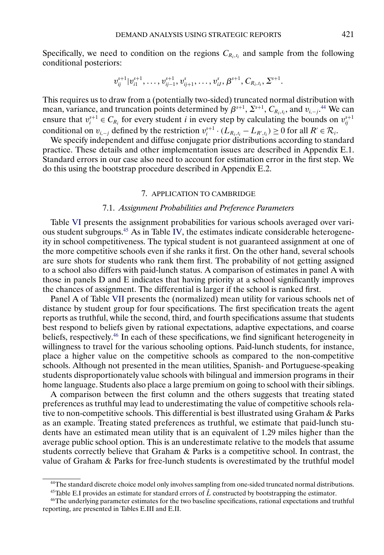<span id="page-30-0"></span>Specifically, we need to condition on the regions  $C_{R_i,t_i}$  and sample from the following conditional posteriors:

$$
v_{ij}^{s+1}|v_{i1}^{s+1},\ldots,v_{ij-1}^{s+1},v_{ij+1}^{s},\ldots,v_{iJ}^{s},\beta^{s+1},C_{R_i,t_i},\Sigma^{s+1}.
$$

This requires us to draw from a (potentially two-sided) truncated normal distribution with mean, variance, and truncation points determined by  $\beta^{s+1}$ ,  $\Sigma^{s+1}$ ,  $C_{R_i,t_i}$ , and  $v_{i,-j}$ .<sup>44</sup> We can ensure that  $v_i^{s+1} \in C_{R_i}$  for every student *i* in every step by calculating the bounds on  $v_{ij}^{s+1}$ conditional on  $v_{i,-j}$  defined by the restriction  $v_i^{s+1} \cdot (L_{R_i,t_i} - L_{R',t_i}) \ge 0$  for all  $R' \in \mathcal{R}_i$ .

We specify independent and diffuse conjugate prior distributions according to standard practice. These details and other implementation issues are described in Appendix E.1. Standard errors in our case also need to account for estimation error in the first step. We do this using the bootstrap procedure described in Appendix E.2.

# 7. APPLICATION TO CAMBRIDGE

# 7.1. *Assignment Probabilities and Preference Parameters*

Table [VI](#page-31-0) presents the assignment probabilities for various schools averaged over various student subgroups.45 As in Table [IV,](#page-10-0) the estimates indicate considerable heterogeneity in school competitiveness. The typical student is not guaranteed assignment at one of the more competitive schools even if she ranks it first. On the other hand, several schools are sure shots for students who rank them first. The probability of not getting assigned to a school also differs with paid-lunch status. A comparison of estimates in panel A with those in panels D and E indicates that having priority at a school significantly improves the chances of assignment. The differential is larger if the school is ranked first.

Panel A of Table [VII](#page-32-0) presents the (normalized) mean utility for various schools net of distance by student group for four specifications. The first specification treats the agent reports as truthful, while the second, third, and fourth specifications assume that students best respond to beliefs given by rational expectations, adaptive expectations, and coarse beliefs, respectively.46 In each of these specifications, we find significant heterogeneity in willingness to travel for the various schooling options. Paid-lunch students, for instance, place a higher value on the competitive schools as compared to the non-competitive schools. Although not presented in the mean utilities, Spanish- and Portuguese-speaking students disproportionately value schools with bilingual and immersion programs in their home language. Students also place a large premium on going to school with their siblings.

A comparison between the first column and the others suggests that treating stated preferences as truthful may lead to underestimating the value of competitive schools relative to non-competitive schools. This differential is best illustrated using Graham & Parks as an example. Treating stated preferences as truthful, we estimate that paid-lunch students have an estimated mean utility that is an equivalent of 1.29 miles higher than the average public school option. This is an underestimate relative to the models that assume students correctly believe that Graham & Parks is a competitive school. In contrast, the value of Graham & Parks for free-lunch students is overestimated by the truthful model

<sup>45</sup>Table E.I provides an estimate for standard errors of  $\hat{L}$  constructed by bootstrapping the estimator.

<sup>44</sup>The standard discrete choice model only involves sampling from one-sided truncated normal distributions.

<sup>46</sup>The underlying parameter estimates for the two baseline specifications, rational expectations and truthful reporting, are presented in Tables E.III and E.II.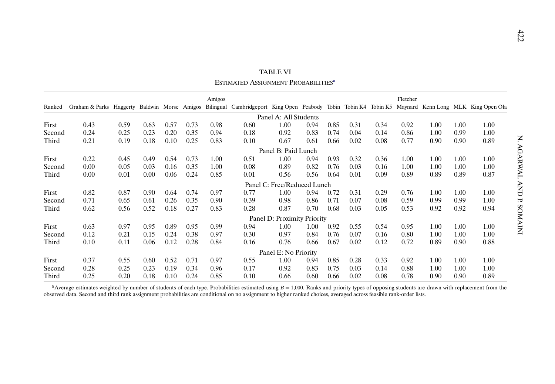<span id="page-31-0"></span>

|        |                                                                                                                                                    |      |      |      |      |        |                                                 | TABLE VI                    |      |      |      |      |          |      |      |                    |
|--------|----------------------------------------------------------------------------------------------------------------------------------------------------|------|------|------|------|--------|-------------------------------------------------|-----------------------------|------|------|------|------|----------|------|------|--------------------|
|        |                                                                                                                                                    |      |      |      |      |        | ESTIMATED ASSIGNMENT PROBABILITIES <sup>a</sup> |                             |      |      |      |      |          |      |      |                    |
|        |                                                                                                                                                    |      |      |      |      | Amigos |                                                 |                             |      |      |      |      | Fletcher |      |      |                    |
| Ranked | Graham & Parks Haggerty Baldwin Morse Amigos Bilingual Cambridgeport King Open Peabody Tobin Tobin K4 Tobin K5 Maynard Kenn Long MLK King Open Ola |      |      |      |      |        |                                                 |                             |      |      |      |      |          |      |      |                    |
|        |                                                                                                                                                    |      |      |      |      |        |                                                 | Panel A: All Students       |      |      |      |      |          |      |      |                    |
| First  | 0.43                                                                                                                                               | 0.59 | 0.63 | 0.57 | 0.73 | 0.98   | 0.60                                            | 1.00                        | 0.94 | 0.85 | 0.31 | 0.34 | 0.92     | 1.00 | 1.00 | 1.00               |
| Second | 0.24                                                                                                                                               | 0.25 | 0.23 | 0.20 | 0.35 | 0.94   | 0.18                                            | 0.92                        | 0.83 | 0.74 | 0.04 | 0.14 | 0.86     | 1.00 | 0.99 | 1.00               |
| Third  | 0.21                                                                                                                                               | 0.19 | 0.18 | 0.10 | 0.25 | 0.83   | 0.10                                            | 0.67                        | 0.61 | 0.66 | 0.02 | 0.08 | 0.77     | 0.90 | 0.90 | Z<br>0.89          |
|        |                                                                                                                                                    |      |      |      |      |        |                                                 | Panel B: Paid Lunch         |      |      |      |      |          |      |      | <b>AGARWAL</b>     |
| First  | 0.22                                                                                                                                               | 0.45 | 0.49 | 0.54 | 0.73 | 1.00   | 0.51                                            | 1.00                        | 0.94 | 0.93 | 0.32 | 0.36 | 1.00     | 1.00 | 1.00 | 1.00               |
| Second | 0.00                                                                                                                                               | 0.05 | 0.03 | 0.16 | 0.35 | 1.00   | 0.08                                            | 0.89                        | 0.82 | 0.76 | 0.03 | 0.16 | 1.00     | 1.00 | 1.00 | 1.00               |
| Third  | 0.00                                                                                                                                               | 0.01 | 0.00 | 0.06 | 0.24 | 0.85   | 0.01                                            | 0.56                        | 0.56 | 0.64 | 0.01 | 0.09 | 0.89     | 0.89 | 0.89 | 0.87               |
|        |                                                                                                                                                    |      |      |      |      |        |                                                 | Panel C: Free/Reduced Lunch |      |      |      |      |          |      |      |                    |
| First  | 0.82                                                                                                                                               | 0.87 | 0.90 | 0.64 | 0.74 | 0.97   | 0.77                                            | 1.00                        | 0.94 | 0.72 | 0.31 | 0.29 | 0.76     | 1.00 | 1.00 | <b>ANA</b><br>1.00 |
| Second | 0.71                                                                                                                                               | 0.65 | 0.61 | 0.26 | 0.35 | 0.90   | 0.39                                            | 0.98                        | 0.86 | 0.71 | 0.07 | 0.08 | 0.59     | 0.99 | 0.99 | Ъ.<br>1.00         |
| Third  | 0.62                                                                                                                                               | 0.56 | 0.52 | 0.18 | 0.27 | 0.83   | 0.28                                            | 0.87                        | 0.70 | 0.68 | 0.03 | 0.05 | 0.53     | 0.92 | 0.92 | 0.94               |
|        |                                                                                                                                                    |      |      |      |      |        |                                                 | Panel D: Proximity Priority |      |      |      |      |          |      |      | <b>INIVIVOS</b>    |
| First  | 0.63                                                                                                                                               | 0.97 | 0.95 | 0.89 | 0.95 | 0.99   | 0.94                                            | 1.00                        | 1.00 | 0.92 | 0.55 | 0.54 | 0.95     | 1.00 | 1.00 | 1.00               |
| Second | 0.12                                                                                                                                               | 0.21 | 0.15 | 0.24 | 0.38 | 0.97   | 0.30                                            | 0.97                        | 0.84 | 0.76 | 0.07 | 0.16 | 0.80     | 1.00 | 1.00 | 1.00               |
| Third  | 0.10                                                                                                                                               | 0.11 | 0.06 | 0.12 | 0.28 | 0.84   | 0.16                                            | 0.76                        | 0.66 | 0.67 | 0.02 | 0.12 | 0.72     | 0.89 | 0.90 | 0.88               |
|        |                                                                                                                                                    |      |      |      |      |        |                                                 | Panel E: No Priority        |      |      |      |      |          |      |      |                    |
| First  | 0.37                                                                                                                                               | 0.55 | 0.60 | 0.52 | 0.71 | 0.97   | 0.55                                            | 1.00                        | 0.94 | 0.85 | 0.28 | 0.33 | 0.92     | 1.00 | 1.00 | 1.00               |
| Second | 0.28                                                                                                                                               | 0.25 | 0.23 | 0.19 | 0.34 | 0.96   | 0.17                                            | 0.92                        | 0.83 | 0.75 | 0.03 | 0.14 | 0.88     | 1.00 | 1.00 | 1.00               |
| Third  | 0.25                                                                                                                                               | 0.20 | 0.18 | 0.10 | 0.24 | 0.85   | 0.10                                            | 0.66                        | 0.60 | 0.66 | 0.02 | 0.08 | 0.78     | 0.90 | 0.90 | 0.89               |

<sup>a</sup> Average estimates weighted by number of students of each type. Probabilities estimated using  $B = 1,000$ . Ranks and priority types of opposing students are drawn with replacement from the observed data. Second and third rank assignment probabilities are conditional on no assignment to higher ranked choices, averaged across feasible rank-order lists.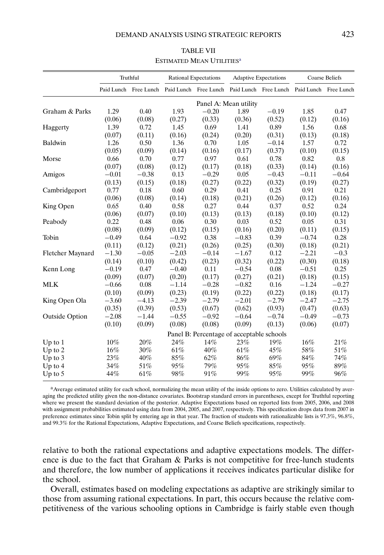<span id="page-32-0"></span>

|                       |         | Truthful                                                                                |         | <b>Rational Expectations</b>              |                       | <b>Adaptive Expectations</b> |         | <b>Coarse Beliefs</b> |
|-----------------------|---------|-----------------------------------------------------------------------------------------|---------|-------------------------------------------|-----------------------|------------------------------|---------|-----------------------|
|                       |         | Paid Lunch Free Lunch Paid Lunch Free Lunch Paid Lunch Free Lunch Paid Lunch Free Lunch |         |                                           |                       |                              |         |                       |
|                       |         |                                                                                         |         |                                           | Panel A: Mean utility |                              |         |                       |
| Graham & Parks        | 1.29    | 0.40                                                                                    | 1.93    | $-0.20$                                   | 1.89                  | $-0.19$                      | 1.85    | 0.47                  |
|                       | (0.06)  | (0.08)                                                                                  | (0.27)  | (0.33)                                    | (0.36)                | (0.52)                       | (0.12)  | (0.16)                |
| Haggerty              | 1.39    | 0.72                                                                                    | 1.45    | 0.69                                      | 1.41                  | 0.89                         | 1.56    | 0.68                  |
|                       | (0.07)  | (0.11)                                                                                  | (0.16)  | (0.24)                                    | (0.20)                | (0.31)                       | (0.13)  | (0.18)                |
| Baldwin               | 1.26    | 0.50                                                                                    | 1.36    | 0.70                                      | 1.05                  | $-0.14$                      | 1.57    | 0.72                  |
|                       | (0.05)  | (0.09)                                                                                  | (0.14)  | (0.16)                                    | (0.17)                | (0.37)                       | (0.10)  | (0.15)                |
| Morse                 | 0.66    | 0.70                                                                                    | 0.77    | 0.97                                      | 0.61                  | 0.78                         | 0.82    | 0.8                   |
|                       | (0.07)  | (0.08)                                                                                  | (0.12)  | (0.17)                                    | (0.18)                | (0.33)                       | (0.14)  | (0.16)                |
| Amigos                | $-0.01$ | $-0.38$                                                                                 | 0.13    | $-0.29$                                   | 0.05                  | $-0.43$                      | $-0.11$ | $-0.64$               |
|                       | (0.13)  | (0.15)                                                                                  | (0.18)  | (0.27)                                    | (0.22)                | (0.32)                       | (0.19)  | (0.27)                |
| Cambridgeport         | 0.77    | 0.18                                                                                    | 0.60    | 0.29                                      | 0.41                  | 0.25                         | 0.91    | 0.21                  |
|                       | (0.06)  | (0.08)                                                                                  | (0.14)  | (0.18)                                    | (0.21)                | (0.26)                       | (0.12)  | (0.16)                |
| King Open             | 0.65    | 0.40                                                                                    | 0.58    | 0.27                                      | 0.44                  | 0.37                         | 0.52    | 0.24                  |
|                       | (0.06)  | (0.07)                                                                                  | (0.10)  | (0.13)                                    | (0.13)                | (0.18)                       | (0.10)  | (0.12)                |
| Peabody               | 0.22    | 0.48                                                                                    | 0.06    | 0.30                                      | 0.03                  | 0.52                         | 0.05    | 0.31                  |
|                       | (0.08)  | (0.09)                                                                                  | (0.12)  | (0.15)                                    | (0.16)                | (0.20)                       | (0.11)  | (0.15)                |
| Tobin                 | $-0.49$ | 0.64                                                                                    | $-0.92$ | 0.38                                      | $-0.83$               | 0.39                         | $-0.74$ | 0.28                  |
|                       | (0.11)  | (0.12)                                                                                  | (0.21)  | (0.26)                                    | (0.25)                | (0.30)                       | (0.18)  | (0.21)                |
| Fletcher Maynard      | $-1.30$ | $-0.05$                                                                                 | $-2.03$ | $-0.14$                                   | $-1.67$               | 0.12                         | $-2.21$ | $-0.3$                |
|                       | (0.14)  | (0.10)                                                                                  | (0.42)  | (0.23)                                    | (0.32)                | (0.22)                       | (0.30)  | (0.18)                |
| Kenn Long             | $-0.19$ | 0.47                                                                                    | $-0.40$ | 0.11                                      | $-0.54$               | 0.08                         | $-0.51$ | 0.25                  |
|                       | (0.09)  | (0.07)                                                                                  | (0.20)  | (0.17)                                    | (0.27)                | (0.21)                       | (0.18)  | (0.15)                |
| <b>MLK</b>            | $-0.66$ | 0.08                                                                                    | $-1.14$ | $-0.28$                                   | $-0.82$               | 0.16                         | $-1.24$ | $-0.27$               |
|                       | (0.10)  | (0.09)                                                                                  | (0.23)  | (0.19)                                    | (0.22)                | (0.22)                       | (0.18)  | (0.17)                |
| King Open Ola         | $-3.60$ | $-4.13$                                                                                 | $-2.39$ | $-2.79$                                   | $-2.01$               | $-2.79$                      | $-2.47$ | $-2.75$               |
|                       | (0.35)  | (0.39)                                                                                  | (0.53)  | (0.67)                                    | (0.62)                | (0.93)                       | (0.47)  | (0.63)                |
| <b>Outside Option</b> | $-2.08$ | $-1.44$                                                                                 | $-0.55$ | $-0.92$                                   | $-0.64$               | $-0.74$                      | $-0.49$ | $-0.73$               |
|                       | (0.10)  | (0.09)                                                                                  | (0.08)  | (0.08)                                    | (0.09)                | (0.13)                       | (0.06)  | (0.07)                |
|                       |         |                                                                                         |         | Panel B: Percentage of acceptable schools |                       |                              |         |                       |
| Up to $1$             | 10%     | 20%                                                                                     | 24%     | 14%                                       | 23%                   | 19%                          | $16\%$  | 21%                   |
| Up to 2               | $16\%$  | 30%                                                                                     | 61%     | 40%                                       | 61%                   | 45%                          | 58%     | 51%                   |
| Up to $3$             | 23%     | 40%                                                                                     | 85%     | 62%                                       | 86%                   | 69%                          | 84%     | 74%                   |
| Up to $4$             | 34%     | 51%                                                                                     | 95%     | 79%                                       | 95%                   | 85%                          | 95%     | 89%                   |
| Up to $5$             | 44%     | 61%                                                                                     | 98%     | 91%                                       | 99%                   | 95%                          | 99%     | 96%                   |

TABLE VII ESTIMATED MEAN UTILITIES<sup>a</sup>

<sup>a</sup> Average estimated utility for each school, normalizing the mean utility of the inside options to zero. Utilities calculated by averaging the predicted utility given the non-distance covariates. Bootstrap standard errors in parentheses, except for Truthful reporting where we present the standard deviation of the posterior. Adaptive Expectations based on reported lists from 2005, 2006, and 2008 with assignment probabilities estimated using data from 2004, 2005, and 2007, respectively. This specification drops data from 2007 in preference estimates since Tobin split by entering age in that year. The fraction of students with rationalizable lists is 97.3%, 96.8%, and 99.3% for the Rational Expectations, Adaptive Expectations, and Coarse Beliefs specifications, respectively.

relative to both the rational expectations and adaptive expectations models. The difference is due to the fact that Graham & Parks is not competitive for free-lunch students and therefore, the low number of applications it receives indicates particular dislike for the school.

Overall, estimates based on modeling expectations as adaptive are strikingly similar to those from assuming rational expectations. In part, this occurs because the relative competitiveness of the various schooling options in Cambridge is fairly stable even though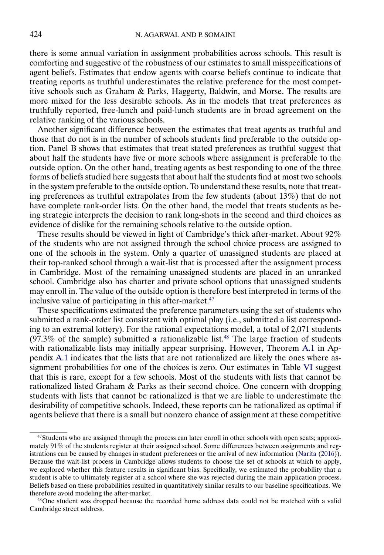<span id="page-33-0"></span>there is some annual variation in assignment probabilities across schools. This result is comforting and suggestive of the robustness of our estimates to small misspecifications of agent beliefs. Estimates that endow agents with coarse beliefs continue to indicate that treating reports as truthful underestimates the relative preference for the most competitive schools such as Graham & Parks, Haggerty, Baldwin, and Morse. The results are more mixed for the less desirable schools. As in the models that treat preferences as truthfully reported, free-lunch and paid-lunch students are in broad agreement on the relative ranking of the various schools.

Another significant difference between the estimates that treat agents as truthful and those that do not is in the number of schools students find preferable to the outside option. Panel B shows that estimates that treat stated preferences as truthful suggest that about half the students have five or more schools where assignment is preferable to the outside option. On the other hand, treating agents as best responding to one of the three forms of beliefs studied here suggests that about half the students find at most two schools in the system preferable to the outside option. To understand these results, note that treating preferences as truthful extrapolates from the few students (about 13%) that do not have complete rank-order lists. On the other hand, the model that treats students as being strategic interprets the decision to rank long-shots in the second and third choices as evidence of dislike for the remaining schools relative to the outside option.

These results should be viewed in light of Cambridge's thick after-market. About 92% of the students who are not assigned through the school choice process are assigned to one of the schools in the system. Only a quarter of unassigned students are placed at their top-ranked school through a wait-list that is processed after the assignment process in Cambridge. Most of the remaining unassigned students are placed in an unranked school. Cambridge also has charter and private school options that unassigned students may enroll in. The value of the outside option is therefore best interpreted in terms of the inclusive value of participating in this after-market. $47$ 

These specifications estimated the preference parameters using the set of students who submitted a rank-order list consistent with optimal play (i.e., submitted a list corresponding to an extremal lottery). For the rational expectations model, a total of 2,071 students  $(97.3\%$  of the sample) submitted a rationalizable list.<sup>48</sup> The large fraction of students with rationalizable lists may initially appear surprising. However, Theorem [A.1](#page-44-0) in Appendix [A.1](#page-43-0) indicates that the lists that are not rationalized are likely the ones where assignment probabilities for one of the choices is zero. Our estimates in Table [VI](#page-31-0) suggest that this is rare, except for a few schools. Most of the students with lists that cannot be rationalized listed Graham & Parks as their second choice. One concern with dropping students with lists that cannot be rationalized is that we are liable to underestimate the desirability of competitive schools. Indeed, these reports can be rationalized as optimal if agents believe that there is a small but nonzero chance of assignment at these competitive

<sup>47</sup>Students who are assigned through the process can later enroll in other schools with open seats; approximately 91% of the students register at their assigned school. Some differences between assignments and registrations can be caused by changes in student preferences or the arrival of new information [\(Narita](#page-52-0) [\(2016\)](#page-52-0)). Because the wait-list process in Cambridge allows students to choose the set of schools at which to apply, we explored whether this feature results in significant bias. Specifically, we estimated the probability that a student is able to ultimately register at a school where she was rejected during the main application process. Beliefs based on these probabilities resulted in quantitatively similar results to our baseline specifications. We therefore avoid modeling the after-market.

<sup>48</sup>One student was dropped because the recorded home address data could not be matched with a valid Cambridge street address.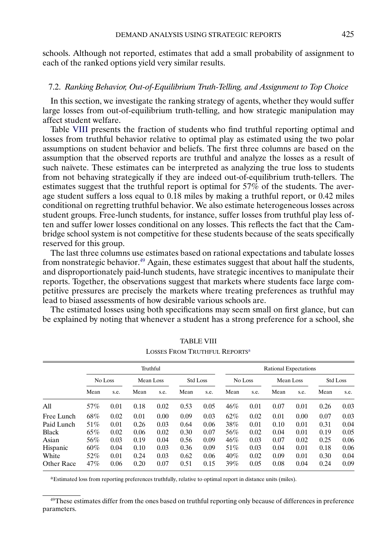schools. Although not reported, estimates that add a small probability of assignment to each of the ranked options yield very similar results.

# 7.2. *Ranking Behavior, Out-of-Equilibrium Truth-Telling, and Assignment to Top Choice*

In this section, we investigate the ranking strategy of agents, whether they would suffer large losses from out-of-equilibrium truth-telling, and how strategic manipulation may affect student welfare.

Table VIII presents the fraction of students who find truthful reporting optimal and losses from truthful behavior relative to optimal play as estimated using the two polar assumptions on student behavior and beliefs. The first three columns are based on the assumption that the observed reports are truthful and analyze the losses as a result of such naïvete. These estimates can be interpreted as analyzing the true loss to students from not behaving strategically if they are indeed out-of-equilibrium truth-tellers. The estimates suggest that the truthful report is optimal for 57% of the students. The average student suffers a loss equal to 0.18 miles by making a truthful report, or 0.42 miles conditional on regretting truthful behavior. We also estimate heterogeneous losses across student groups. Free-lunch students, for instance, suffer losses from truthful play less often and suffer lower losses conditional on any losses. This reflects the fact that the Cambridge school system is not competitive for these students because of the seats specifically reserved for this group.

The last three columns use estimates based on rational expectations and tabulate losses from nonstrategic behavior.<sup>49</sup> Again, these estimates suggest that about half the students, and disproportionately paid-lunch students, have strategic incentives to manipulate their reports. Together, the observations suggest that markets where students face large competitive pressures are precisely the markets where treating preferences as truthful may lead to biased assessments of how desirable various schools are.

The estimated losses using both specifications may seem small on first glance, but can be explained by noting that whenever a student has a strong preference for a school, she

|              |                      |      | Truthful |      |                 |      | Rational Expectations |      |           |      |                 |      |  |
|--------------|----------------------|------|----------|------|-----------------|------|-----------------------|------|-----------|------|-----------------|------|--|
|              | No Loss<br>Mean Loss |      |          |      | <b>Std Loss</b> |      | No Loss               |      | Mean Loss |      | <b>Std Loss</b> |      |  |
|              | Mean                 | s.e. | Mean     | s.e. | Mean            | s.e. | Mean                  | s.e. | Mean      | s.e. | Mean            | s.e. |  |
| All          | 57%                  | 0.01 | 0.18     | 0.02 | 0.53            | 0.05 | 46%                   | 0.01 | 0.07      | 0.01 | 0.26            | 0.03 |  |
| Free Lunch   | 68%                  | 0.02 | 0.01     | 0.00 | 0.09            | 0.03 | 62%                   | 0.02 | 0.01      | 0.00 | 0.07            | 0.03 |  |
| Paid Lunch   | 51%                  | 0.01 | 0.26     | 0.03 | 0.64            | 0.06 | 38%                   | 0.01 | 0.10      | 0.01 | 0.31            | 0.04 |  |
| <b>Black</b> | 65%                  | 0.02 | 0.06     | 0.02 | 0.30            | 0.07 | 56%                   | 0.02 | 0.04      | 0.01 | 0.19            | 0.05 |  |
| Asian        | 56%                  | 0.03 | 0.19     | 0.04 | 0.56            | 0.09 | 46%                   | 0.03 | 0.07      | 0.02 | 0.25            | 0.06 |  |
| Hispanic     | $60\%$               | 0.04 | 0.10     | 0.03 | 0.36            | 0.09 | 51%                   | 0.03 | 0.04      | 0.01 | 0.18            | 0.06 |  |
| White        | 52%                  | 0.01 | 0.24     | 0.03 | 0.62            | 0.06 | 40%                   | 0.02 | 0.09      | 0.01 | 0.30            | 0.04 |  |
| Other Race   | 47%                  | 0.06 | 0.20     | 0.07 | 0.51            | 0.15 | 39%                   | 0.05 | 0.08      | 0.04 | 0.24            | 0.09 |  |

TABLE VIII LOSSES FROM TRUTHFUL REPORTS<sup>a</sup>

aEstimated loss from reporting preferences truthfully, relative to optimal report in distance units (miles).

<sup>&</sup>lt;sup>49</sup>These estimates differ from the ones based on truthful reporting only because of differences in preference parameters.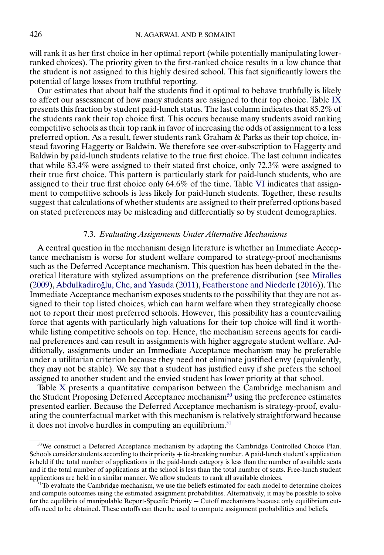<span id="page-35-0"></span>will rank it as her first choice in her optimal report (while potentially manipulating lowerranked choices). The priority given to the first-ranked choice results in a low chance that the student is not assigned to this highly desired school. This fact significantly lowers the potential of large losses from truthful reporting.

Our estimates that about half the students find it optimal to behave truthfully is likely to affect our assessment of how many students are assigned to their top choice. Table [IX](#page-36-0) presents this fraction by student paid-lunch status. The last column indicates that 85.2% of the students rank their top choice first. This occurs because many students avoid ranking competitive schools as their top rank in favor of increasing the odds of assignment to a less preferred option. As a result, fewer students rank Graham & Parks as their top choice, instead favoring Haggerty or Baldwin. We therefore see over-subscription to Haggerty and Baldwin by paid-lunch students relative to the true first choice. The last column indicates that while 83.4% were assigned to their stated first choice, only 72.3% were assigned to their true first choice. This pattern is particularly stark for paid-lunch students, who are assigned to their true first choice only 64.6% of the time. Table [VI](#page-31-0) indicates that assignment to competitive schools is less likely for paid-lunch students. Together, these results suggest that calculations of whether students are assigned to their preferred options based on stated preferences may be misleading and differentially so by student demographics.

# 7.3. *Evaluating Assignments Under Alternative Mechanisms*

A central question in the mechanism design literature is whether an Immediate Acceptance mechanism is worse for student welfare compared to strategy-proof mechanisms such as the Deferred Acceptance mechanism. This question has been debated in the theoretical literature with stylized assumptions on the preference distribution (see [Miralles](#page-52-0)  $(2009)$ , Abdulkadiroğlu, Che, and Yasuda  $(2011)$ , [Featherstone and Niederle](#page-52-0)  $(2016)$ ). The Immediate Acceptance mechanism exposes students to the possibility that they are not assigned to their top listed choices, which can harm welfare when they strategically choose not to report their most preferred schools. However, this possibility has a countervailing force that agents with particularly high valuations for their top choice will find it worthwhile listing competitive schools on top. Hence, the mechanism screens agents for cardinal preferences and can result in assignments with higher aggregate student welfare. Additionally, assignments under an Immediate Acceptance mechanism may be preferable under a utilitarian criterion because they need not eliminate justified envy (equivalently, they may not be stable). We say that a student has justified envy if she prefers the school assigned to another student and the envied student has lower priority at that school.

Table [X](#page-37-0) presents a quantitative comparison between the Cambridge mechanism and the Student Proposing Deferred Acceptance mechanism<sup>50</sup> using the preference estimates presented earlier. Because the Deferred Acceptance mechanism is strategy-proof, evaluating the counterfactual market with this mechanism is relatively straightforward because it does not involve hurdles in computing an equilibrium. $51$ 

<sup>&</sup>lt;sup>50</sup>We construct a Deferred Acceptance mechanism by adapting the Cambridge Controlled Choice Plan. Schools consider students according to their priority + tie-breaking number. A paid-lunch student's application is held if the total number of applications in the paid-lunch category is less than the number of available seats and if the total number of applications at the school is less than the total number of seats. Free-lunch student applications are held in a similar manner. We allow students to rank all available choices.

 $51$ To evaluate the Cambridge mechanism, we use the beliefs estimated for each model to determine choices and compute outcomes using the estimated assignment probabilities. Alternatively, it may be possible to solve for the equilibria of manipulable Report-Specific Priority + Cutoff mechanisms because only equilibrium cutoffs need to be obtained. These cutoffs can then be used to compute assignment probabilities and beliefs.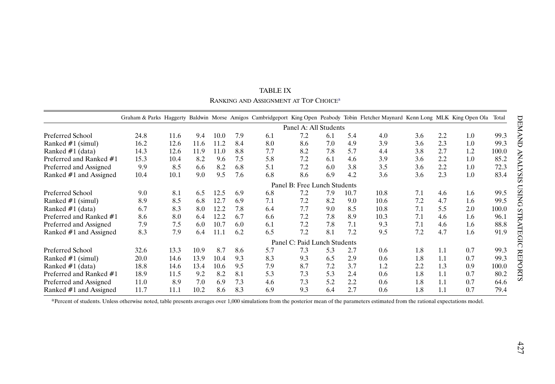<span id="page-36-0"></span>

|                         |      |                              |      |      |     |     |                              |     |      | Graham & Parks Haggerty Baldwin Morse Amigos Cambridgeport King Open Peabody Tobin Fletcher Maynard Kenn Long MLK King Open Ola |     |     |     | Total |
|-------------------------|------|------------------------------|------|------|-----|-----|------------------------------|-----|------|---------------------------------------------------------------------------------------------------------------------------------|-----|-----|-----|-------|
|                         |      |                              |      |      |     |     | Panel A: All Students        |     |      |                                                                                                                                 |     |     |     |       |
| Preferred School        | 24.8 | 11.6                         | 9.4  | 10.0 | 7.9 | 6.1 | 7.2                          | 6.1 | 5.4  | 4.0                                                                                                                             | 3.6 | 2.2 | 1.0 | 99.3  |
| Ranked #1 (simul)       | 16.2 | 12.6                         | 11.6 | 11.2 | 8.4 | 8.0 | 8.6                          | 7.0 | 4.9  | 3.9                                                                                                                             | 3.6 | 2.3 | 1.0 | 99.3  |
| Ranked $#1$ (data)      | 14.3 | 12.6                         | 11.9 | 11.0 | 8.8 | 7.7 | 8.2                          | 7.8 | 5.7  | 4.4                                                                                                                             | 3.8 | 2.7 | 1.2 | 100.0 |
| Preferred and Ranked #1 | 15.3 | 10.4                         | 8.2  | 9.6  | 7.5 | 5.8 | 7.2                          | 6.1 | 4.6  | 3.9                                                                                                                             | 3.6 | 2.2 | 1.0 | 85.2  |
| Preferred and Assigned  | 9.9  | 8.5                          | 6.6  | 8.2  | 6.8 | 5.1 | 7.2                          | 6.0 | 3.8  | 3.5                                                                                                                             | 3.6 | 2.2 | 1.0 | 72.3  |
| Ranked #1 and Assigned  | 10.4 | 10.1                         | 9.0  | 9.5  | 7.6 | 6.8 | 8.6                          | 6.9 | 4.2  | 3.6                                                                                                                             | 3.6 | 2.3 | 1.0 | 83.4  |
|                         |      | Panel B: Free Lunch Students |      |      |     |     |                              |     |      |                                                                                                                                 |     |     |     |       |
| Preferred School        | 9.0  | 8.1                          | 6.5  | 12.5 | 6.9 | 6.8 | 7.2                          | 7.9 | 10.7 | 10.8                                                                                                                            | 7.1 | 4.6 | 1.6 | 99.5  |
| Ranked $#1$ (simul)     | 8.9  | 8.5                          | 6.8  | 12.7 | 6.9 | 7.1 | 7.2                          | 8.2 | 9.0  | 10.6                                                                                                                            | 7.2 | 4.7 | 1.6 | 99.5  |
| Ranked #1 (data)        | 6.7  | 8.3                          | 8.0  | 12.2 | 7.8 | 6.4 | 7.7                          | 9.0 | 8.5  | 10.8                                                                                                                            | 7.1 | 5.5 | 2.0 | 100.0 |
| Preferred and Ranked #1 | 8.6  | 8.0                          | 6.4  | 12.2 | 6.7 | 6.6 | 7.2                          | 7.8 | 8.9  | 10.3                                                                                                                            | 7.1 | 4.6 | 1.6 | 96.1  |
| Preferred and Assigned  | 7.9  | 7.5                          | 6.0  | 10.7 | 6.0 | 6.1 | 7.2                          | 7.8 | 7.1  | 9.3                                                                                                                             | 7.1 | 4.6 | 1.6 | 88.8  |
| Ranked #1 and Assigned  | 8.3  | 7.9                          | 6.4  | 11.1 | 6.2 | 6.5 | 7.2                          | 8.1 | 7.2  | 9.5                                                                                                                             | 7.2 | 4.7 | 1.6 | 91.9  |
|                         |      |                              |      |      |     |     | Panel C: Paid Lunch Students |     |      |                                                                                                                                 |     |     |     |       |
| Preferred School        | 32.6 | 13.3                         | 10.9 | 8.7  | 8.6 | 5.7 | 7.3                          | 5.3 | 2.7  | 0.6                                                                                                                             | 1.8 | 1.1 | 0.7 | 99.3  |
| Ranked #1 (simul)       | 20.0 | 14.6                         | 13.9 | 10.4 | 9.3 | 8.3 | 9.3                          | 6.5 | 2.9  | 0.6                                                                                                                             | 1.8 | 1.1 | 0.7 | 99.3  |
| Ranked $#1$ (data)      | 18.8 | 14.6                         | 13.4 | 10.6 | 9.5 | 7.9 | 8.7                          | 7.2 | 3.7  | 1.2                                                                                                                             | 2.2 | 1.3 | 0.9 | 100.0 |
| Preferred and Ranked #1 | 18.9 | 11.5                         | 9.2  | 8.2  | 8.1 | 5.3 | 7.3                          | 5.3 | 2.4  | 0.6                                                                                                                             | 1.8 | 1.1 | 0.7 | 80.2  |
| Preferred and Assigned  | 11.0 | 8.9                          | 7.0  | 6.9  | 7.3 | 4.6 | 7.3                          | 5.2 | 2.2  | 0.6                                                                                                                             | 1.8 | 1.1 | 0.7 | 64.6  |
| Ranked #1 and Assigned  | 11.7 | 11.1                         | 10.2 | 8.6  | 8.3 | 6.9 | 9.3                          | 6.4 | 2.7  | 0.6                                                                                                                             | 1.8 | 1.1 | 0.7 | 79.4  |

TABLE IX RANKING AND ASSIGNMENT AT TOP CHOICEa

<sup>a</sup>Percent of students. Unless otherwise noted, table presents averages over 1,000 simulations from the posterior mean of the parameters estimated from the rational expectations model.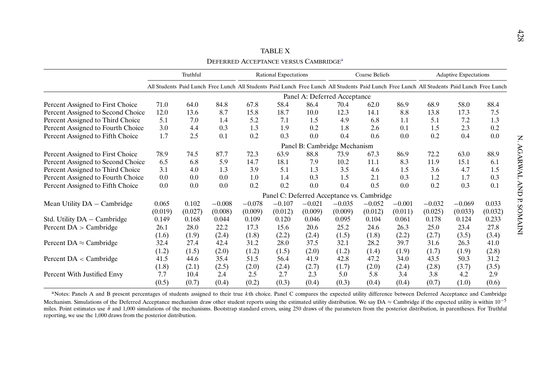<span id="page-37-0"></span>

|                                   |         |          |          |                                                   | <b>TABLE X</b>               |                                  |                       |           |          |                                                                                                                                             |                              |         |
|-----------------------------------|---------|----------|----------|---------------------------------------------------|------------------------------|----------------------------------|-----------------------|-----------|----------|---------------------------------------------------------------------------------------------------------------------------------------------|------------------------------|---------|
|                                   |         |          |          | DEFERRED ACCEPTANCE VERSUS CAMBRIDGE <sup>a</sup> |                              |                                  |                       |           |          |                                                                                                                                             |                              |         |
|                                   |         | Truthful |          |                                                   | <b>Rational Expectations</b> |                                  | <b>Coarse Beliefs</b> |           |          |                                                                                                                                             | <b>Adaptive Expectations</b> |         |
|                                   |         |          |          |                                                   |                              |                                  |                       |           |          | All Students Paid Lunch Free Lunch All Students Paid Lunch Free Lunch All Students Paid Lunch Free Lunch All Students Paid Lunch Free Lunch |                              |         |
|                                   |         |          |          |                                                   |                              | Panel A: Deferred Acceptance     |                       |           |          |                                                                                                                                             |                              |         |
| Percent Assigned to First Choice  | 71.0    | 64.0     | 84.8     | 67.8                                              | 58.4                         | 86.4                             | 70.4                  | 62.0      | 86.9     | 68.9                                                                                                                                        | 58.0                         | 88.4    |
| Percent Assigned to Second Choice | 12.0    | 13.6     | 8.7      | 15.8                                              | 18.7                         | 10.0                             | 12.3                  | 14.1      | 8.8      | 13.8                                                                                                                                        | 17.3                         | 7.5     |
| Percent Assigned to Third Choice  | 5.1     | 7.0      | 1.4      | 5.2                                               | 7.1                          | 1.5                              | 4.9                   | 6.8       | 1.1      | 5.1                                                                                                                                         | 7.2                          | 1.3     |
| Percent Assigned to Fourth Choice | 3.0     | 4.4      | 0.3      | 1.3                                               | 1.9                          | 0.2                              | 1.8                   | 2.6       | 0.1      | 1.5                                                                                                                                         | 2.3                          | 0.2     |
| Percent Assigned to Fifth Choice  | 1.7     | 2.5      | 0.1      | 0.2                                               | 0.3                          | 0.0                              | 0.4                   | 0.6       | 0.0      | 0.2                                                                                                                                         | 0.4                          | 0.0     |
|                                   |         |          |          |                                                   |                              | Panel B: Cambridge Mechanism     |                       |           |          |                                                                                                                                             |                              |         |
| Percent Assigned to First Choice  | 78.9    | 74.5     | 87.7     | 72.3                                              | 63.9                         | 88.8                             | 73.9                  | 67.3      | 86.9     | 72.2                                                                                                                                        | 63.0                         | 88.9    |
| Percent Assigned to Second Choice | 6.5     | 6.8      | 5.9      | 14.7                                              | 18.1                         | 7.9                              | 10.2                  | 11.1      | 8.3      | 11.9                                                                                                                                        | 15.1                         | 6.1     |
| Percent Assigned to Third Choice  | 3.1     | 4.0      | 1.3      | 3.9                                               | 5.1                          | 1.3                              | 3.5                   | 4.6       | 1.5      | 3.6                                                                                                                                         | 4.7                          | 1.5     |
| Percent Assigned to Fourth Choice | 0.0     | 0.0      | 0.0      | 1.0                                               | 1.4                          | 0.3                              | 1.5                   | 2.1       | 0.3      | 1.2                                                                                                                                         | 1.7                          | 0.3     |
| Percent Assigned to Fifth Choice  | 0.0     | 0.0      | 0.0      | 0.2                                               | 0.2                          | 0.0                              | 0.4                   | 0.5       | 0.0      | 0.2                                                                                                                                         | 0.3                          | 0.1     |
|                                   |         |          |          |                                                   |                              | Panel C: Deferred Acceptance vs. |                       | Cambridge |          |                                                                                                                                             |                              |         |
| Mean Utility DA - Cambridge       | 0.065   | 0.102    | $-0.008$ | $-0.078$                                          | $-0.107$                     | $-0.021$                         | $-0.035$              | $-0.052$  | $-0.001$ | $-0.032$                                                                                                                                    | $-0.069$                     | 0.033   |
|                                   | (0.019) | (0.027)  | (0.008)  | (0.009)                                           | (0.012)                      | (0.009)                          | (0.009)               | (0.012)   | (0.011)  | (0.025)                                                                                                                                     | (0.033)                      | (0.032) |
| Std. Utility DA - Cambridge       | 0.149   | 0.168    | 0.044    | 0.109                                             | 0.120                        | 0.046                            | 0.095                 | 0.104     | 0.061    | 0.178                                                                                                                                       | 0.124                        | 0.233   |
| Percent $DA$ > Cambridge          | 26.1    | 28.0     | 22.2     | 17.3                                              | 15.6                         | 20.6                             | 25.2                  | 24.6      | 26.3     | 25.0                                                                                                                                        | 23.4                         | 27.8    |
|                                   | (1.6)   | (1.9)    | (2.4)    | (1.8)                                             | (2.2)                        | (2.4)                            | (1.5)                 | (1.8)     | (2.2)    | (2.7)                                                                                                                                       | (3.5)                        | (3.4)   |
| Percent DA $\approx$ Cambridge    | 32.4    | 27.4     | 42.4     | 31.2                                              | 28.0                         | 37.5                             | 32.1                  | 28.2      | 39.7     | 31.6                                                                                                                                        | 26.3                         | 41.0    |
|                                   | (1.2)   | (1.5)    | (2.0)    | (1.2)                                             | (1.5)                        | (2.0)                            | (1.2)                 | (1.4)     | (1.9)    | (1.7)                                                                                                                                       | (1.9)                        | (2.8)   |
| Percent $DA <$ Cambridge          | 41.5    | 44.6     | 35.4     | 51.5                                              | 56.4                         | 41.9                             | 42.8                  | 47.2      | 34.0     | 43.5                                                                                                                                        | 50.3                         | 31.2    |
|                                   | (1.8)   | (2.1)    | (2.5)    | (2.0)                                             | (2.4)                        | (2.7)                            | (1.7)                 | (2.0)     | (2.4)    | (2.8)                                                                                                                                       | (3.7)                        | (3.5)   |
| Percent With Justified Envy       | 7.7     | 10.4     | 2.4      | 2.5                                               | 2.7                          | 2.3                              | 5.0                   | 5.8       | 3.4      | 3.8                                                                                                                                         | 4.2                          | 2.9     |
|                                   | (0.5)   | (0.7)    | (0.4)    | (0.2)                                             | (0.3)                        | (0.4)                            | (0.3)                 | (0.4)     | (0.4)    | (0.7)                                                                                                                                       | (1.0)                        | (0.6)   |

aNotes: Panels A and B present percentages of students assigned to their true kth choice. Panel C compares the expected utility difference between Deferred Acceptance and Cambridge Mechanism. Simulations of the Deferred Acceptance mechanism draw other student reports using the estimated utility distribution. We say DA  $\approx$  Cambridge if the expected utility is within 10<sup>-5</sup> miles. Point estimates use  $\hat{\theta}$  and 1,000 simulations of the mechanisms. Bootstrap standard errors, using 250 draws of the parameters from the posterior distribution, in parentheses. For Truthful reporting, we use the 1,000 draws from the posterior distribution.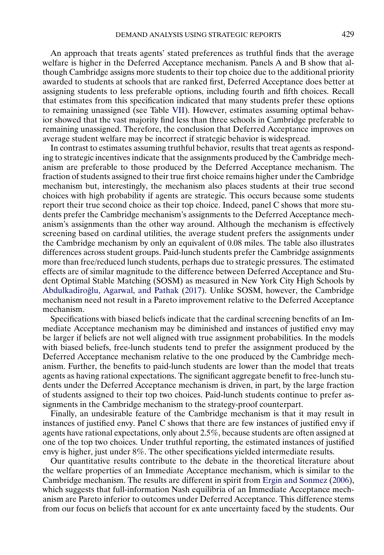<span id="page-38-0"></span>An approach that treats agents' stated preferences as truthful finds that the average welfare is higher in the Deferred Acceptance mechanism. Panels A and B show that although Cambridge assigns more students to their top choice due to the additional priority awarded to students at schools that are ranked first, Deferred Acceptance does better at assigning students to less preferable options, including fourth and fifth choices. Recall that estimates from this specification indicated that many students prefer these options to remaining unassigned (see Table [VII\)](#page-32-0). However, estimates assuming optimal behavior showed that the vast majority find less than three schools in Cambridge preferable to remaining unassigned. Therefore, the conclusion that Deferred Acceptance improves on average student welfare may be incorrect if strategic behavior is widespread.

In contrast to estimates assuming truthful behavior, results that treat agents as responding to strategic incentives indicate that the assignments produced by the Cambridge mechanism are preferable to those produced by the Deferred Acceptance mechanism. The fraction of students assigned to their true first choice remains higher under the Cambridge mechanism but, interestingly, the mechanism also places students at their true second choices with high probability if agents are strategic. This occurs because some students report their true second choice as their top choice. Indeed, panel C shows that more students prefer the Cambridge mechanism's assignments to the Deferred Acceptance mechanism's assignments than the other way around. Although the mechanism is effectively screening based on cardinal utilities, the average student prefers the assignments under the Cambridge mechanism by only an equivalent of 0.08 miles. The table also illustrates differences across student groups. Paid-lunch students prefer the Cambridge assignments more than free/reduced lunch students, perhaps due to strategic pressures. The estimated effects are of similar magnitude to the difference between Deferred Acceptance and Student Optimal Stable Matching (SOSM) as measured in New York City High Schools by Abdulkadiroğlu, Agarwal, and Pathak [\(2017\)](#page-50-0). Unlike SOSM, however, the Cambridge mechanism need not result in a Pareto improvement relative to the Deferred Acceptance mechanism.

Specifications with biased beliefs indicate that the cardinal screening benefits of an Immediate Acceptance mechanism may be diminished and instances of justified envy may be larger if beliefs are not well aligned with true assignment probabilities. In the models with biased beliefs, free-lunch students tend to prefer the assignment produced by the Deferred Acceptance mechanism relative to the one produced by the Cambridge mechanism. Further, the benefits to paid-lunch students are lower than the model that treats agents as having rational expectations. The significant aggregate benefit to free-lunch students under the Deferred Acceptance mechanism is driven, in part, by the large fraction of students assigned to their top two choices. Paid-lunch students continue to prefer assignments in the Cambridge mechanism to the strategy-proof counterpart.

Finally, an undesirable feature of the Cambridge mechanism is that it may result in instances of justified envy. Panel C shows that there are few instances of justified envy if agents have rational expectations, only about 2.5%, because students are often assigned at one of the top two choices. Under truthful reporting, the estimated instances of justified envy is higher, just under 8%. The other specifications yielded intermediate results.

Our quantitative results contribute to the debate in the theoretical literature about the welfare properties of an Immediate Acceptance mechanism, which is similar to the Cambridge mechanism. The results are different in spirit from [Ergin and Sonmez](#page-52-0) [\(2006\)](#page-52-0), which suggests that full-information Nash equilibria of an Immediate Acceptance mechanism are Pareto inferior to outcomes under Deferred Acceptance. This difference stems from our focus on beliefs that account for ex ante uncertainty faced by the students. Our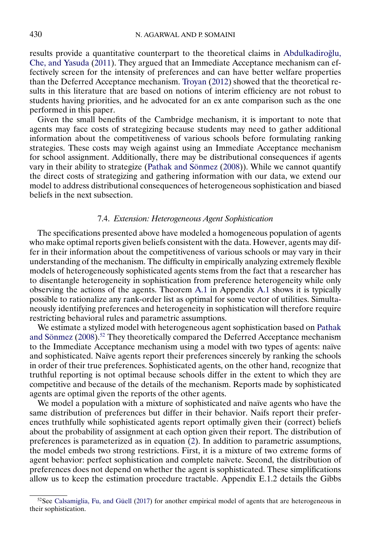<span id="page-39-0"></span>results provide a quantitative counterpart to the theoretical claims in Abdulkadiroğlu, [Che, and Yasuda](#page-50-0) [\(2011\)](#page-50-0). They argued that an Immediate Acceptance mechanism can effectively screen for the intensity of preferences and can have better welfare properties than the Deferred Acceptance mechanism. [Troyan](#page-53-0) [\(2012\)](#page-53-0) showed that the theoretical results in this literature that are based on notions of interim efficiency are not robust to students having priorities, and he advocated for an ex ante comparison such as the one performed in this paper.

Given the small benefits of the Cambridge mechanism, it is important to note that agents may face costs of strategizing because students may need to gather additional information about the competitiveness of various schools before formulating ranking strategies. These costs may weigh against using an Immediate Acceptance mechanism for school assignment. Additionally, there may be distributional consequences if agents vary in their ability to strategize [\(Pathak and Sönmez](#page-53-0) [\(2008\)](#page-53-0)). While we cannot quantify the direct costs of strategizing and gathering information with our data, we extend our model to address distributional consequences of heterogeneous sophistication and biased beliefs in the next subsection.

# 7.4. *Extension: Heterogeneous Agent Sophistication*

The specifications presented above have modeled a homogeneous population of agents who make optimal reports given beliefs consistent with the data. However, agents may differ in their information about the competitiveness of various schools or may vary in their understanding of the mechanism. The difficulty in empirically analyzing extremely flexible models of heterogeneously sophisticated agents stems from the fact that a researcher has to disentangle heterogeneity in sophistication from preference heterogeneity while only observing the actions of the agents. Theorem [A.1](#page-44-0) in Appendix [A.1](#page-43-0) shows it is typically possible to rationalize any rank-order list as optimal for some vector of utilities. Simultaneously identifying preferences and heterogeneity in sophistication will therefore require restricting behavioral rules and parametric assumptions.

We estimate a stylized model with heterogeneous agent sophistication based on [Pathak](#page-53-0) [and Sönmez](#page-53-0) [\(2008\)](#page-53-0).52 They theoretically compared the Deferred Acceptance mechanism to the Immediate Acceptance mechanism using a model with two types of agents: naïve and sophisticated. Naïve agents report their preferences sincerely by ranking the schools in order of their true preferences. Sophisticated agents, on the other hand, recognize that truthful reporting is not optimal because schools differ in the extent to which they are competitive and because of the details of the mechanism. Reports made by sophisticated agents are optimal given the reports of the other agents.

We model a population with a mixture of sophisticated and naïve agents who have the same distribution of preferences but differ in their behavior. Naifs report their preferences truthfully while sophisticated agents report optimally given their (correct) beliefs about the probability of assignment at each option given their report. The distribution of preferences is parameterized as in equation [\(2\)](#page-15-0). In addition to parametric assumptions, the model embeds two strong restrictions. First, it is a mixture of two extreme forms of agent behavior: perfect sophistication and complete naïvete. Second, the distribution of preferences does not depend on whether the agent is sophisticated. These simplifications allow us to keep the estimation procedure tractable. Appendix E.1.2 details the Gibbs

 $52$ See [Calsamiglia, Fu, and Güell](#page-51-0) [\(2017\)](#page-51-0) for another empirical model of agents that are heterogeneous in their sophistication.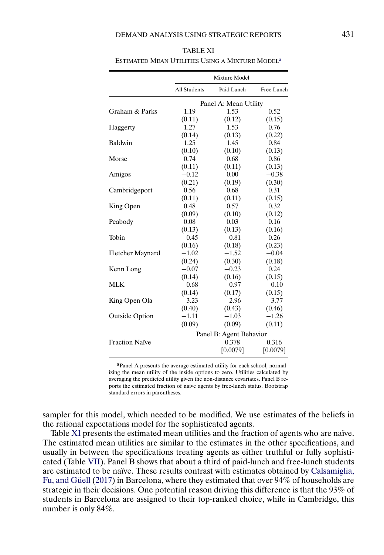|                         |              | Mixture Model           |            |
|-------------------------|--------------|-------------------------|------------|
|                         | All Students | Paid Lunch              | Free Lunch |
|                         |              | Panel A: Mean Utility   |            |
| Graham & Parks          | 1.19         | 1.53                    | 0.52       |
|                         | (0.11)       | (0.12)                  | (0.15)     |
| Haggerty                | 1.27         | 1.53                    | 0.76       |
|                         | (0.14)       | (0.13)                  | (0.22)     |
| Baldwin                 | 1.25         | 1.45                    | 0.84       |
|                         | (0.10)       | (0.10)                  | (0.13)     |
| Morse                   | 0.74         | 0.68                    | 0.86       |
|                         | (0.11)       | (0.11)                  | (0.13)     |
| Amigos                  | $-0.12$      | 0.00                    | $-0.38$    |
|                         | (0.21)       | (0.19)                  | (0.30)     |
| Cambridgeport           | 0.56         | 0.68                    | 0.31       |
|                         | (0.11)       | (0.11)                  | (0.15)     |
| King Open               | 0.48         | 0.57                    | 0.32       |
|                         | (0.09)       | (0.10)                  | (0.12)     |
| Peabody                 | 0.08         | 0.03                    | 0.16       |
|                         | (0.13)       | (0.13)                  | (0.16)     |
| Tobin                   | $-0.45$      | $-0.81$                 | 0.26       |
|                         | (0.16)       | (0.18)                  | (0.23)     |
| <b>Fletcher Maynard</b> | $-1.02$      | $-1.52$                 | $-0.04$    |
|                         | (0.24)       | (0.30)                  | (0.18)     |
| Kenn Long               | $-0.07$      | $-0.23$                 | 0.24       |
|                         | (0.14)       | (0.16)                  | (0.15)     |
| <b>MLK</b>              | $-0.68$      | $-0.97$                 | $-0.10$    |
|                         | (0.14)       | (0.17)                  | (0.15)     |
| King Open Ola           | $-3.23$      | $-2.96$                 | $-3.77$    |
|                         | (0.40)       | (0.43)                  | (0.46)     |
| <b>Outside Option</b>   | $-1.11$      | $-1.03$                 | $-1.26$    |
|                         | (0.09)       | (0.09)                  | (0.11)     |
|                         |              | Panel B: Agent Behavior |            |
| <b>Fraction Naïve</b>   |              | 0.378                   | 0.316      |
|                         |              | [0.0079]                | [0.0079]   |
|                         |              |                         |            |

<span id="page-40-0"></span>

| <b>TABLE XI</b>                                             |
|-------------------------------------------------------------|
| ESTIMATED MEAN UTILITIES USING A MIXTURE MODEL <sup>a</sup> |

aPanel A presents the average estimated utility for each school, normalizing the mean utility of the inside options to zero. Utilities calculated by averaging the predicted utility given the non-distance covariates. Panel B reports the estimated fraction of naive agents by free-lunch status. Bootstrap standard errors in parentheses.

sampler for this model, which needed to be modified. We use estimates of the beliefs in the rational expectations model for the sophisticated agents.

Table XI presents the estimated mean utilities and the fraction of agents who are naïve. The estimated mean utilities are similar to the estimates in the other specifications, and usually in between the specifications treating agents as either truthful or fully sophisticated (Table [VII\)](#page-32-0). Panel B shows that about a third of paid-lunch and free-lunch students are estimated to be naïve. These results contrast with estimates obtained by [Calsamiglia,](#page-51-0) [Fu, and Güell](#page-51-0) [\(2017\)](#page-51-0) in Barcelona, where they estimated that over 94% of households are strategic in their decisions. One potential reason driving this difference is that the 93% of students in Barcelona are assigned to their top-ranked choice, while in Cambridge, this number is only 84%.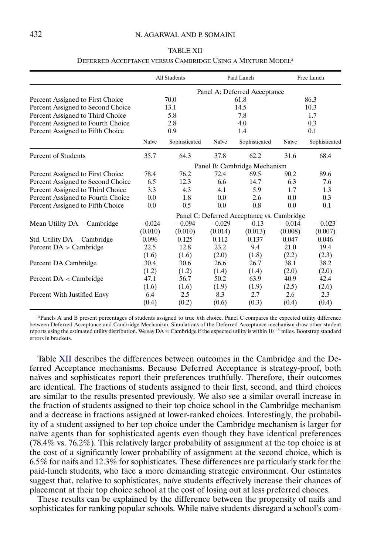## <span id="page-41-0"></span>432 N. AGARWAL AND P. SOMAINI

# DEFERRED ACCEPTANCE VERSUS CAMBRIDGE USING A MIXTURE MODELa All Students Paid Lunch Free Lunch Panel A: Deferred Acceptance Percent Assigned to First Choice  $70.0$  61.8 86.3 Percent Assigned to Second Choice 13.1 14.5 10.3 Percent Assigned to Third Choice 5.8 7.8 7.8 1.7 Percent Assigned to Fourth Choice 2.8 4.0 0.3 Percent Assigned to Fifth Choice 0.9 1.4 0.1 Naïve Sophisticated Naïve Sophisticated Naïve Sophisticated Percent of Students 35.7 64.3 37.8 62.2 31.6 68.4 Panel B: Cambridge Mechanism Percent Assigned to First Choice 78.4 76.2 72.4 69.5 90.2 89.6 Percent Assigned to Second Choice 6.5 12.3 6.6 14.7 6.3 7.6

#### TABLE XII

| Percent Assigned to Second Choice | 0.5                                        | 12.3     | $0.6^{\circ}$ | 14.7    | 0.3      | 7.6      |
|-----------------------------------|--------------------------------------------|----------|---------------|---------|----------|----------|
| Percent Assigned to Third Choice  | 3.3                                        | 4.3      | 4.1           | 5.9     | 1.7      | 1.3      |
| Percent Assigned to Fourth Choice | 0.0                                        | 1.8      | 0.0           | 2.6     | 0.0      | 0.3      |
| Percent Assigned to Fifth Choice  | 0.0                                        | 0.5      | 0.0           | 0.8     | 0.0      | 0.1      |
|                                   | Panel C: Deferred Acceptance vs. Cambridge |          |               |         |          |          |
| Mean Utility DA - Cambridge       | $-0.024$                                   | $-0.094$ | $-0.029$      | $-0.13$ | $-0.014$ | $-0.023$ |
|                                   | (0.010)                                    | (0.010)  | (0.014)       | (0.013) | (0.008)  | (0.007)  |
| Std. Utility DA – Cambridge       | 0.096                                      | 0.125    | 0.112         | 0.137   | 0.047    | 0.046    |
| Percent $DA$ > Cambridge          | 22.5                                       | 12.8     | 23.2          | 9.4     | 21.0     | 19.4     |
|                                   | (1.6)                                      | (1.6)    | (2.0)         | (1.8)   | (2.2)    | (2.3)    |
| Percent DA Cambridge              | 30.4                                       | 30.6     | 26.6          | 26.7    | 38.1     | 38.2     |
|                                   | (1.2)                                      | (1.2)    | (1.4)         | (1.4)   | (2.0)    | (2.0)    |
| Percent $DA <$ Cambridge          | 47.1                                       | 56.7     | 50.2          | 63.9    | 40.9     | 42.4     |
|                                   | (1.6)                                      | (1.6)    | (1.9)         | (1.9)   | (2.5)    | (2.6)    |
| Percent With Justified Envy       | 6.4                                        | 2.5      | 8.3           | 2.7     | 2.6      | 2.3      |
|                                   | (0.4)                                      | (0.2)    | (0.6)         | (0.3)   | (0.4)    | (0.4)    |

aPanels A and B present percentages of students assigned to true kth choice. Panel C compares the expected utility difference between Deferred Acceptance and Cambridge Mechanism. Simulations of the Deferred Acceptance mechanism draw other student reports using the estimated utility distribution. We say DA ≈ Cambridge if the expected utility is within 10−<sup>5</sup> miles. Bootstrap standard errors in brackets.

Table XII describes the differences between outcomes in the Cambridge and the Deferred Acceptance mechanisms. Because Deferred Acceptance is strategy-proof, both naïves and sophisticates report their preferences truthfully. Therefore, their outcomes are identical. The fractions of students assigned to their first, second, and third choices are similar to the results presented previously. We also see a similar overall increase in the fraction of students assigned to their top choice school in the Cambridge mechanism and a decrease in fractions assigned at lower-ranked choices. Interestingly, the probability of a student assigned to her top choice under the Cambridge mechanism is larger for naïve agents than for sophisticated agents even though they have identical preferences (78.4% vs. 76.2%). This relatively larger probability of assignment at the top choice is at the cost of a significantly lower probability of assignment at the second choice, which is 6.5% for naifs and 12.3% for sophisticates. These differences are particularly stark for the paid-lunch students, who face a more demanding strategic environment. Our estimates suggest that, relative to sophisticates, naïve students effectively increase their chances of placement at their top choice school at the cost of losing out at less preferred choices.

These results can be explained by the difference between the propensity of naifs and sophisticates for ranking popular schools. While naïve students disregard a school's com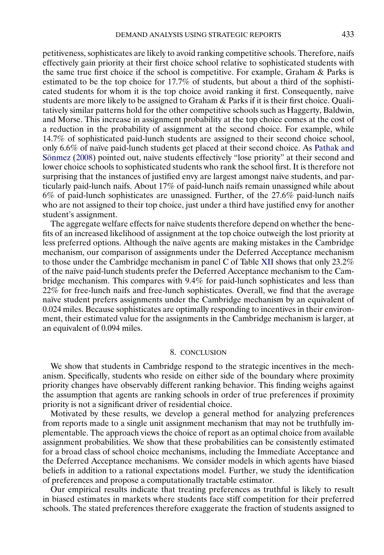<span id="page-42-0"></span>petitiveness, sophisticates are likely to avoid ranking competitive schools. Therefore, naifs effectively gain priority at their first choice school relative to sophisticated students with the same true first choice if the school is competitive. For example, Graham & Parks is estimated to be the top choice for 17.7% of students, but about a third of the sophisticated students for whom it is the top choice avoid ranking it first. Consequently, naive students are more likely to be assigned to Graham & Parks if it is their first choice. Qualitatively similar patterns hold for the other competitive schools such as Haggerty, Baldwin, and Morse. This increase in assignment probability at the top choice comes at the cost of a reduction in the probability of assignment at the second choice. For example, while 14.7% of sophisticated paid-lunch students are assigned to their second choice school, only 6.6% of naïve paid-lunch students get placed at their second choice. As [Pathak and](#page-53-0) [Sönmez](#page-53-0) [\(2008\)](#page-53-0) pointed out, naïve students effectively "lose priority" at their second and lower choice schools to sophisticated students who rank the school first. It is therefore not surprising that the instances of justified envy are largest amongst naïve students, and particularly paid-lunch naifs. About 17% of paid-lunch naifs remain unassigned while about 6% of paid-lunch sophisticates are unassigned. Further, of the 27.6% paid-lunch naifs who are not assigned to their top choice, just under a third have justified envy for another student's assignment.

The aggregate welfare effects for naïve students therefore depend on whether the benefits of an increased likelihood of assignment at the top choice outweigh the lost priority at less preferred options. Although the naïve agents are making mistakes in the Cambridge mechanism, our comparison of assignments under the Deferred Acceptance mechanism to those under the Cambridge mechanism in panel C of Table [XII](#page-41-0) shows that only 23.2% of the naïve paid-lunch students prefer the Deferred Acceptance mechanism to the Cambridge mechanism. This compares with 9.4% for paid-lunch sophisticates and less than 22% for free-lunch naifs and free-lunch sophisticates. Overall, we find that the average naïve student prefers assignments under the Cambridge mechanism by an equivalent of 0.024 miles. Because sophisticates are optimally responding to incentives in their environment, their estimated value for the assignments in the Cambridge mechanism is larger, at an equivalent of 0.094 miles.

# 8. CONCLUSION

We show that students in Cambridge respond to the strategic incentives in the mechanism. Specifically, students who reside on either side of the boundary where proximity priority changes have observably different ranking behavior. This finding weighs against the assumption that agents are ranking schools in order of true preferences if proximity priority is not a significant driver of residential choice.

Motivated by these results, we develop a general method for analyzing preferences from reports made to a single unit assignment mechanism that may not be truthfully implementable. The approach views the choice of report as an optimal choice from available assignment probabilities. We show that these probabilities can be consistently estimated for a broad class of school choice mechanisms, including the Immediate Acceptance and the Deferred Acceptance mechanisms. We consider models in which agents have biased beliefs in addition to a rational expectations model. Further, we study the identification of preferences and propose a computationally tractable estimator.

Our empirical results indicate that treating preferences as truthful is likely to result in biased estimates in markets where students face stiff competition for their preferred schools. The stated preferences therefore exaggerate the fraction of students assigned to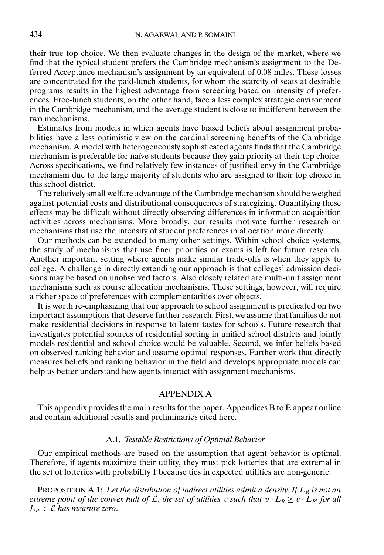<span id="page-43-0"></span>their true top choice. We then evaluate changes in the design of the market, where we find that the typical student prefers the Cambridge mechanism's assignment to the Deferred Acceptance mechanism's assignment by an equivalent of 0.08 miles. These losses are concentrated for the paid-lunch students, for whom the scarcity of seats at desirable programs results in the highest advantage from screening based on intensity of preferences. Free-lunch students, on the other hand, face a less complex strategic environment in the Cambridge mechanism, and the average student is close to indifferent between the two mechanisms.

Estimates from models in which agents have biased beliefs about assignment probabilities have a less optimistic view on the cardinal screening benefits of the Cambridge mechanism. A model with heterogeneously sophisticated agents finds that the Cambridge mechanism is preferable for naïve students because they gain priority at their top choice. Across specifications, we find relatively few instances of justified envy in the Cambridge mechanism due to the large majority of students who are assigned to their top choice in this school district.

The relatively small welfare advantage of the Cambridge mechanism should be weighed against potential costs and distributional consequences of strategizing. Quantifying these effects may be difficult without directly observing differences in information acquisition activities across mechanisms. More broadly, our results motivate further research on mechanisms that use the intensity of student preferences in allocation more directly.

Our methods can be extended to many other settings. Within school choice systems, the study of mechanisms that use finer priorities or exams is left for future research. Another important setting where agents make similar trade-offs is when they apply to college. A challenge in directly extending our approach is that colleges' admission decisions may be based on unobserved factors. Also closely related are multi-unit assignment mechanisms such as course allocation mechanisms. These settings, however, will require a richer space of preferences with complementarities over objects.

It is worth re-emphasizing that our approach to school assignment is predicated on two important assumptions that deserve further research. First, we assume that families do not make residential decisions in response to latent tastes for schools. Future research that investigates potential sources of residential sorting in unified school districts and jointly models residential and school choice would be valuable. Second, we infer beliefs based on observed ranking behavior and assume optimal responses. Further work that directly measures beliefs and ranking behavior in the field and develops appropriate models can help us better understand how agents interact with assignment mechanisms.

# APPENDIX A

This appendix provides the main results for the paper. Appendices B to E appear online and contain additional results and preliminaries cited here.

# A.1. *Testable Restrictions of Optimal Behavior*

Our empirical methods are based on the assumption that agent behavior is optimal. Therefore, if agents maximize their utility, they must pick lotteries that are extremal in the set of lotteries with probability 1 because ties in expected utilities are non-generic:

PROPOSITION A.1: Let the distribution of indirect utilities admit a density. If  $L_R$  is not an *extreme point of the convex hull of*  $\mathcal{L}$ *, the set of utilities v such that*  $v \cdot L_R \geq v \cdot L_{R'}$  *for all*  $L_{R'} \in \mathcal{L}$  has measure zero.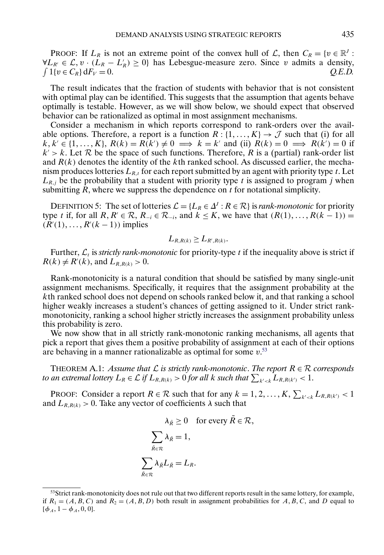<span id="page-44-0"></span>PROOF: If  $L_R$  is not an extreme point of the convex hull of  $\mathcal{L}$ , then  $C_R = \{v \in \mathbb{R}^d :$  $\forall L_{R'} \in \mathcal{L}, v \cdot (L_R - L_R') \ge 0$ } has Lebesgue-measure zero. Since v admits a density,  $\int 1\{v \in C_R\} dF_V = 0.$  *Q.E.D.* 

The result indicates that the fraction of students with behavior that is not consistent with optimal play can be identified. This suggests that the assumption that agents behave optimally is testable. However, as we will show below, we should expect that observed behavior can be rationalized as optimal in most assignment mechanisms.

Consider a mechanism in which reports correspond to rank-orders over the available options. Therefore, a report is a function  $R: \{1, ..., K\} \to \mathcal{J}$  such that (i) for all  $k, k' \in \{1, \ldots, K\}, R(k) = R(k') \neq 0 \implies k = k'$  and (ii)  $R(k) = 0 \implies R(k') = 0$  if  $k' > k$ . Let R be the space of such functions. Therefore, R is a (partial) rank-order list and  $R(k)$  denotes the identity of the kth ranked school. As discussed earlier, the mechanism produces lotteries  $L_{R,t}$  for each report submitted by an agent with priority type t. Let  $L_{R,j}$  be the probability that a student with priority type t is assigned to program j when submitting  $R$ , where we suppress the dependence on  $t$  for notational simplicity.

DEFINITION 5: The set of lotteries  $\mathcal{L} = \{L_R \in \Delta^I : R \in \mathcal{R}\}\$ is *rank-monotonic* for priority type t if, for all  $R, R' \in \mathcal{R}, R_{-i} \in \mathcal{R}_{-i}$ , and  $k \leq K$ , we have that  $(R(1), \ldots, R(k-1)) =$  $(R'(1), \ldots, R'(k-1))$  implies

$$
L_{R,R(k)} \geq L_{R',R(k)}.
$$

Further,  $\mathcal{L}_t$  is *strictly rank-monotonic* for priority-type t if the inequality above is strict if  $R(k) \neq R'(k)$ , and  $L_{R,R(k)} > 0$ .

Rank-monotonicity is a natural condition that should be satisfied by many single-unit assignment mechanisms. Specifically, it requires that the assignment probability at the kth ranked school does not depend on schools ranked below it, and that ranking a school higher weakly increases a student's chances of getting assigned to it. Under strict rankmonotonicity, ranking a school higher strictly increases the assignment probability unless this probability is zero.

We now show that in all strictly rank-monotonic ranking mechanisms, all agents that pick a report that gives them a positive probability of assignment at each of their options are behaving in a manner rationalizable as optimal for some  $v$ .<sup>53</sup>

THEOREM A.1: *Assume that*  $\mathcal L$  *is strictly rank-monotonic. The report*  $R \in \mathcal R$  *corresponds* to an extremal lottery  $L_R \in \mathcal{L}$  if  $L_{R,R(k)} > 0$  for all  $k$  such that  $\sum_{k' < k} L_{R,R(k')} < 1$ .

PROOF: Consider a report  $R \in \mathcal{R}$  such that for any  $k = 1, 2, ..., K$ ,  $\sum_{k' < k} L_{R, R(k')} < 1$ and  $L_{R,R(k)} > 0$ . Take any vector of coefficients  $\lambda$  such that

$$
\lambda_{\tilde{R}} \ge 0 \quad \text{for every } \tilde{R} \in \mathcal{R},
$$

$$
\sum_{\tilde{R} \in \mathcal{R}} \lambda_{\tilde{R}} = 1,
$$

$$
\sum_{\tilde{R} \in \mathcal{R}} \lambda_{\tilde{R}} L_{\tilde{R}} = L_R.
$$

<sup>&</sup>lt;sup>53</sup>Strict rank-monotonicity does not rule out that two different reports result in the same lottery, for example, if  $R_1 = (A, B, C)$  and  $R_2 = (A, B, D)$  both result in assignment probabilities for A, B, C, and D equal to  $[\phi_A, 1 - \phi_A, 0, 0].$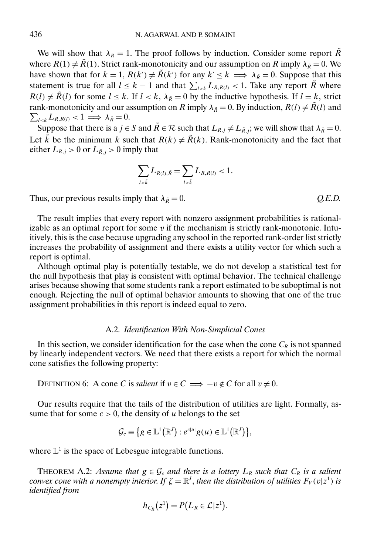<span id="page-45-0"></span>We will show that  $\lambda_R = 1$ . The proof follows by induction. Consider some report  $\tilde{R}$ where  $R(1) \neq \tilde{R}(1)$ . Strict rank-monotonicity and our assumption on R imply  $\lambda_{\tilde{R}} = 0$ . We have shown that for  $k = 1$ ,  $R(k') \neq \tilde{R}(k')$  for any  $k' \leq k \implies \lambda_{\tilde{R}} = 0$ . Suppose that this statement is true for all  $l \leq k-1$  and that  $\sum_{l \leq k} L_{R,R(l)} < 1$ . Take any report  $\tilde{R}$  where  $R(l) \neq \tilde{R}(l)$  for some  $l \leq k$ . If  $l < k$ ,  $\lambda_{\tilde{R}} = 0$  by the inductive hypothesis. If  $l = k$ , strict  $\sum_{l \leq k} L_{R,R(l)} < 1 \Longrightarrow \lambda_{\tilde{R}} = 0.$ rank-monotonicity and our assumption on R imply  $\lambda_{\tilde{R}} = 0$ . By induction,  $R(l) \neq \tilde{R}(l)$  and

Suppose that there is a  $j \in S$  and  $\tilde{R} \in \mathcal{R}$  such that  $L_{R,j} \neq L_{\tilde{R},j}$ ; we will show that  $\lambda_{\tilde{R}} = 0$ . Let  $\tilde{k}$  be the minimum k such that  $R(k) \neq \tilde{R}(k)$ . Rank-monotonicity and the fact that either  $L_{R,j} > 0$  or  $L_{\tilde{R},j} > 0$  imply that

$$
\sum_{l<\tilde{k}}L_{R(l),\tilde{R}}=\sum_{l<\tilde{k}}L_{R,R(l)}<1.
$$

Thus, our previous results imply that  $\lambda_{\tilde{R}} = 0$ .  $Q.E.D.$ 

The result implies that every report with nonzero assignment probabilities is rationalizable as an optimal report for some  $v$  if the mechanism is strictly rank-monotonic. Intuitively, this is the case because upgrading any school in the reported rank-order list strictly increases the probability of assignment and there exists a utility vector for which such a report is optimal.

Although optimal play is potentially testable, we do not develop a statistical test for the null hypothesis that play is consistent with optimal behavior. The technical challenge arises because showing that some students rank a report estimated to be suboptimal is not enough. Rejecting the null of optimal behavior amounts to showing that one of the true assignment probabilities in this report is indeed equal to zero.

# A.2. *Identification With Non-Simplicial Cones*

In this section, we consider identification for the case when the cone  $C_R$  is not spanned by linearly independent vectors. We need that there exists a report for which the normal cone satisfies the following property:

DEFINITION 6: A cone C is *salient* if  $v \in C \implies -v \notin C$  for all  $v \neq 0$ .

Our results require that the tails of the distribution of utilities are light. Formally, assume that for some  $c > 0$ , the density of u belongs to the set

$$
\mathcal{G}_c \equiv \{ g \in \mathbb{L}^1(\mathbb{R}^J) : e^{c|u|} g(u) \in \mathbb{L}^1(\mathbb{R}^J) \},
$$

where  $\mathbb{L}^1$  is the space of Lebesgue integrable functions.

THEOREM A.2: *Assume that*  $g \in \mathcal{G}_c$  *and there is a lottery*  $L_R$  *such that*  $C_R$  *is a salient convex cone with a nonempty interior. If*  $\zeta = \mathbb{R}^J$ , *then the distribution of utilities*  $F_V(v|z^1)$  *is identified from*

$$
h_{C_R}(z^1)=P(L_R\in\mathcal{L}|z^1).
$$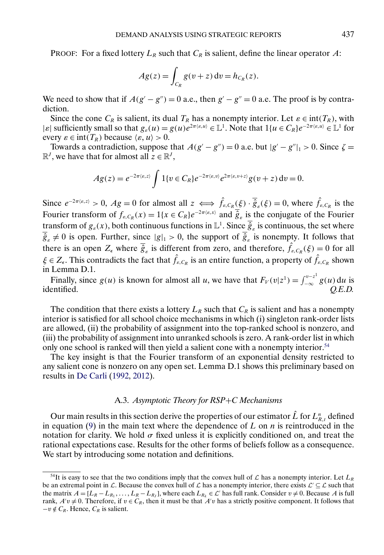<span id="page-46-0"></span>**PROOF:** For a fixed lottery  $L_R$  such that  $C_R$  is salient, define the linear operator A:

$$
Ag(z) = \int_{C_R} g(v+z) dv = h_{C_R}(z).
$$

We need to show that if  $A(g'-g'')=0$  a.e., then  $g'-g''=0$  a.e. The proof is by contradiction.

Since the cone  $C_R$  is salient, its dual  $T_R$  has a nonempty interior. Let  $\varepsilon \in \text{int}(T_R)$ , with  $|\varepsilon|$  sufficiently small so that  $g_{\varepsilon}(u) = g(u)e^{2\pi(\varepsilon, u)} \in \mathbb{L}^1$ . Note that  $1\{u \in C_R\}e^{-2\pi(\varepsilon, u)} \in \mathbb{L}^1$  for every  $\varepsilon \in \text{int}(T_R)$  because  $\langle \varepsilon, u \rangle > 0$ .

Towards a contradiction, suppose that  $A(g'-g'')=0$  a.e. but  $|g'-g''|_1 > 0$ . Since  $\zeta =$  $\mathbb{R}^J$ , we have that for almost all  $z \in \mathbb{R}^J$ ,

$$
Ag(z) = e^{-2\pi \langle \varepsilon, z \rangle} \int 1\{v \in C_R\} e^{-2\pi \langle \varepsilon, v \rangle} e^{2\pi \langle \varepsilon, v + z \rangle} g(v + z) dv = 0.
$$

Since  $e^{-2\pi \langle \varepsilon, z \rangle} > 0$ ,  $Ag = 0$  for almost all  $z \iff \hat{f}_{\varepsilon, C_R}(\xi) \cdot \overline{\hat{g}}_{\varepsilon}(\xi) = 0$ , where  $\hat{f}_{\varepsilon, C_R}$  is the Fourier transform of  $f_{\varepsilon,C_R}(x) = 1\{x \in C_R\}e^{-2\pi\langle \varepsilon, x \rangle}$  and  $\hat{g}_{\varepsilon}$  is the conjugate of the Fourier transform of  $g_{\varepsilon}(x)$ , both continuous functions in  $\mathbb{L}^1$ . Since  $\overline{\hat{g}}_{\varepsilon}$  is continuous, the set where  $\hat{g}_{\varepsilon} \neq 0$  is open. Further, since  $|g|_1 > 0$ , the support of  $\hat{g}_{\varepsilon}$  is nonempty. It follows that there is an open  $Z_{\epsilon}$  where  $\overline{\hat{g}}_{\epsilon}$  is different from zero, and therefore,  $\hat{f}_{\epsilon,C_R}(\xi) = 0$  for all  $\xi \in Z_{\epsilon}$ . This contradicts the fact that  $\hat{f}_{\epsilon,C_R}$  is an entire function, a property of  $\hat{f}_{\epsilon,C_R}$  shown in Lemma D.1.

Finally, since  $g(u)$  is known for almost all u, we have that  $F_V(v|z^1) = \int_{-\infty}^{v-z^1} g(u) du$  is identified. *Q.E.D.*

The condition that there exists a lottery  $L_R$  such that  $C_R$  is salient and has a nonempty interior is satisfied for all school choice mechanisms in which (i) singleton rank-order lists are allowed, (ii) the probability of assignment into the top-ranked school is nonzero, and (iii) the probability of assignment into unranked schools is zero. A rank-order list in which only one school is ranked will then yield a salient cone with a nonempty interior.<sup>54</sup>

The key insight is that the Fourier transform of an exponential density restricted to any salient cone is nonzero on any open set. Lemma D.1 shows this preliminary based on results in [De Carli](#page-51-0) [\(1992,](#page-51-0) [2012\)](#page-51-0).

## A.3. *Asymptotic Theory for RSP*+*C Mechanisms*

Our main results in this section derive the properties of our estimator  $\hat{L}$  for  $L_{R,t}^n$  defined in equation [\(9\)](#page-27-0) in the main text where the dependence of L on  $n$  is reintroduced in the notation for clarity. We hold  $\sigma$  fixed unless it is explicitly conditioned on, and treat the rational expectations case. Results for the other forms of beliefs follow as a consequence. We start by introducing some notation and definitions.

<sup>&</sup>lt;sup>54</sup>It is easy to see that the two conditions imply that the convex hull of  $\mathcal L$  has a nonempty interior. Let  $L_R$ be an extremal point in  $\mathcal L$ . Because the convex hull of  $\mathcal L$  has a nonempty interior, there exists  $\mathcal L' \subseteq \mathcal L$  such that the matrix  $A = [L_R - L_{R_1}, \dots, L_R - L_{R_J}]$ , where each  $L_{R_k} \in \mathcal{L}'$  has full rank. Consider  $v \neq 0$ . Because A is full rank,  $A'v \neq 0$ . Therefore, if  $v \in C_R$ , then it must be that  $A'v$  has a strictly positive component. It follows that  $-v \notin C_R$ . Hence,  $C_R$  is salient.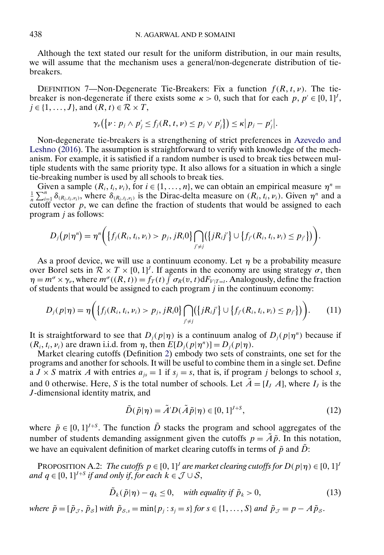<span id="page-47-0"></span>Although the text stated our result for the uniform distribution, in our main results, we will assume that the mechanism uses a general/non-degenerate distribution of tiebreakers.

DEFINITION 7—Non-Degenerate Tie-Breakers: Fix a function  $f(R, t, \nu)$ . The tiebreaker is non-degenerate if there exists some  $\kappa > 0$ , such that for each  $p, p' \in [0, 1]^I$ ,  $j \in \{1, ..., J\}$ , and  $(R, t) \in \mathcal{R} \times T$ ,

$$
\gamma_{\nu}\big(\big\{\nu:p_j\wedge p'_j\leq f_j(R,t,\nu)\leq p_j\vee p'_j\big\}\big)\leq\kappa\big|p_j-p'_j\big|.
$$

Non-degenerate tie-breakers is a strengthening of strict preferences in [Azevedo and](#page-51-0) [Leshno](#page-51-0) [\(2016\)](#page-51-0). The assumption is straightforward to verify with knowledge of the mechanism. For example, it is satisfied if a random number is used to break ties between multiple students with the same priority type. It also allows for a situation in which a single tie-breaking number is used by all schools to break ties.

Given a sample  $(R_i, t_i, v_i)$ , for  $i \in \{1, ..., n\}$ , we can obtain an empirical measure  $\eta^n =$  $\frac{1}{n}\sum_{i=1}^n \delta_{(R_i,t_i,\nu_i)}$ , where  $\delta_{(R_i,t_i,\nu_i)}$  is the Dirac-delta measure on  $(R_i,t_i,\nu_i)$ . Given  $\eta^n$  and a cutoff vector p, we can define the fraction of students that would be assigned to each program j as follows:

$$
D_j(p|\eta^n) = \eta^n\bigg(\big\{f_j(R_i, t_i, \nu_i) > p_j, jR_i0\big\}\bigcap_{j'\neq j}\big(\big\{jR_ij'\big\} \cup \big\{f_{j'}(R_i, t_i, \nu_i) \leq p_{j'}\big\}\big)\bigg).
$$

As a proof device, we will use a continuum economy. Let  $\eta$  be a probability measure over Borel sets in  $\mathcal{R} \times T \times [0, 1]^J$ . If agents in the economy are using strategy  $\sigma$ , then  $\eta = m^{\sigma} \times \gamma_{\nu}$ , where  $m^{\sigma}((R, t)) = f_T(t) \int \sigma_R(v, t) dF_{V|T=t}$ . Analogously, define the fraction of students that would be assigned to each program  $j$  in the continuum economy:

$$
D_j(p|\eta) = \eta\bigg(\big\{f_j(R_i, t_i, \nu_i) > p_j, jR_i0\big\}\bigcap_{j'\neq j} (\big\{jR_i j'\big\} \cup \big\{f_{j'}(R_i, t_i, \nu_i) \leq p_{j'}\big\}\bigg). \tag{11}
$$

It is straightforward to see that  $D_i(p|\eta)$  is a continuum analog of  $D_i(p|\eta^n)$  because if  $(R_i, t_i, v_i)$  are drawn i.i.d. from  $\eta$ , then  $E[D_j(p|\eta^n)] = D_j(p|\eta)$ .

Market clearing cutoffs (Definition [2\)](#page-17-0) embody two sets of constraints, one set for the programs and another for schools. It will be useful to combine them in a single set. Define a  $J \times S$  matrix A with entries  $a_{is} = 1$  if  $s_i = s$ , that is, if program j belongs to school s, and 0 otherwise. Here, S is the total number of schools. Let  $\tilde{A} = [I, A]$ , where  $I_j$  is the J-dimensional identity matrix, and

$$
\tilde{D}(\tilde{p}|\eta) = \tilde{A}' D(\tilde{A}\tilde{p}|\eta) \in [0, 1]^{I+S},\tag{12}
$$

where  $\tilde{p} \in [0, 1]^{J+S}$ . The function  $\tilde{D}$  stacks the program and school aggregates of the number of students demanding assignment given the cutoffs  $p = \tilde{A}\tilde{p}$ . In this notation, we have an equivalent definition of market clearing cutoffs in terms of  $\tilde{p}$  and  $\tilde{D}$ :

PROPOSITION A.2: *The cutoffs*  $p \in [0, 1]^J$  are market clearing cutoffs for  $D(p|\eta) \in [0, 1]^J$ and  $q \in [0, 1]^{J+S}$  *if and only if, for each*  $k \in \mathcal{J} \cup \mathcal{S}$ ,

$$
\tilde{D}_k(\tilde{p}|\eta) - q_k \le 0, \quad \text{with equality if } \tilde{p}_k > 0,
$$
\n
$$
(13)
$$

*where*  $\tilde{p} = [\tilde{p}_{J}, \tilde{p}_{S}]$  *with*  $\tilde{p}_{S,s} = \min\{p_j : s_j = s\}$  *for*  $s \in \{1, ..., S\}$  *and*  $\tilde{p}_{J} = p - A\tilde{p}_{S}$ *.*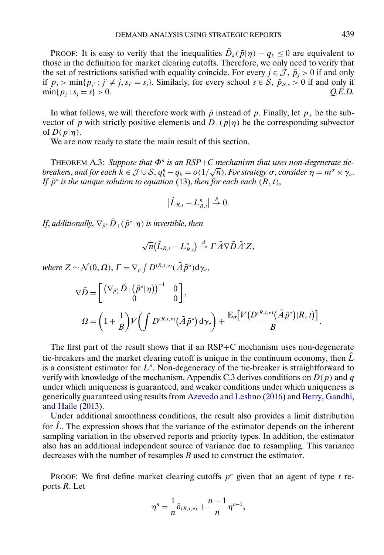<span id="page-48-0"></span>PROOF: It is easy to verify that the inequalities  $\tilde{D}_k(\tilde{p}|\eta) - q_k \leq 0$  are equivalent to those in the definition for market clearing cutoffs. Therefore, we only need to verify that the set of restrictions satisfied with equality coincide. For every  $j \in \mathcal{J}$ ,  $\tilde{p}_i > 0$  if and only if  $p_j > \min\{p_{j'} : j' \neq j, s_{j'} = s_j\}$ . Similarly, for every school  $s \in S$ ,  $\tilde{p}_{s,s} > 0$  if and only if  $\min\{p_j : s_j = s\} > 0.$  *Q.E.D.* 

In what follows, we will therefore work with  $\tilde{p}$  instead of p. Finally, let  $p_+$  be the subvector of p with strictly positive elements and  $D_+(p|\eta)$  be the corresponding subvector of  $D(p|\eta)$ .

We are now ready to state the main result of this section.

THEOREM A.3: Suppose that  $\Phi^n$  is an RSP+C mechanism that uses non-degenerate tie**breakers**, *and for each*  $k \in \mathcal{J} \cup \mathcal{S}$ ,  $q_k^n - q_k = o(1/\sqrt{n})$ . *For strategy*  $\sigma$ , *consider*  $\eta = m^\sigma \times \gamma_\nu$ . *If*  $\tilde{p}^*$  *is the unique solution to equation* [\(13\)](#page-47-0), *then for each each* ( $R, t$ ),

$$
\left|\hat{L}_{R,t}-L_{R,t}^n\right|\stackrel{p}{\to} 0.
$$

If, additionally,  $\nabla_{\tilde{p}^\ast_+}\tilde{D}_+(\tilde{p}^\ast|\eta)$  is invertible, then

$$
\sqrt{n}(\hat{L}_{R,t}-L^n_{R,t})\stackrel{d}{\rightarrow}\Gamma\tilde{A}\nabla\tilde{D}\tilde{A}'Z,
$$

where  $Z \sim \mathcal{N}(0, \Omega)$ ,  $\Gamma = \nabla_p \int D^{(R, t, \nu)} (\tilde{A} \tilde{p}^*) \, \mathrm{d}\gamma_{\nu}$ ,

$$
\nabla \tilde{D} = \begin{bmatrix} \left( \nabla_{\tilde{P}^*_{+}} \tilde{D}_{+} (\tilde{p}^* | \eta) \right)^{-1} & 0 \\ 0 & 0 \end{bmatrix},
$$
  

$$
\Omega = \left( 1 + \frac{1}{B} \right) V \left( \int D^{(R,t,\nu)} (\tilde{A} \tilde{p}^*) \, \mathrm{d}\gamma_{\nu} \right) + \frac{\mathbb{E}_{\sigma} \big[ V \big( D^{(R,t,\nu)} (\tilde{A} \tilde{p}^*) | R,t \big) \big]}{B}.
$$

The first part of the result shows that if an RSP+C mechanism uses non-degenerate tie-breakers and the market clearing cutoff is unique in the continuum economy, then  $\hat{L}$ is a consistent estimator for  $L<sup>n</sup>$ . Non-degeneracy of the tie-breaker is straightforward to verify with knowledge of the mechanism. Appendix C.3 derives conditions on  $D(p)$  and q under which uniqueness is guaranteed, and weaker conditions under which uniqueness is generically guaranteed using results from [Azevedo and Leshno](#page-51-0) [\(2016\)](#page-51-0) and [Berry, Gandhi,](#page-51-0) [and Haile](#page-51-0) [\(2013\)](#page-51-0).

Under additional smoothness conditions, the result also provides a limit distribution for  $\hat{L}$ . The expression shows that the variance of the estimator depends on the inherent sampling variation in the observed reports and priority types. In addition, the estimator also has an additional independent source of variance due to resampling. This variance decreases with the number of resamples B used to construct the estimator.

PROOF: We first define market clearing cutoffs  $p^n$  given that an agent of type t reports R. Let

$$
\eta^{n} = \frac{1}{n} \delta_{(R,t,\nu)} + \frac{n-1}{n} \eta^{n-1},
$$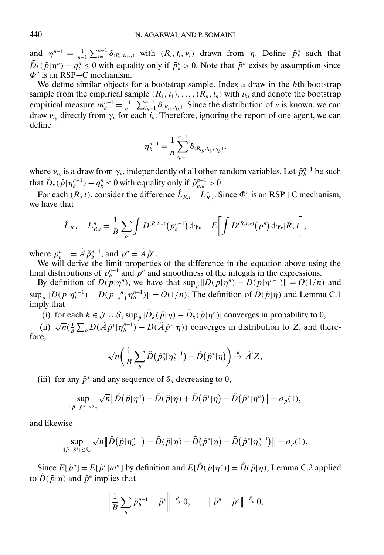and  $\eta^{n-1} = \frac{1}{n-1} \sum_{i=1}^{n-1} \delta_{(R_i, t_i, \nu_i)}$  with  $(R_i, t_i, \nu_i)$  drawn from  $\eta$ . Define  $\tilde{p}_k^n$  such that  $\tilde{D}_k(\tilde{p}|\eta^n) - q_k^n \le 0$  with equality only if  $\tilde{p}_k^n > 0$ . Note that  $\tilde{p}^n$  exists by assumption since  $\Phi^n$  is an RSP+C mechanism.

We define similar objects for a bootstrap sample. Index a draw in the bth bootstrap sample from the empirical sample  $(R_1, t_1), \ldots, (R_n, t_n)$  with  $i_b$ , and denote the bootstrap empirical measure  $m_b^{n-1} = \frac{1}{n-1} \sum_{i_b=1}^{n-1} \delta_{(R_{i_b}, t_{i_b})}$ . Since the distribution of  $\nu$  is known, we can draw  $v_{i_b}$  directly from  $\gamma_\nu$  for each  $i_b$ . Therefore, ignoring the report of one agent, we can define

$$
\eta_b^{n-1} = \frac{1}{n} \sum_{i_b=1}^{n-1} \delta_{(R_{i_b}, t_{i_b}, v_{i_b})},
$$

where  $\nu_{i_b}$  is a draw from  $\gamma_{\nu}$ , independently of all other random variables. Let  $\tilde{p}_b^{n-1}$  be such that  $\tilde{D}_k(\tilde{p}|\eta_b^{n-1}) - q_k^n \le 0$  with equality only if  $\tilde{p}_{b,k}^{n-1} > 0$ .

For each  $(R, t)$ , consider the difference  $\hat{L}_{R,t} - L_{R,t}^n$ . Since  $\Phi^n$  is an RSP+C mechanism, we have that

$$
\hat{L}_{R,t} - L_{R,t}^{n} = \frac{1}{B} \sum_{b} \int D^{(R,t,\nu)}(p_b^{n-1}) d\gamma_{\nu} - E \bigg[ \int D^{(R,t,\nu)}(p^n) d\gamma_{\nu} |R,t \bigg],
$$

where  $p_b^{n-1} = \tilde{A} \tilde{p}_b^{n-1}$ , and  $p^n = \tilde{A} \tilde{p}^n$ .

We will derive the limit properties of the difference in the equation above using the limit distributions of  $p_b^{n-1}$  and  $p^n$  and smoothness of the integals in the expressions.

By definition of  $D(p|\eta^n)$ , we have that  $\sup_p ||D(p|\eta^n) - D(p|\eta^{n-1})|| = O(1/n)$  and  $\sup_p \|D(p|\eta_b^{n-1}) - D(p|\frac{n}{n-1}\eta_b^{n-1})\| = O(1/n)$ . The definition of  $\tilde{D}(\tilde{p}|\eta)$  and Lemma C.1 imply that

(i) for each  $k \in \mathcal{J} \cup \mathcal{S}$ , sup  $\tilde{p} | \tilde{D}_k(\tilde{p}|\eta) - \tilde{D}_k(\tilde{p}|\eta^n)$  converges in probability to 0,

(i) for each  $k \in \mathcal{O}$   $\in \mathcal{O}$ ,  $\sup_{p} |E_k(p|q) - E_k(p|q)$  converges in procedurity to  $\Theta$ ,<br>(ii)  $\sqrt{n}(\frac{1}{B}\sum_b D(\tilde{A}\tilde{p}^*|\eta_b^{-1}) - D(\tilde{A}\tilde{p}^*|\eta))$  converges in distribution to Z, and therefore,

$$
\sqrt{n}\bigg(\frac{1}{B}\sum_b \tilde{D}\big(\tilde{p}_0^*|\eta_b^{n-1}\big)-\tilde{D}\big(\tilde{p}^*|\eta\big)\bigg)\overset{d}{\to}\tilde{A}'Z,
$$

(iii) for any  $\tilde{p}^*$  and any sequence of  $\delta_n$  decreasing to 0,

$$
\sup_{\|\tilde{p}-\tilde{p}^*\|\leq \delta_n} \sqrt{n} \|\tilde{D}\left(\tilde{p}|\eta^n\right)-\tilde{D}(\tilde{p}|\eta)+\tilde{D}\left(\tilde{p}^*|\eta\right)-\tilde{D}\left(\tilde{p}^*|\eta^n\right)\|=o_p(1),
$$

and likewise

$$
\sup_{\|\tilde p - \tilde p^*\| \le \delta_n} \sqrt{n} \big\| \tilde D\big( \tilde p | \eta_b^{n-1} \big) - \tilde D(\tilde p | \eta) + \tilde D\big( \tilde p^* | \eta \big) - \tilde D\big( \tilde p^* | \eta_b^{n-1} \big) \big\| = o_p(1).
$$

Since  $E[\tilde{p}^n] = E[\tilde{p}^n|m^{\sigma}]$  by definition and  $E[\tilde{D}(\tilde{p}|\eta^n)] = \tilde{D}(\tilde{p}|\eta)$ , Lemma C.2 applied to  $\tilde{D}(\tilde{p}|\eta)$  and  $\tilde{p}^*$  implies that

$$
\left\| \frac{1}{B} \sum_b \tilde{p}_b^{n-1} - \tilde{p}^* \right\| \stackrel{p}{\rightarrow} 0, \qquad \left\| \tilde{p}^n - \tilde{p}^* \right\| \stackrel{p}{\rightarrow} 0,
$$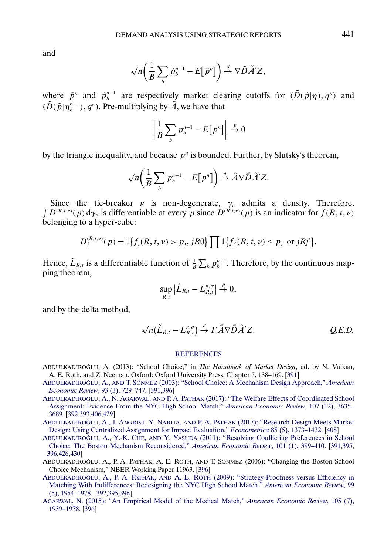<span id="page-50-0"></span>and

$$
\sqrt{n}\bigg(\frac{1}{B}\sum_b \tilde{p}_{b}^{n-1} - E\big[\tilde{p}^n\big]\bigg) \stackrel{d}{\rightarrow} \nabla \tilde{D}\tilde{A}'Z,
$$

where  $\tilde{p}^n$  and  $\tilde{p}_b^{n-1}$  are respectively market clearing cutoffs for  $(\tilde{D}(\tilde{p}|\eta), q^n)$  and  $(\tilde{D}(\tilde{p}|\eta_{b}^{n-1}), q^{n})$ . Pre-multiplying by  $\tilde{A}$ , we have that

$$
\left\| \frac{1}{B} \sum_{b} p_b^{n-1} - E[p^n] \right\| \stackrel{p}{\to} 0
$$

by the triangle inequality, and because  $p^n$  is bounded. Further, by Slutsky's theorem,

$$
\sqrt{n}\bigg(\frac{1}{B}\sum_b p_b^{n-1} - E[p^n]\bigg) \stackrel{d}{\rightarrow} \tilde{A}\nabla \tilde{D}\tilde{A}'Z.
$$

Since the tie-breaker  $\nu$  is non-degenerate,  $\gamma_{\nu}$  admits a density. Therefore,  $\int D^{(R,t,\nu)}(p) d\gamma_{\nu}$  is differentiable at every p since  $D^{(R,t,\nu)}(p)$  is an indicator for  $f(R,t,\nu)$ belonging to a hyper-cube:

$$
D_j^{(R,t,\nu)}(p) = 1\big\{f_j(R,t,\nu) > p_j, jR0\big\}\prod 1\big\{f_{j'}(R,t,\nu) \leq p_{j'} \text{ or } jRj'\big\}.
$$

Hence,  $\hat{L}_{R,t}$  is a differentiable function of  $\frac{1}{B}\sum_b p_b^{n-1}$ . Therefore, by the continuous mapping theorem,

$$
\sup_{R,t}|\hat{L}_{R,t}-L_{R,t}^{n,\sigma}| \overset{p}{\to} 0,
$$

and by the delta method,

$$
\sqrt{n}(\hat{L}_{R,t}-L_{R,t}^{n,\sigma})\stackrel{d}{\rightarrow}\Gamma\tilde{A}\nabla\tilde{D}\tilde{A}'Z.
$$
 Q.E.D.

#### **[REFERENCES](http://www.e-publications.org/srv/ecta/linkserver/setprefs?rfe_id=urn:sici%2F0012-9682%28201803%2986%3A2%3C391%3ADAUSRA%3E2.0.CO%3B2-K)**

- ABDULKADIROĞLU, A. (2013): "School Choice," in *The Handbook of Market Design*, ed. by N. Vulkan, A. E. Roth, and Z. Neeman. Oxford: Oxford University Press, Chapter 5, 138–169. [\[391\]](#page-0-0)
- ABDULKADIROGLU ˘ , A., AND T. SÖNMEZ [\(2003\): "School Choice: A Mechanism Design Approach,"](http://www.e-publications.org/srv/ecta/linkserver/openurl?rft_dat=bib:2/AbdulkadirogluSonmez2003&rfe_id=urn:sici%2F0012-9682%28201803%2986%3A2%3C391%3ADAUSRA%3E2.0.CO%3B2-K) *American [Economic Review](http://www.e-publications.org/srv/ecta/linkserver/openurl?rft_dat=bib:2/AbdulkadirogluSonmez2003&rfe_id=urn:sici%2F0012-9682%28201803%2986%3A2%3C391%3ADAUSRA%3E2.0.CO%3B2-K)*, 93 (3), 729–747. [\[391,](#page-0-0)[396\]](#page-5-0)
- ABDULKADIROĞLU, A., N. AGARWAL, AND P. A. PATHAK [\(2017\): "The Welfare Effects of Coordinated School](http://www.e-publications.org/srv/ecta/linkserver/openurl?rft_dat=bib:3/AbdulkadirogluAgarwalPathak2017&rfe_id=urn:sici%2F0012-9682%28201803%2986%3A2%3C391%3ADAUSRA%3E2.0.CO%3B2-K) [Assignment: Evidence From the NYC High School Match,"](http://www.e-publications.org/srv/ecta/linkserver/openurl?rft_dat=bib:3/AbdulkadirogluAgarwalPathak2017&rfe_id=urn:sici%2F0012-9682%28201803%2986%3A2%3C391%3ADAUSRA%3E2.0.CO%3B2-K) *American Economic Review*, 107 (12), 3635– [3689.](http://www.e-publications.org/srv/ecta/linkserver/openurl?rft_dat=bib:3/AbdulkadirogluAgarwalPathak2017&rfe_id=urn:sici%2F0012-9682%28201803%2986%3A2%3C391%3ADAUSRA%3E2.0.CO%3B2-K) [\[392,](#page-1-0)[393](#page-2-0)[,406](#page-15-0)[,429\]](#page-38-0)
- ABDULKADIROĞLU, A., J. ANGRIST, Y. NARITA, AND P. A. PATHAK [\(2017\): "Research Design Meets Market](http://www.e-publications.org/srv/ecta/linkserver/openurl?rft_dat=bib:4/AbdulkadirogluAngristNaritaPathak2017&rfe_id=urn:sici%2F0012-9682%28201803%2986%3A2%3C391%3ADAUSRA%3E2.0.CO%3B2-K) [Design: Using Centralized Assignment for Impact Evaluation,"](http://www.e-publications.org/srv/ecta/linkserver/openurl?rft_dat=bib:4/AbdulkadirogluAngristNaritaPathak2017&rfe_id=urn:sici%2F0012-9682%28201803%2986%3A2%3C391%3ADAUSRA%3E2.0.CO%3B2-K) *Econometrica* 85 (5), 1373–1432. [\[408\]](#page-17-0)
- ABDULKADIROĞLU, A., Y.-K. CHE, AND Y. YASUDA [\(2011\): "Resolving Conflicting Preferences in School](http://www.e-publications.org/srv/ecta/linkserver/openurl?rft_dat=bib:5/AbdulkadirogluCheYasuda2011&rfe_id=urn:sici%2F0012-9682%28201803%2986%3A2%3C391%3ADAUSRA%3E2.0.CO%3B2-K) [Choice: The Boston Mechanism Reconsidered,"](http://www.e-publications.org/srv/ecta/linkserver/openurl?rft_dat=bib:5/AbdulkadirogluCheYasuda2011&rfe_id=urn:sici%2F0012-9682%28201803%2986%3A2%3C391%3ADAUSRA%3E2.0.CO%3B2-K) *American Economic Review*, 101 (1), 399–410. [\[391,](#page-0-0)[395,](#page-4-0) [396](#page-5-0)[,426](#page-35-0)[,430\]](#page-39-0)
- ABDULKADIROĞLU, A., P. A. PATHAK, A. E. ROTH, AND T. SONMEZ (2006): "Changing the Boston School Choice Mechanism," NBER Working Paper 11963. [\[396\]](#page-5-0)
- ABDULKADIROĞLU, A., P. A. PATHAK, AND A. E. ROTH [\(2009\): "Strategy-Proofness versus Efficiency in](http://www.e-publications.org/srv/ecta/linkserver/openurl?rft_dat=bib:7/AbdulkadirogluPathakRoth2009&rfe_id=urn:sici%2F0012-9682%28201803%2986%3A2%3C391%3ADAUSRA%3E2.0.CO%3B2-K) [Matching With Indifferences: Redesigning the NYC High School Match,"](http://www.e-publications.org/srv/ecta/linkserver/openurl?rft_dat=bib:7/AbdulkadirogluPathakRoth2009&rfe_id=urn:sici%2F0012-9682%28201803%2986%3A2%3C391%3ADAUSRA%3E2.0.CO%3B2-K) *American Economic Review*, 99 [\(5\), 1954–1978.](http://www.e-publications.org/srv/ecta/linkserver/openurl?rft_dat=bib:7/AbdulkadirogluPathakRoth2009&rfe_id=urn:sici%2F0012-9682%28201803%2986%3A2%3C391%3ADAUSRA%3E2.0.CO%3B2-K) [\[392,](#page-1-0)[395,](#page-4-0)[396\]](#page-5-0)
- [AGARWAL, N. \(2015\): "An Empirical Model of the Medical Match,"](http://www.e-publications.org/srv/ecta/linkserver/openurl?rft_dat=bib:8/Agarwal2015&rfe_id=urn:sici%2F0012-9682%28201803%2986%3A2%3C391%3ADAUSRA%3E2.0.CO%3B2-K) *American Economic Review*, 105 (7), [1939–1978.](http://www.e-publications.org/srv/ecta/linkserver/openurl?rft_dat=bib:8/Agarwal2015&rfe_id=urn:sici%2F0012-9682%28201803%2986%3A2%3C391%3ADAUSRA%3E2.0.CO%3B2-K) [\[396\]](#page-5-0)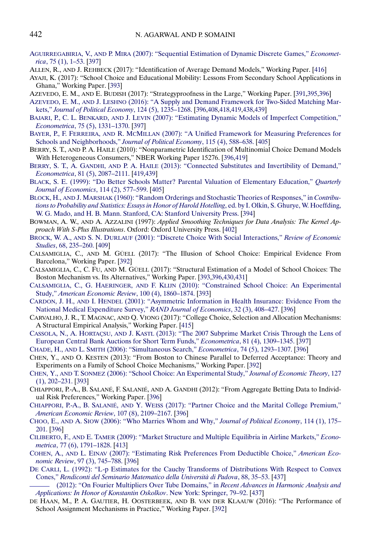- <span id="page-51-0"></span>AGUIRREGABIRIA, V., AND P. MIRA [\(2007\): "Sequential Estimation of Dynamic Discrete Games,"](http://www.e-publications.org/srv/ecta/linkserver/openurl?rft_dat=bib:9/AguirregabiriaMira2007&rfe_id=urn:sici%2F0012-9682%28201803%2986%3A2%3C391%3ADAUSRA%3E2.0.CO%3B2-K) *Econometrica*[, 75 \(1\), 1–53.](http://www.e-publications.org/srv/ecta/linkserver/openurl?rft_dat=bib:9/AguirregabiriaMira2007&rfe_id=urn:sici%2F0012-9682%28201803%2986%3A2%3C391%3ADAUSRA%3E2.0.CO%3B2-K) [\[397\]](#page-6-0)
- ALLEN, R., AND J. REHBECK (2017): "Identification of Average Demand Models," Working Paper. [\[416\]](#page-25-0)
- AYAJI, K. (2017): "School Choice and Educational Mobility: Lessons From Secondary School Applications in Ghana," Working Paper. [\[393\]](#page-2-0)
- AZEVEDO, E. M., AND E. BUDISH (2017): "Strategyproofness in the Large," Working Paper. [\[391](#page-0-0)[,395,](#page-4-0)[396\]](#page-5-0)
- AZEVEDO, E. M., AND J. LESHNO [\(2016\): "A Supply and Demand Framework for Two-Sided Matching Mar](http://www.e-publications.org/srv/ecta/linkserver/openurl?rft_dat=bib:13/AzevedoLeshno2016&rfe_id=urn:sici%2F0012-9682%28201803%2986%3A2%3C391%3ADAUSRA%3E2.0.CO%3B2-K)kets," *[Journal of Political Economy](http://www.e-publications.org/srv/ecta/linkserver/openurl?rft_dat=bib:13/AzevedoLeshno2016&rfe_id=urn:sici%2F0012-9682%28201803%2986%3A2%3C391%3ADAUSRA%3E2.0.CO%3B2-K)*, 124 (5), 1235–1268. [\[396](#page-5-0)[,408,](#page-17-0)[418,](#page-27-0)[419](#page-28-0)[,438](#page-47-0)[,439\]](#page-48-0)
- BAJARI, P., C. L. BENKARD, AND J. LEVIN [\(2007\): "Estimating Dynamic Models of Imperfect Competition,"](http://www.e-publications.org/srv/ecta/linkserver/openurl?rft_dat=bib:14/BajariBenkardLevin2007&rfe_id=urn:sici%2F0012-9682%28201803%2986%3A2%3C391%3ADAUSRA%3E2.0.CO%3B2-K) *Econometrica*[, 75 \(5\), 1331–1370.](http://www.e-publications.org/srv/ecta/linkserver/openurl?rft_dat=bib:14/BajariBenkardLevin2007&rfe_id=urn:sici%2F0012-9682%28201803%2986%3A2%3C391%3ADAUSRA%3E2.0.CO%3B2-K) [\[397\]](#page-6-0)
- BAYER, P., F. FERREIRA, AND R. MCMILLAN [\(2007\): "A Unified Framework for Measuring Preferences for](http://www.e-publications.org/srv/ecta/linkserver/openurl?rft_dat=bib:15/BayerMcMillanFerreira2007&rfe_id=urn:sici%2F0012-9682%28201803%2986%3A2%3C391%3ADAUSRA%3E2.0.CO%3B2-K) [Schools and Neighborhoods,"](http://www.e-publications.org/srv/ecta/linkserver/openurl?rft_dat=bib:15/BayerMcMillanFerreira2007&rfe_id=urn:sici%2F0012-9682%28201803%2986%3A2%3C391%3ADAUSRA%3E2.0.CO%3B2-K) *Journal of Political Economy*, 115 (4), 588–638. [\[405\]](#page-14-0)
- BERRY, S. T., AND P. A. HAILE (2010): "Nonparametric Identification of Multinomial Choice Demand Models With Heterogeneous Consumers," NBER Working Paper 15276. [\[396](#page-5-0)[,419\]](#page-28-0)
- BERRY, S. T., A. GANDHI, AND P. A. HAILE [\(2013\): "Connected Substitutes and Invertibility of Demand,"](http://www.e-publications.org/srv/ecta/linkserver/openurl?rft_dat=bib:17/BerryGandhiHaile2013&rfe_id=urn:sici%2F0012-9682%28201803%2986%3A2%3C391%3ADAUSRA%3E2.0.CO%3B2-K) *Econometrica*[, 81 \(5\), 2087–2111.](http://www.e-publications.org/srv/ecta/linkserver/openurl?rft_dat=bib:17/BerryGandhiHaile2013&rfe_id=urn:sici%2F0012-9682%28201803%2986%3A2%3C391%3ADAUSRA%3E2.0.CO%3B2-K) [\[419](#page-28-0)[,439\]](#page-48-0)
- [BLACK, S. E. \(1999\): "Do Better Schools Matter? Parental Valuation of Elementary Education,"](http://www.e-publications.org/srv/ecta/linkserver/openurl?rft_dat=bib:18/Black1999&rfe_id=urn:sici%2F0012-9682%28201803%2986%3A2%3C391%3ADAUSRA%3E2.0.CO%3B2-K) *Quarterly [Journal of Economics](http://www.e-publications.org/srv/ecta/linkserver/openurl?rft_dat=bib:18/Black1999&rfe_id=urn:sici%2F0012-9682%28201803%2986%3A2%3C391%3ADAUSRA%3E2.0.CO%3B2-K)*, 114 (2), 577–599. [\[405\]](#page-14-0)
- BLOCK, H., AND J. MARSHAK [\(1960\): "Random Orderings and Stochastic Theories of Responses," in](http://www.e-publications.org/srv/ecta/linkserver/openurl?rft_dat=bib:19/BlockMarshak1960&rfe_id=urn:sici%2F0012-9682%28201803%2986%3A2%3C391%3ADAUSRA%3E2.0.CO%3B2-K) *Contribu[tions to Probability and Statistics: Essays in Honor of Harold Hotelling](http://www.e-publications.org/srv/ecta/linkserver/openurl?rft_dat=bib:19/BlockMarshak1960&rfe_id=urn:sici%2F0012-9682%28201803%2986%3A2%3C391%3ADAUSRA%3E2.0.CO%3B2-K)*, ed. by I. Olkin, S. Ghurye, W. Hoeffding, [W. G. Mado, and H. B. Mann. Stanford, CA: Stanford University Press.](http://www.e-publications.org/srv/ecta/linkserver/openurl?rft_dat=bib:19/BlockMarshak1960&rfe_id=urn:sici%2F0012-9682%28201803%2986%3A2%3C391%3ADAUSRA%3E2.0.CO%3B2-K) [\[394\]](#page-3-0)
- BOWMAN, A. W., AND A. AZZALINI (1997): *Applied Smoothing Techniques for Data Analysis: The Kernel Approach With S-Plus Illustrations*. Oxford: Oxford University Press. [\[402\]](#page-11-0)
- BROCK, W. A., AND S. N. DURLAUF [\(2001\): "Discrete Choice With Social Interactions,"](http://www.e-publications.org/srv/ecta/linkserver/openurl?rft_dat=bib:21/BrockDurlauf2001&rfe_id=urn:sici%2F0012-9682%28201803%2986%3A2%3C391%3ADAUSRA%3E2.0.CO%3B2-K) *Review of Economic Studies*[, 68, 235–260.](http://www.e-publications.org/srv/ecta/linkserver/openurl?rft_dat=bib:21/BrockDurlauf2001&rfe_id=urn:sici%2F0012-9682%28201803%2986%3A2%3C391%3ADAUSRA%3E2.0.CO%3B2-K) [\[409\]](#page-18-0)
- CALSAMIGLIA, C., AND M. GÜELL (2017): "The Illusion of School Choice: Empirical Evidence From Barcelona," Working Paper. [\[392\]](#page-1-0)
- CALSAMIGLIA, C., C. FU, AND M. GÜELL (2017): "Structural Estimation of a Model of School Choices: The Boston Mechanism vs. Its Alternatives," Working Paper. [\[393](#page-2-0)[,396](#page-5-0)[,430,](#page-39-0)[431\]](#page-40-0)
- CALSAMIGLIA, C., G. HAERINGER, AND F. KLIJN [\(2010\): "Constrained School Choice: An Experimental](http://www.e-publications.org/srv/ecta/linkserver/openurl?rft_dat=bib:24/CalsamigliaHaeringerKlijn2010&rfe_id=urn:sici%2F0012-9682%28201803%2986%3A2%3C391%3ADAUSRA%3E2.0.CO%3B2-K) Study," *[American Economic Review](http://www.e-publications.org/srv/ecta/linkserver/openurl?rft_dat=bib:24/CalsamigliaHaeringerKlijn2010&rfe_id=urn:sici%2F0012-9682%28201803%2986%3A2%3C391%3ADAUSRA%3E2.0.CO%3B2-K)*, 100 (4), 1860–1874. [\[393\]](#page-2-0)
- CARDON, J. H., AND I. HENDEL [\(2001\): "Asymmetric Information in Health Insurance: Evidence From the](http://www.e-publications.org/srv/ecta/linkserver/openurl?rft_dat=bib:25/CardonHendel2001&rfe_id=urn:sici%2F0012-9682%28201803%2986%3A2%3C391%3ADAUSRA%3E2.0.CO%3B2-K) [National Medical Expenditure Survey,"](http://www.e-publications.org/srv/ecta/linkserver/openurl?rft_dat=bib:25/CardonHendel2001&rfe_id=urn:sici%2F0012-9682%28201803%2986%3A2%3C391%3ADAUSRA%3E2.0.CO%3B2-K) *RAND Journal of Economics*, 32 (3), 408–427. [\[396\]](#page-5-0)
- CARVALHO, J. R., T. MAGNAC, AND Q. VIONG (2017): "College Choice, Selection and Allocation Mechanisms: A Structural Empirical Analysis," Working Paper. [\[415\]](#page-24-0)
- CASSOLA, N., A. HORTAÇSU, AND J. KASTL [\(2013\): "The 2007 Subprime Market Crisis Through the Lens of](http://www.e-publications.org/srv/ecta/linkserver/openurl?rft_dat=bib:27/CassolaHortacsuKastl2013&rfe_id=urn:sici%2F0012-9682%28201803%2986%3A2%3C391%3ADAUSRA%3E2.0.CO%3B2-K) [European Central Bank Auctions for Short Term Funds,"](http://www.e-publications.org/srv/ecta/linkserver/openurl?rft_dat=bib:27/CassolaHortacsuKastl2013&rfe_id=urn:sici%2F0012-9682%28201803%2986%3A2%3C391%3ADAUSRA%3E2.0.CO%3B2-K) *Econometrica*, 81 (4), 1309–1345. [\[397\]](#page-6-0)
- CHADE, H., AND L. SMITH [\(2006\): "Simultaneous Search,"](http://www.e-publications.org/srv/ecta/linkserver/openurl?rft_dat=bib:28/ChadeSmith2006&rfe_id=urn:sici%2F0012-9682%28201803%2986%3A2%3C391%3ADAUSRA%3E2.0.CO%3B2-K) *Econometrica*, 74 (5), 1293–1307. [\[396\]](#page-5-0)
- CHEN, Y., AND O. KESTEN (2013): "From Boston to Chinese Parallel to Deferred Acceptance: Theory and Experiments on a Family of School Choice Mechanisms," Working Paper. [\[392\]](#page-1-0)
- CHEN, Y., AND T. SONMEZ [\(2006\): "School Choice: An Experimental Study,"](http://www.e-publications.org/srv/ecta/linkserver/openurl?rft_dat=bib:30/ChenSonmez2006&rfe_id=urn:sici%2F0012-9682%28201803%2986%3A2%3C391%3ADAUSRA%3E2.0.CO%3B2-K) *Journal of Economic Theory*, 127 [\(1\), 202–231.](http://www.e-publications.org/srv/ecta/linkserver/openurl?rft_dat=bib:30/ChenSonmez2006&rfe_id=urn:sici%2F0012-9682%28201803%2986%3A2%3C391%3ADAUSRA%3E2.0.CO%3B2-K) [\[393\]](#page-2-0)
- CHIAPPORI, P.-A., B. SALANÉ, F. SALANIÉ, AND A. GANDHI (2012): "From Aggregate Betting Data to Individual Risk Preferences," Working Paper. [\[396\]](#page-5-0)
- CHIAPPORI, P.-A., B. SALANIÉ, AND Y. WEISS [\(2017\): "Partner Choice and the Marital College Premium,"](http://www.e-publications.org/srv/ecta/linkserver/openurl?rft_dat=bib:32/ChiapporiSalanieWeiss2017&rfe_id=urn:sici%2F0012-9682%28201803%2986%3A2%3C391%3ADAUSRA%3E2.0.CO%3B2-K) *[American Economic Review](http://www.e-publications.org/srv/ecta/linkserver/openurl?rft_dat=bib:32/ChiapporiSalanieWeiss2017&rfe_id=urn:sici%2F0012-9682%28201803%2986%3A2%3C391%3ADAUSRA%3E2.0.CO%3B2-K)*, 107 (8), 2109–2167. [\[396\]](#page-5-0)
- CHOO, E., AND A. SIOW [\(2006\): "Who Marries Whom and Why,"](http://www.e-publications.org/srv/ecta/linkserver/openurl?rft_dat=bib:33/ChooSiow2006&rfe_id=urn:sici%2F0012-9682%28201803%2986%3A2%3C391%3ADAUSRA%3E2.0.CO%3B2-K) *Journal of Political Economy*, 114 (1), 175– [201.](http://www.e-publications.org/srv/ecta/linkserver/openurl?rft_dat=bib:33/ChooSiow2006&rfe_id=urn:sici%2F0012-9682%28201803%2986%3A2%3C391%3ADAUSRA%3E2.0.CO%3B2-K) [\[396\]](#page-5-0)
- CILIBERTO, F., AND E. TAMER [\(2009\): "Market Structure and Multiple Equilibria in Airline Markets,"](http://www.e-publications.org/srv/ecta/linkserver/openurl?rft_dat=bib:34/CilibertoTamer2009&rfe_id=urn:sici%2F0012-9682%28201803%2986%3A2%3C391%3ADAUSRA%3E2.0.CO%3B2-K) *Econometrica*[, 77 \(6\), 1791–1828.](http://www.e-publications.org/srv/ecta/linkserver/openurl?rft_dat=bib:34/CilibertoTamer2009&rfe_id=urn:sici%2F0012-9682%28201803%2986%3A2%3C391%3ADAUSRA%3E2.0.CO%3B2-K) [\[413\]](#page-22-0)
- COHEN, A., AND L. EINAV [\(2007\): "Estimating Risk Preferences From Deductible Choice,"](http://www.e-publications.org/srv/ecta/linkserver/openurl?rft_dat=bib:35/CohenEinav2007&rfe_id=urn:sici%2F0012-9682%28201803%2986%3A2%3C391%3ADAUSRA%3E2.0.CO%3B2-K) *American Economic Review*[, 97 \(3\), 745–788.](http://www.e-publications.org/srv/ecta/linkserver/openurl?rft_dat=bib:35/CohenEinav2007&rfe_id=urn:sici%2F0012-9682%28201803%2986%3A2%3C391%3ADAUSRA%3E2.0.CO%3B2-K) [\[396\]](#page-5-0)
- DE [CARLI, L. \(1992\): "L-p Estimates for the Cauchy Transforms of Distributions With Respect to Convex](http://www.e-publications.org/srv/ecta/linkserver/openurl?rft_dat=bib:36/DeCarli1992&rfe_id=urn:sici%2F0012-9682%28201803%2986%3A2%3C391%3ADAUSRA%3E2.0.CO%3B2-K) Cones," *[Rendiconti del Seminario Matematico della Università di Padova](http://www.e-publications.org/srv/ecta/linkserver/openurl?rft_dat=bib:36/DeCarli1992&rfe_id=urn:sici%2F0012-9682%28201803%2986%3A2%3C391%3ADAUSRA%3E2.0.CO%3B2-K)*, 88, 35–53. [\[437\]](#page-46-0)
- [\(2012\): "On Fourier Multipliers Over Tube Domains," in](http://www.e-publications.org/srv/ecta/linkserver/openurl?rft_dat=bib:37/DeCarli2012&rfe_id=urn:sici%2F0012-9682%28201803%2986%3A2%3C391%3ADAUSRA%3E2.0.CO%3B2-K) *Recent Advances in Harmonic Analysis and [Applications: In Honor of Konstantin Oskolkov](http://www.e-publications.org/srv/ecta/linkserver/openurl?rft_dat=bib:37/DeCarli2012&rfe_id=urn:sici%2F0012-9682%28201803%2986%3A2%3C391%3ADAUSRA%3E2.0.CO%3B2-K)*. New York: Springer, 79–92. [\[437\]](#page-46-0)
- DE HAAN, M., P. A. GAUTIER, H. OOSTERBEEK, AND B. VAN DER KLAAUW (2016): "The Performance of School Assignment Mechanisms in Practice," Working Paper. [\[392\]](#page-1-0)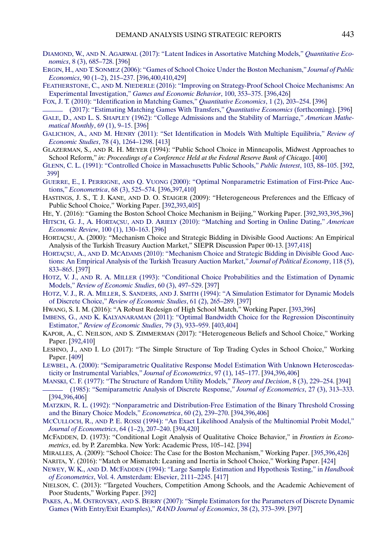- <span id="page-52-0"></span>DIAMOND, W., AND N. AGARWAL [\(2017\): "Latent Indices in Assortative Matching Models,"](http://www.e-publications.org/srv/ecta/linkserver/openurl?rft_dat=bib:39/DiamondAgarwal2016&rfe_id=urn:sici%2F0012-9682%28201803%2986%3A2%3C391%3ADAUSRA%3E2.0.CO%3B2-K) *Quantitative Economics*[, 8 \(3\), 685–728.](http://www.e-publications.org/srv/ecta/linkserver/openurl?rft_dat=bib:39/DiamondAgarwal2016&rfe_id=urn:sici%2F0012-9682%28201803%2986%3A2%3C391%3ADAUSRA%3E2.0.CO%3B2-K) [\[396\]](#page-5-0)
- ERGIN, H., AND T. SONMEZ [\(2006\): "Games of School Choice Under the Boston Mechanism,"](http://www.e-publications.org/srv/ecta/linkserver/openurl?rft_dat=bib:40/ErginSonmez2006&rfe_id=urn:sici%2F0012-9682%28201803%2986%3A2%3C391%3ADAUSRA%3E2.0.CO%3B2-K) *Journal of Public Economics*[, 90 \(1–2\), 215–237.](http://www.e-publications.org/srv/ecta/linkserver/openurl?rft_dat=bib:40/ErginSonmez2006&rfe_id=urn:sici%2F0012-9682%28201803%2986%3A2%3C391%3ADAUSRA%3E2.0.CO%3B2-K) [\[396,](#page-5-0)[400](#page-9-0)[,410](#page-19-0)[,429\]](#page-38-0)
- FEATHERSTONE, C., AND M. NIEDERLE [\(2016\): "Improving on Strategy-Proof School Choice Mechanisms: An](http://www.e-publications.org/srv/ecta/linkserver/openurl?rft_dat=bib:41/FeatherstoneNiederle2016&rfe_id=urn:sici%2F0012-9682%28201803%2986%3A2%3C391%3ADAUSRA%3E2.0.CO%3B2-K) Experimental Investigation," *[Games and Economic Behavior](http://www.e-publications.org/srv/ecta/linkserver/openurl?rft_dat=bib:41/FeatherstoneNiederle2016&rfe_id=urn:sici%2F0012-9682%28201803%2986%3A2%3C391%3ADAUSRA%3E2.0.CO%3B2-K)*, 100, 353–375. [\[396](#page-5-0)[,426\]](#page-35-0)

[FOX, J. T. \(2010\): "Identification in Matching Games,"](http://www.e-publications.org/srv/ecta/linkserver/openurl?rft_dat=bib:42/Fox2010&rfe_id=urn:sici%2F0012-9682%28201803%2986%3A2%3C391%3ADAUSRA%3E2.0.CO%3B2-K) *Quantitative Economics*, 1 (2), 203–254. [\[396\]](#page-5-0)

- [\(2017\): "Estimating Matching Games With Transfers,"](http://www.e-publications.org/srv/ecta/linkserver/openurl?rft_dat=bib:43/Fox2017&rfe_id=urn:sici%2F0012-9682%28201803%2986%3A2%3C391%3ADAUSRA%3E2.0.CO%3B2-K) *Quantitative Economics* (forthcoming). [\[396\]](#page-5-0)
- GALE, D., AND L. S. SHAPLEY [\(1962\): "College Admissions and the Stability of Marriage,"](http://www.e-publications.org/srv/ecta/linkserver/openurl?rft_dat=bib:44/GaleShapley1962&rfe_id=urn:sici%2F0012-9682%28201803%2986%3A2%3C391%3ADAUSRA%3E2.0.CO%3B2-K) *American Mathe[matical Monthly](http://www.e-publications.org/srv/ecta/linkserver/openurl?rft_dat=bib:44/GaleShapley1962&rfe_id=urn:sici%2F0012-9682%28201803%2986%3A2%3C391%3ADAUSRA%3E2.0.CO%3B2-K)*, 69 (1), 9–15. [\[396\]](#page-5-0)
- GALICHON, A., AND M. HENRY [\(2011\): "Set Identification in Models With Multiple Equilibria,"](http://www.e-publications.org/srv/ecta/linkserver/openurl?rft_dat=bib:45/GalichonHenry2011&rfe_id=urn:sici%2F0012-9682%28201803%2986%3A2%3C391%3ADAUSRA%3E2.0.CO%3B2-K) *Review of Economic Studies*[, 78 \(4\), 1264–1298.](http://www.e-publications.org/srv/ecta/linkserver/openurl?rft_dat=bib:45/GalichonHenry2011&rfe_id=urn:sici%2F0012-9682%28201803%2986%3A2%3C391%3ADAUSRA%3E2.0.CO%3B2-K) [\[413\]](#page-22-0)
- GLAZERMAN, S., AND R. H. MEYER (1994): "Public School Choice in Minneapolis, Midwest Approaches to School Reform," *in: Proceedings of a Conference Held at the Federal Reserve Bank of Chicago*. [\[400\]](#page-9-0)
- [GLENN, C. L. \(1991\): "Controlled Choice in Massachusetts Public Schools,"](http://www.e-publications.org/srv/ecta/linkserver/openurl?rft_dat=bib:47/Glenn1991&rfe_id=urn:sici%2F0012-9682%28201803%2986%3A2%3C391%3ADAUSRA%3E2.0.CO%3B2-K) *Public Interest*, 103, 88–105. [\[392,](#page-1-0) [399\]](#page-8-0)
- GUERRE, E., I. PERRIGNE, AND Q. VUONG [\(2000\): "Optimal Nonparametric Estimation of First-Price Auc](http://www.e-publications.org/srv/ecta/linkserver/openurl?rft_dat=bib:48/GuerrePerrigneVuong2000&rfe_id=urn:sici%2F0012-9682%28201803%2986%3A2%3C391%3ADAUSRA%3E2.0.CO%3B2-K)tions," *Econometrica*[, 68 \(3\), 525–574.](http://www.e-publications.org/srv/ecta/linkserver/openurl?rft_dat=bib:48/GuerrePerrigneVuong2000&rfe_id=urn:sici%2F0012-9682%28201803%2986%3A2%3C391%3ADAUSRA%3E2.0.CO%3B2-K) [\[396,](#page-5-0)[397,](#page-6-0)[410\]](#page-19-0)
- HASTINGS, J. S., T. J. KANE, AND D. O. STAIGER (2009): "Heterogeneous Preferences and the Efficacy of Public School Choice," Working Paper. [\[392,](#page-1-0)[393,](#page-2-0)[405\]](#page-14-0)
- HE, Y. (2016): "Gaming the Boston School Choice Mechanism in Beijing," Working Paper. [\[392](#page-1-0)[,393](#page-2-0)[,395,](#page-4-0)[396\]](#page-5-0)
- HITSCH, G. J., A. HORTAÇSU, AND D. ARIELY [\(2010\): "Matching and Sorting in Online Dating,"](http://www.e-publications.org/srv/ecta/linkserver/openurl?rft_dat=bib:51/HitschHortacsuAriely2010&rfe_id=urn:sici%2F0012-9682%28201803%2986%3A2%3C391%3ADAUSRA%3E2.0.CO%3B2-K) *American Economic Review*[, 100 \(1\), 130–163.](http://www.e-publications.org/srv/ecta/linkserver/openurl?rft_dat=bib:51/HitschHortacsuAriely2010&rfe_id=urn:sici%2F0012-9682%28201803%2986%3A2%3C391%3ADAUSRA%3E2.0.CO%3B2-K) [\[396\]](#page-5-0)
- HORTAÇSU, A. (2000): "Mechanism Choice and Strategic Bidding in Divisible Good Auctions: An Empirical Analysis of the Turkish Treasury Auction Market," SIEPR Discussion Paper 00-13. [\[397,](#page-6-0)[418\]](#page-27-0)
- HORTAÇSU, A., AND D. MCADAMS [\(2010\): "Mechanism Choice and Strategic Bidding in Divisible Good Auc](http://www.e-publications.org/srv/ecta/linkserver/openurl?rft_dat=bib:53/HortacsuM2010&rfe_id=urn:sici%2F0012-9682%28201803%2986%3A2%3C391%3ADAUSRA%3E2.0.CO%3B2-K)[tions: An Empirical Analysis of the Turkish Treasury Auction Market,"](http://www.e-publications.org/srv/ecta/linkserver/openurl?rft_dat=bib:53/HortacsuM2010&rfe_id=urn:sici%2F0012-9682%28201803%2986%3A2%3C391%3ADAUSRA%3E2.0.CO%3B2-K) *Journal of Political Economy*, 118 (5), [833–865.](http://www.e-publications.org/srv/ecta/linkserver/openurl?rft_dat=bib:53/HortacsuM2010&rfe_id=urn:sici%2F0012-9682%28201803%2986%3A2%3C391%3ADAUSRA%3E2.0.CO%3B2-K) [\[397\]](#page-6-0)
- HOTZ, V. J., AND R. A. MILLER [\(1993\): "Conditional Choice Probabilities and the Estimation of Dynamic](http://www.e-publications.org/srv/ecta/linkserver/openurl?rft_dat=bib:54/HotzMiller1993&rfe_id=urn:sici%2F0012-9682%28201803%2986%3A2%3C391%3ADAUSRA%3E2.0.CO%3B2-K) Models," *[Review of Economic Studies](http://www.e-publications.org/srv/ecta/linkserver/openurl?rft_dat=bib:54/HotzMiller1993&rfe_id=urn:sici%2F0012-9682%28201803%2986%3A2%3C391%3ADAUSRA%3E2.0.CO%3B2-K)*, 60 (3), 497–529. [\[397\]](#page-6-0)
- HOTZ, V. J., R. A. MILLER, S. SANDERS, AND J. SMITH [\(1994\): "A Simulation Estimator for Dynamic Models](http://www.e-publications.org/srv/ecta/linkserver/openurl?rft_dat=bib:55/HotzMillerSandersSmith1994&rfe_id=urn:sici%2F0012-9682%28201803%2986%3A2%3C391%3ADAUSRA%3E2.0.CO%3B2-K) of Discrete Choice," *[Review of Economic Studies](http://www.e-publications.org/srv/ecta/linkserver/openurl?rft_dat=bib:55/HotzMillerSandersSmith1994&rfe_id=urn:sici%2F0012-9682%28201803%2986%3A2%3C391%3ADAUSRA%3E2.0.CO%3B2-K)*, 61 (2), 265–289. [\[397\]](#page-6-0)
- HWANG, S. I. M. (2016): "A Robust Redesign of High School Match," Working Paper. [\[393,](#page-2-0)[396\]](#page-5-0)
- IMBENS, G., AND K. KALYANARAMAN [\(2011\): "Optimal Bandwidth Choice for the Regression Discontinuity](http://www.e-publications.org/srv/ecta/linkserver/openurl?rft_dat=bib:57/ImbensKalyaraman2011&rfe_id=urn:sici%2F0012-9682%28201803%2986%3A2%3C391%3ADAUSRA%3E2.0.CO%3B2-K) Estimator," *[Review of Economic Studies](http://www.e-publications.org/srv/ecta/linkserver/openurl?rft_dat=bib:57/ImbensKalyaraman2011&rfe_id=urn:sici%2F0012-9682%28201803%2986%3A2%3C391%3ADAUSRA%3E2.0.CO%3B2-K)*, 79 (3), 933–959. [\[403,](#page-12-0)[404\]](#page-13-0)
- KAPOR, A., C. NEILSON, AND S. ZIMMERMAN (2017): "Heterogeneous Beliefs and School Choice," Working Paper. [\[392,](#page-1-0)[410\]](#page-19-0)
- LESHNO, J., AND I. LO (2017): "The Simple Structure of Top Trading Cycles in School Choice," Working Paper. [\[409\]](#page-18-0)
- [LEWBEL, A. \(2000\): "Semiparametric Qualitative Response Model Estimation With Unknown Heteroscedas](http://www.e-publications.org/srv/ecta/linkserver/openurl?rft_dat=bib:60/Lewbel2000&rfe_id=urn:sici%2F0012-9682%28201803%2986%3A2%3C391%3ADAUSRA%3E2.0.CO%3B2-K)[ticity or Instrumental Variables,"](http://www.e-publications.org/srv/ecta/linkserver/openurl?rft_dat=bib:60/Lewbel2000&rfe_id=urn:sici%2F0012-9682%28201803%2986%3A2%3C391%3ADAUSRA%3E2.0.CO%3B2-K) *Journal of Econometrics*, 97 (1), 145–177. [\[394,](#page-3-0)[396](#page-5-0)[,406\]](#page-15-0)
- [MANSKI, C. F. \(1977\): "The Structure of Random Utility Models,"](http://www.e-publications.org/srv/ecta/linkserver/openurl?rft_dat=bib:61/Manski1977&rfe_id=urn:sici%2F0012-9682%28201803%2986%3A2%3C391%3ADAUSRA%3E2.0.CO%3B2-K) *Theory and Decision*, 8 (3), 229–254. [\[394\]](#page-3-0) [\(1985\): "Semiparametric Analysis of Discrete Response,"](http://www.e-publications.org/srv/ecta/linkserver/openurl?rft_dat=bib:62/Manski1985&rfe_id=urn:sici%2F0012-9682%28201803%2986%3A2%3C391%3ADAUSRA%3E2.0.CO%3B2-K) *Journal of Econometrics*, 27 (3), 313–333. [\[394,](#page-3-0)[396](#page-5-0)[,406\]](#page-15-0)
- [MATZKIN, R. L. \(1992\): "Nonparametric and Distribution-Free Estimation of the Binary Threshold Crossing](http://www.e-publications.org/srv/ecta/linkserver/openurl?rft_dat=bib:63/Matzkin1992&rfe_id=urn:sici%2F0012-9682%28201803%2986%3A2%3C391%3ADAUSRA%3E2.0.CO%3B2-K) [and the Binary Choice Models,"](http://www.e-publications.org/srv/ecta/linkserver/openurl?rft_dat=bib:63/Matzkin1992&rfe_id=urn:sici%2F0012-9682%28201803%2986%3A2%3C391%3ADAUSRA%3E2.0.CO%3B2-K) *Econometrica*, 60 (2), 239–270. [\[394](#page-3-0)[,396](#page-5-0)[,406\]](#page-15-0)
- MCCULLOCH, R., AND P. E. ROSSI [\(1994\): "An Exact Likelihood Analysis of the Multinomial Probit Model,"](http://www.e-publications.org/srv/ecta/linkserver/openurl?rft_dat=bib:64/RossiMcCulloch1994&rfe_id=urn:sici%2F0012-9682%28201803%2986%3A2%3C391%3ADAUSRA%3E2.0.CO%3B2-K) *[Journal of Econometrics](http://www.e-publications.org/srv/ecta/linkserver/openurl?rft_dat=bib:64/RossiMcCulloch1994&rfe_id=urn:sici%2F0012-9682%28201803%2986%3A2%3C391%3ADAUSRA%3E2.0.CO%3B2-K)*, 64 (1–2), 207–240. [\[394,](#page-3-0)[420\]](#page-29-0)
- MCFADDEN, D. (1973): "Conditional Logit Analysis of Qualitative Choice Behavior," in *Frontiers in Econometrics*, ed. by P. Zarembka. New York: Academic Press, 105–142. [\[394\]](#page-3-0)
- MIRALLES, A. (2009): "School Choice: The Case for the Boston Mechanism," Working Paper. [\[395,](#page-4-0)[396](#page-5-0)[,426\]](#page-35-0)
- NARITA, Y. (2016): "Match or Mismatch: Leaning and Inertia in School Choice," Working Paper. [\[424\]](#page-33-0)
- NEWEY, W. K., AND D. MCFADDEN [\(1994\): "Large Sample Estimation and Hypothesis Testing," in](http://www.e-publications.org/srv/ecta/linkserver/openurl?rft_dat=bib:68/NeweyMcFadden1994&rfe_id=urn:sici%2F0012-9682%28201803%2986%3A2%3C391%3ADAUSRA%3E2.0.CO%3B2-K) *Handbook of Econometrics*[, Vol. 4. Amsterdam: Elsevier, 2111–2245.](http://www.e-publications.org/srv/ecta/linkserver/openurl?rft_dat=bib:68/NeweyMcFadden1994&rfe_id=urn:sici%2F0012-9682%28201803%2986%3A2%3C391%3ADAUSRA%3E2.0.CO%3B2-K) [\[417\]](#page-26-0)
- NIELSON, C. (2013): "Targeted Vouchers, Competition Among Schools, and the Academic Achievement of Poor Students," Working Paper. [\[392\]](#page-1-0)
- PAKES, A., M. OSTROVSKY, AND S. BERRY [\(2007\): "Simple Estimators for the Parameters of Discrete Dynamic](http://www.e-publications.org/srv/ecta/linkserver/openurl?rft_dat=bib:70/PakesOstrovskyBerry2007&rfe_id=urn:sici%2F0012-9682%28201803%2986%3A2%3C391%3ADAUSRA%3E2.0.CO%3B2-K) [Games \(With Entry/Exit Examples\),"](http://www.e-publications.org/srv/ecta/linkserver/openurl?rft_dat=bib:70/PakesOstrovskyBerry2007&rfe_id=urn:sici%2F0012-9682%28201803%2986%3A2%3C391%3ADAUSRA%3E2.0.CO%3B2-K) *RAND Journal of Economics*, 38 (2), 373–399. [\[397\]](#page-6-0)